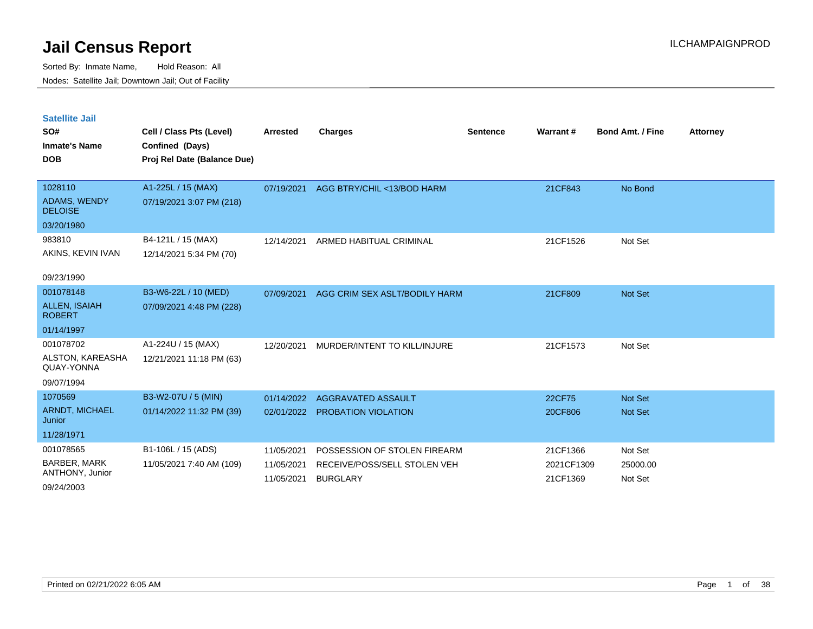Sorted By: Inmate Name, Hold Reason: All Nodes: Satellite Jail; Downtown Jail; Out of Facility

| <b>Satellite Jail</b><br>SO#<br><b>Inmate's Name</b><br><b>DOB</b> | Cell / Class Pts (Level)<br>Confined (Days)<br>Proj Rel Date (Balance Due) | <b>Arrested</b> | <b>Charges</b>                | <b>Sentence</b> | Warrant#   | <b>Bond Amt. / Fine</b> | <b>Attorney</b> |
|--------------------------------------------------------------------|----------------------------------------------------------------------------|-----------------|-------------------------------|-----------------|------------|-------------------------|-----------------|
| 1028110                                                            | A1-225L / 15 (MAX)                                                         | 07/19/2021      | AGG BTRY/CHIL <13/BOD HARM    |                 | 21CF843    | No Bond                 |                 |
| ADAMS, WENDY<br><b>DELOISE</b>                                     | 07/19/2021 3:07 PM (218)                                                   |                 |                               |                 |            |                         |                 |
| 03/20/1980                                                         |                                                                            |                 |                               |                 |            |                         |                 |
| 983810                                                             | B4-121L / 15 (MAX)                                                         | 12/14/2021      | ARMED HABITUAL CRIMINAL       |                 | 21CF1526   | Not Set                 |                 |
| AKINS, KEVIN IVAN                                                  | 12/14/2021 5:34 PM (70)                                                    |                 |                               |                 |            |                         |                 |
| 09/23/1990                                                         |                                                                            |                 |                               |                 |            |                         |                 |
| 001078148                                                          | B3-W6-22L / 10 (MED)                                                       | 07/09/2021      | AGG CRIM SEX ASLT/BODILY HARM |                 | 21CF809    | <b>Not Set</b>          |                 |
| <b>ALLEN, ISAIAH</b><br><b>ROBERT</b>                              | 07/09/2021 4:48 PM (228)                                                   |                 |                               |                 |            |                         |                 |
| 01/14/1997                                                         |                                                                            |                 |                               |                 |            |                         |                 |
| 001078702                                                          | A1-224U / 15 (MAX)                                                         | 12/20/2021      | MURDER/INTENT TO KILL/INJURE  |                 | 21CF1573   | Not Set                 |                 |
| ALSTON, KAREASHA<br>QUAY-YONNA                                     | 12/21/2021 11:18 PM (63)                                                   |                 |                               |                 |            |                         |                 |
| 09/07/1994                                                         |                                                                            |                 |                               |                 |            |                         |                 |
| 1070569                                                            | B3-W2-07U / 5 (MIN)                                                        | 01/14/2022      | AGGRAVATED ASSAULT            |                 | 22CF75     | <b>Not Set</b>          |                 |
| ARNDT, MICHAEL<br>Junior                                           | 01/14/2022 11:32 PM (39)                                                   | 02/01/2022      | PROBATION VIOLATION           |                 | 20CF806    | <b>Not Set</b>          |                 |
| 11/28/1971                                                         |                                                                            |                 |                               |                 |            |                         |                 |
| 001078565                                                          | B1-106L / 15 (ADS)                                                         | 11/05/2021      | POSSESSION OF STOLEN FIREARM  |                 | 21CF1366   | Not Set                 |                 |
| <b>BARBER, MARK</b><br>ANTHONY, Junior                             | 11/05/2021 7:40 AM (109)                                                   | 11/05/2021      | RECEIVE/POSS/SELL STOLEN VEH  |                 | 2021CF1309 | 25000.00                |                 |
|                                                                    |                                                                            | 11/05/2021      | <b>BURGLARY</b>               |                 | 21CF1369   | Not Set                 |                 |

09/24/2003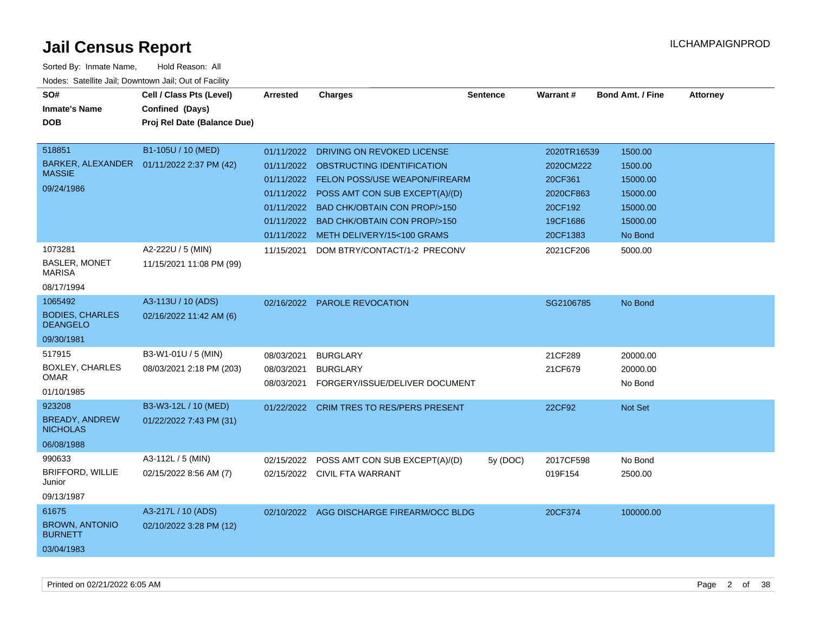| SO#<br><b>Inmate's Name</b><br><b>DOB</b>                          | Cell / Class Pts (Level)<br>Confined (Days)<br>Proj Rel Date (Balance Due) | Arrested                                             | <b>Charges</b>                                                                                                                                                                                                                        | <b>Sentence</b> | <b>Warrant#</b>                                                         | <b>Bond Amt. / Fine</b>                                            | <b>Attorney</b> |
|--------------------------------------------------------------------|----------------------------------------------------------------------------|------------------------------------------------------|---------------------------------------------------------------------------------------------------------------------------------------------------------------------------------------------------------------------------------------|-----------------|-------------------------------------------------------------------------|--------------------------------------------------------------------|-----------------|
| 518851<br>BARKER, ALEXANDER<br><b>MASSIE</b><br>09/24/1986         | B1-105U / 10 (MED)<br>01/11/2022 2:37 PM (42)                              | 01/11/2022<br>01/11/2022<br>01/11/2022<br>01/11/2022 | DRIVING ON REVOKED LICENSE<br>01/11/2022 OBSTRUCTING IDENTIFICATION<br>01/11/2022 FELON POSS/USE WEAPON/FIREARM<br>POSS AMT CON SUB EXCEPT(A)/(D)<br><b>BAD CHK/OBTAIN CON PROP/&gt;150</b><br><b>BAD CHK/OBTAIN CON PROP/&gt;150</b> |                 | 2020TR16539<br>2020CM222<br>20CF361<br>2020CF863<br>20CF192<br>19CF1686 | 1500.00<br>1500.00<br>15000.00<br>15000.00<br>15000.00<br>15000.00 |                 |
| 1073281<br>BASLER, MONET<br><b>MARISA</b><br>08/17/1994            | A2-222U / 5 (MIN)<br>11/15/2021 11:08 PM (99)                              | 11/15/2021                                           | 01/11/2022 METH DELIVERY/15<100 GRAMS<br>DOM BTRY/CONTACT/1-2 PRECONV                                                                                                                                                                 |                 | 20CF1383<br>2021CF206                                                   | No Bond<br>5000.00                                                 |                 |
| 1065492<br><b>BODIES, CHARLES</b><br><b>DEANGELO</b><br>09/30/1981 | A3-113U / 10 (ADS)<br>02/16/2022 11:42 AM (6)                              | 02/16/2022                                           | <b>PAROLE REVOCATION</b>                                                                                                                                                                                                              |                 | SG2106785                                                               | No Bond                                                            |                 |
| 517915<br><b>BOXLEY, CHARLES</b><br><b>OMAR</b><br>01/10/1985      | B3-W1-01U / 5 (MIN)<br>08/03/2021 2:18 PM (203)                            | 08/03/2021<br>08/03/2021<br>08/03/2021               | <b>BURGLARY</b><br><b>BURGLARY</b><br>FORGERY/ISSUE/DELIVER DOCUMENT                                                                                                                                                                  |                 | 21CF289<br>21CF679                                                      | 20000.00<br>20000.00<br>No Bond                                    |                 |
| 923208<br><b>BREADY, ANDREW</b><br><b>NICHOLAS</b><br>06/08/1988   | B3-W3-12L / 10 (MED)<br>01/22/2022 7:43 PM (31)                            |                                                      | 01/22/2022 CRIM TRES TO RES/PERS PRESENT                                                                                                                                                                                              |                 | 22CF92                                                                  | Not Set                                                            |                 |
| 990633<br>BRIFFORD, WILLIE<br>Junior<br>09/13/1987                 | A3-112L / 5 (MIN)<br>02/15/2022 8:56 AM (7)                                | 02/15/2022                                           | POSS AMT CON SUB EXCEPT(A)/(D)<br>02/15/2022 CIVIL FTA WARRANT                                                                                                                                                                        | 5y (DOC)        | 2017CF598<br>019F154                                                    | No Bond<br>2500.00                                                 |                 |
| 61675<br><b>BROWN, ANTONIO</b><br><b>BURNETT</b><br>03/04/1983     | A3-217L / 10 (ADS)<br>02/10/2022 3:28 PM (12)                              |                                                      | 02/10/2022 AGG DISCHARGE FIREARM/OCC BLDG                                                                                                                                                                                             |                 | 20CF374                                                                 | 100000.00                                                          |                 |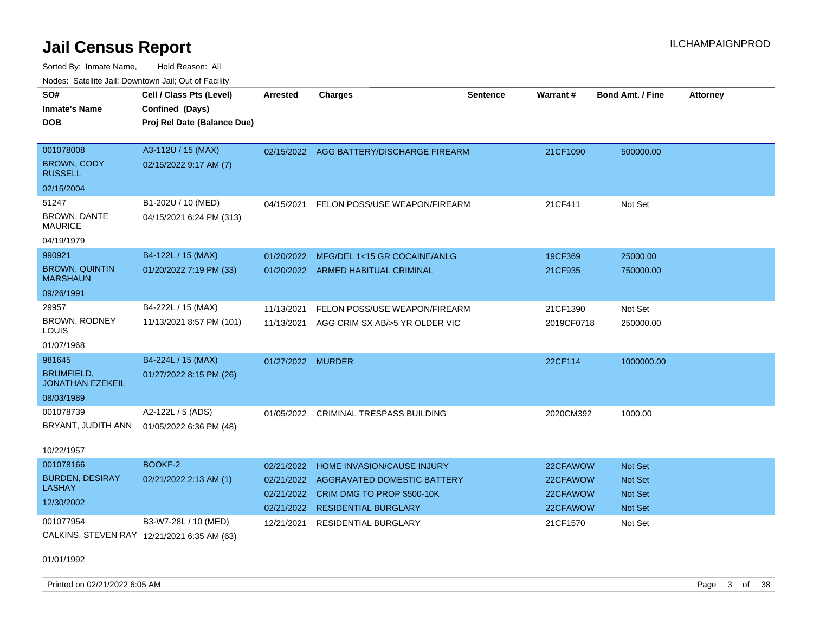Sorted By: Inmate Name, Hold Reason: All Nodes: Satellite Jail; Downtown Jail; Out of Facility

| SO#                                          | Cell / Class Pts (Level)                    | Arrested          | <b>Charges</b>                           | <b>Sentence</b> | Warrant#   | <b>Bond Amt. / Fine</b> | <b>Attorney</b> |
|----------------------------------------------|---------------------------------------------|-------------------|------------------------------------------|-----------------|------------|-------------------------|-----------------|
| <b>Inmate's Name</b>                         | Confined (Days)                             |                   |                                          |                 |            |                         |                 |
| <b>DOB</b>                                   | Proj Rel Date (Balance Due)                 |                   |                                          |                 |            |                         |                 |
|                                              |                                             |                   |                                          |                 |            |                         |                 |
| 001078008                                    | A3-112U / 15 (MAX)                          |                   | 02/15/2022 AGG BATTERY/DISCHARGE FIREARM |                 | 21CF1090   | 500000.00               |                 |
| <b>BROWN, CODY</b><br><b>RUSSELL</b>         | 02/15/2022 9:17 AM (7)                      |                   |                                          |                 |            |                         |                 |
| 02/15/2004                                   |                                             |                   |                                          |                 |            |                         |                 |
| 51247                                        | B1-202U / 10 (MED)                          | 04/15/2021        | FELON POSS/USE WEAPON/FIREARM            |                 | 21CF411    | Not Set                 |                 |
| <b>BROWN, DANTE</b><br><b>MAURICE</b>        | 04/15/2021 6:24 PM (313)                    |                   |                                          |                 |            |                         |                 |
| 04/19/1979                                   |                                             |                   |                                          |                 |            |                         |                 |
| 990921                                       | B4-122L / 15 (MAX)                          | 01/20/2022        | MFG/DEL 1<15 GR COCAINE/ANLG             |                 | 19CF369    | 25000.00                |                 |
| <b>BROWN, QUINTIN</b><br><b>MARSHAUN</b>     | 01/20/2022 7:19 PM (33)                     |                   | 01/20/2022 ARMED HABITUAL CRIMINAL       |                 | 21CF935    | 750000.00               |                 |
| 09/26/1991                                   |                                             |                   |                                          |                 |            |                         |                 |
| 29957                                        | B4-222L / 15 (MAX)                          | 11/13/2021        | FELON POSS/USE WEAPON/FIREARM            |                 | 21CF1390   | Not Set                 |                 |
| BROWN, RODNEY<br>LOUIS                       | 11/13/2021 8:57 PM (101)                    | 11/13/2021        | AGG CRIM SX AB/>5 YR OLDER VIC           |                 | 2019CF0718 | 250000.00               |                 |
| 01/07/1968                                   |                                             |                   |                                          |                 |            |                         |                 |
| 981645                                       | B4-224L / 15 (MAX)                          | 01/27/2022 MURDER |                                          |                 | 22CF114    | 1000000.00              |                 |
| <b>BRUMFIELD,</b><br><b>JONATHAN EZEKEIL</b> | 01/27/2022 8:15 PM (26)                     |                   |                                          |                 |            |                         |                 |
| 08/03/1989                                   |                                             |                   |                                          |                 |            |                         |                 |
| 001078739                                    | A2-122L / 5 (ADS)                           | 01/05/2022        | <b>CRIMINAL TRESPASS BUILDING</b>        |                 | 2020CM392  | 1000.00                 |                 |
| BRYANT, JUDITH ANN                           | 01/05/2022 6:36 PM (48)                     |                   |                                          |                 |            |                         |                 |
|                                              |                                             |                   |                                          |                 |            |                         |                 |
| 10/22/1957                                   |                                             |                   |                                          |                 |            |                         |                 |
| 001078166                                    | BOOKF-2                                     | 02/21/2022        | HOME INVASION/CAUSE INJURY               |                 | 22CFAWOW   | <b>Not Set</b>          |                 |
| <b>BURDEN, DESIRAY</b>                       | 02/21/2022 2:13 AM (1)                      | 02/21/2022        | AGGRAVATED DOMESTIC BATTERY              |                 | 22CFAWOW   | Not Set                 |                 |
| <b>LASHAY</b>                                |                                             | 02/21/2022        | CRIM DMG TO PROP \$500-10K               |                 | 22CFAWOW   | <b>Not Set</b>          |                 |
| 12/30/2002                                   |                                             | 02/21/2022        | <b>RESIDENTIAL BURGLARY</b>              |                 | 22CFAWOW   | <b>Not Set</b>          |                 |
| 001077954                                    | B3-W7-28L / 10 (MED)                        | 12/21/2021        | RESIDENTIAL BURGLARY                     |                 | 21CF1570   | Not Set                 |                 |
|                                              | CALKINS, STEVEN RAY 12/21/2021 6:35 AM (63) |                   |                                          |                 |            |                         |                 |

01/01/1992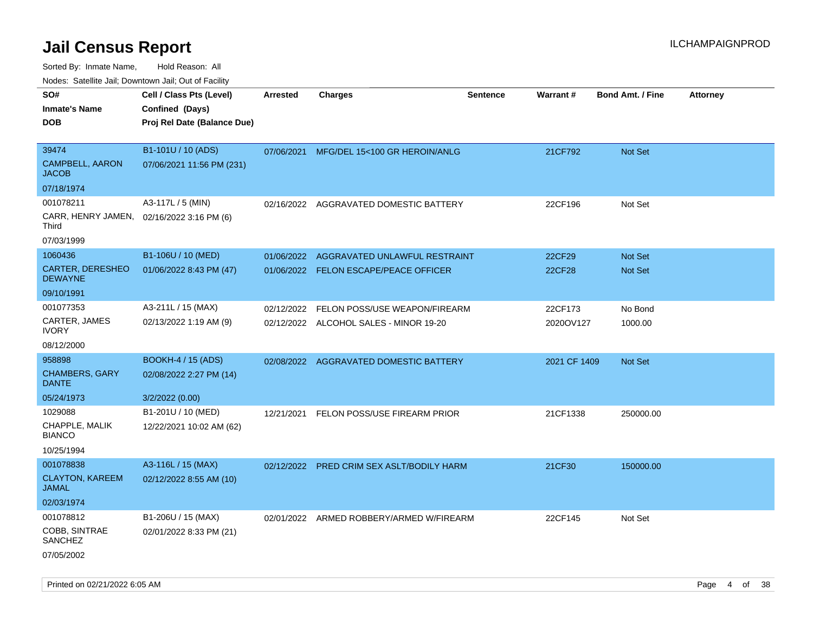Sorted By: Inmate Name, Hold Reason: All

Nodes: Satellite Jail; Downtown Jail; Out of Facility

| SO#<br><b>Inmate's Name</b><br><b>DOB</b>                         | Cell / Class Pts (Level)<br>Confined (Days)<br>Proj Rel Date (Balance Due) | <b>Arrested</b> | <b>Charges</b>                                                          | <b>Sentence</b> | <b>Warrant#</b>      | <b>Bond Amt. / Fine</b> | Attorney |
|-------------------------------------------------------------------|----------------------------------------------------------------------------|-----------------|-------------------------------------------------------------------------|-----------------|----------------------|-------------------------|----------|
| 39474<br><b>CAMPBELL, AARON</b><br><b>JACOB</b><br>07/18/1974     | B1-101U / 10 (ADS)<br>07/06/2021 11:56 PM (231)                            | 07/06/2021      | MFG/DEL 15<100 GR HEROIN/ANLG                                           |                 | 21CF792              | Not Set                 |          |
| 001078211<br>CARR, HENRY JAMEN,<br>Third<br>07/03/1999            | A3-117L / 5 (MIN)<br>02/16/2022 3:16 PM (6)                                | 02/16/2022      | AGGRAVATED DOMESTIC BATTERY                                             |                 | 22CF196              | Not Set                 |          |
| 1060436<br>CARTER, DERESHEO<br><b>DEWAYNE</b><br>09/10/1991       | B1-106U / 10 (MED)<br>01/06/2022 8:43 PM (47)                              | 01/06/2022      | AGGRAVATED UNLAWFUL RESTRAINT<br>01/06/2022 FELON ESCAPE/PEACE OFFICER  |                 | 22CF29<br>22CF28     | Not Set<br>Not Set      |          |
| 001077353<br>CARTER, JAMES<br><b>IVORY</b><br>08/12/2000          | A3-211L / 15 (MAX)<br>02/13/2022 1:19 AM (9)                               | 02/12/2022      | FELON POSS/USE WEAPON/FIREARM<br>02/12/2022 ALCOHOL SALES - MINOR 19-20 |                 | 22CF173<br>2020OV127 | No Bond<br>1000.00      |          |
| 958898<br><b>CHAMBERS, GARY</b><br><b>DANTE</b><br>05/24/1973     | <b>BOOKH-4 / 15 (ADS)</b><br>02/08/2022 2:27 PM (14)<br>3/2/2022 (0.00)    |                 | 02/08/2022 AGGRAVATED DOMESTIC BATTERY                                  |                 | 2021 CF 1409         | Not Set                 |          |
| 1029088<br>CHAPPLE, MALIK<br><b>BIANCO</b><br>10/25/1994          | B1-201U / 10 (MED)<br>12/22/2021 10:02 AM (62)                             |                 | 12/21/2021 FELON POSS/USE FIREARM PRIOR                                 |                 | 21CF1338             | 250000.00               |          |
| 001078838<br><b>CLAYTON, KAREEM</b><br><b>JAMAL</b><br>02/03/1974 | A3-116L / 15 (MAX)<br>02/12/2022 8:55 AM (10)                              |                 | 02/12/2022 PRED CRIM SEX ASLT/BODILY HARM                               |                 | 21CF30               | 150000.00               |          |
| 001078812<br>COBB, SINTRAE<br>SANCHEZ<br>07/05/2002               | B1-206U / 15 (MAX)<br>02/01/2022 8:33 PM (21)                              |                 | 02/01/2022 ARMED ROBBERY/ARMED W/FIREARM                                |                 | 22CF145              | Not Set                 |          |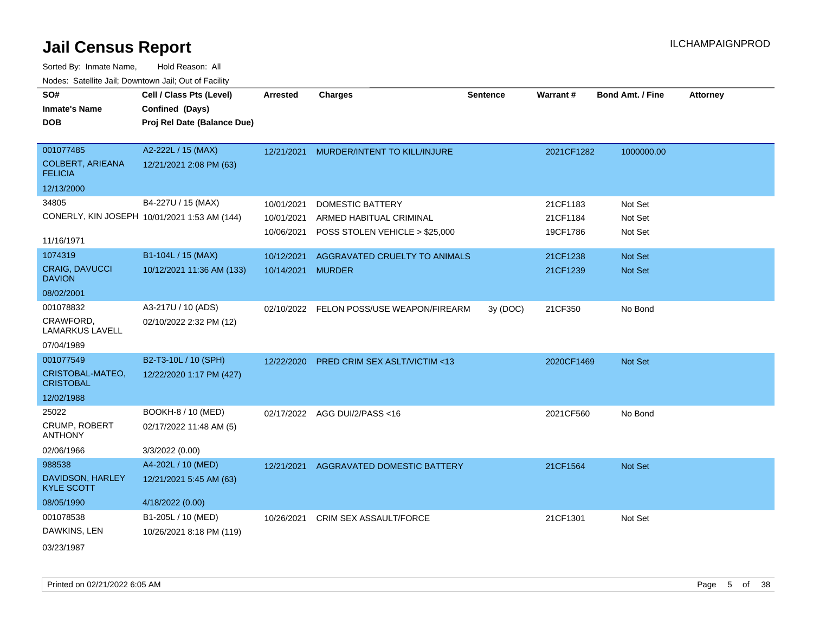| SO#                                       | Cell / Class Pts (Level)                     | <b>Arrested</b>   | <b>Charges</b>                           | <b>Sentence</b> | <b>Warrant#</b> | <b>Bond Amt. / Fine</b> | <b>Attorney</b> |
|-------------------------------------------|----------------------------------------------|-------------------|------------------------------------------|-----------------|-----------------|-------------------------|-----------------|
| <b>Inmate's Name</b>                      | Confined (Days)                              |                   |                                          |                 |                 |                         |                 |
| <b>DOB</b>                                | Proj Rel Date (Balance Due)                  |                   |                                          |                 |                 |                         |                 |
|                                           |                                              |                   |                                          |                 |                 |                         |                 |
| 001077485                                 | A2-222L / 15 (MAX)                           | 12/21/2021        | MURDER/INTENT TO KILL/INJURE             |                 | 2021CF1282      | 1000000.00              |                 |
| <b>COLBERT, ARIEANA</b><br><b>FELICIA</b> | 12/21/2021 2:08 PM (63)                      |                   |                                          |                 |                 |                         |                 |
| 12/13/2000                                |                                              |                   |                                          |                 |                 |                         |                 |
| 34805                                     | B4-227U / 15 (MAX)                           | 10/01/2021        | <b>DOMESTIC BATTERY</b>                  |                 | 21CF1183        | Not Set                 |                 |
|                                           | CONERLY, KIN JOSEPH 10/01/2021 1:53 AM (144) | 10/01/2021        | ARMED HABITUAL CRIMINAL                  |                 | 21CF1184        | Not Set                 |                 |
|                                           |                                              | 10/06/2021        | POSS STOLEN VEHICLE > \$25,000           |                 | 19CF1786        | Not Set                 |                 |
| 11/16/1971                                |                                              |                   |                                          |                 |                 |                         |                 |
| 1074319                                   | B1-104L / 15 (MAX)                           | 10/12/2021        | AGGRAVATED CRUELTY TO ANIMALS            |                 | 21CF1238        | Not Set                 |                 |
| <b>CRAIG, DAVUCCI</b><br><b>DAVION</b>    | 10/12/2021 11:36 AM (133)                    | 10/14/2021 MURDER |                                          |                 | 21CF1239        | <b>Not Set</b>          |                 |
| 08/02/2001                                |                                              |                   |                                          |                 |                 |                         |                 |
| 001078832                                 | A3-217U / 10 (ADS)                           |                   | 02/10/2022 FELON POSS/USE WEAPON/FIREARM | 3y(DOC)         | 21CF350         | No Bond                 |                 |
| CRAWFORD.<br>LAMARKUS LAVELL              | 02/10/2022 2:32 PM (12)                      |                   |                                          |                 |                 |                         |                 |
| 07/04/1989                                |                                              |                   |                                          |                 |                 |                         |                 |
| 001077549                                 | B2-T3-10L / 10 (SPH)                         | 12/22/2020        | PRED CRIM SEX ASLT/VICTIM <13            |                 | 2020CF1469      | <b>Not Set</b>          |                 |
| CRISTOBAL-MATEO,<br><b>CRISTOBAL</b>      | 12/22/2020 1:17 PM (427)                     |                   |                                          |                 |                 |                         |                 |
| 12/02/1988                                |                                              |                   |                                          |                 |                 |                         |                 |
| 25022                                     | BOOKH-8 / 10 (MED)                           | 02/17/2022        | AGG DUI/2/PASS <16                       |                 | 2021CF560       | No Bond                 |                 |
| CRUMP, ROBERT<br><b>ANTHONY</b>           | 02/17/2022 11:48 AM (5)                      |                   |                                          |                 |                 |                         |                 |
| 02/06/1966                                | 3/3/2022 (0.00)                              |                   |                                          |                 |                 |                         |                 |
| 988538                                    | A4-202L / 10 (MED)                           | 12/21/2021        | <b>AGGRAVATED DOMESTIC BATTERY</b>       |                 | 21CF1564        | Not Set                 |                 |
| DAVIDSON, HARLEY<br><b>KYLE SCOTT</b>     | 12/21/2021 5:45 AM (63)                      |                   |                                          |                 |                 |                         |                 |
| 08/05/1990                                | 4/18/2022 (0.00)                             |                   |                                          |                 |                 |                         |                 |
| 001078538                                 | B1-205L / 10 (MED)                           | 10/26/2021        | <b>CRIM SEX ASSAULT/FORCE</b>            |                 | 21CF1301        | Not Set                 |                 |
| DAWKINS, LEN                              | 10/26/2021 8:18 PM (119)                     |                   |                                          |                 |                 |                         |                 |
| 03/23/1987                                |                                              |                   |                                          |                 |                 |                         |                 |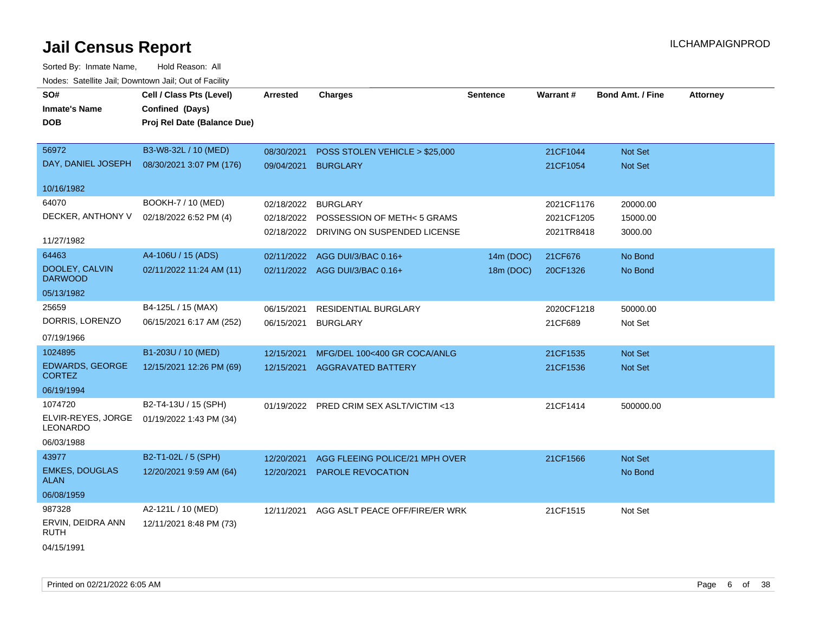| SO#<br><b>Inmate's Name</b><br><b>DOB</b> | Cell / Class Pts (Level)<br>Confined (Days)<br>Proj Rel Date (Balance Due) | <b>Arrested</b>     | <b>Charges</b>                           | <b>Sentence</b> | <b>Warrant#</b> | <b>Bond Amt. / Fine</b> | <b>Attorney</b> |
|-------------------------------------------|----------------------------------------------------------------------------|---------------------|------------------------------------------|-----------------|-----------------|-------------------------|-----------------|
| 56972                                     | B3-W8-32L / 10 (MED)                                                       | 08/30/2021          | POSS STOLEN VEHICLE > \$25,000           |                 | 21CF1044        | Not Set                 |                 |
| DAY, DANIEL JOSEPH                        | 08/30/2021 3:07 PM (176)                                                   | 09/04/2021 BURGLARY |                                          |                 | 21CF1054        | Not Set                 |                 |
| 10/16/1982                                |                                                                            |                     |                                          |                 |                 |                         |                 |
| 64070                                     | BOOKH-7 / 10 (MED)                                                         | 02/18/2022          | <b>BURGLARY</b>                          |                 | 2021CF1176      | 20000.00                |                 |
| DECKER, ANTHONY V                         | 02/18/2022 6:52 PM (4)                                                     |                     | 02/18/2022 POSSESSION OF METH< 5 GRAMS   |                 | 2021CF1205      | 15000.00                |                 |
| 11/27/1982                                |                                                                            |                     | 02/18/2022 DRIVING ON SUSPENDED LICENSE  |                 | 2021TR8418      | 3000.00                 |                 |
| 64463                                     | A4-106U / 15 (ADS)                                                         |                     | 02/11/2022 AGG DUI/3/BAC 0.16+           | 14m (DOC)       | 21CF676         | No Bond                 |                 |
| DOOLEY, CALVIN<br><b>DARWOOD</b>          | 02/11/2022 11:24 AM (11)                                                   |                     | 02/11/2022 AGG DUI/3/BAC 0.16+           | 18m (DOC)       | 20CF1326        | No Bond                 |                 |
| 05/13/1982                                |                                                                            |                     |                                          |                 |                 |                         |                 |
| 25659                                     | B4-125L / 15 (MAX)                                                         | 06/15/2021          | RESIDENTIAL BURGLARY                     |                 | 2020CF1218      | 50000.00                |                 |
| DORRIS, LORENZO                           | 06/15/2021 6:17 AM (252)                                                   | 06/15/2021          | <b>BURGLARY</b>                          |                 | 21CF689         | Not Set                 |                 |
| 07/19/1966                                |                                                                            |                     |                                          |                 |                 |                         |                 |
| 1024895                                   | B1-203U / 10 (MED)                                                         | 12/15/2021          | MFG/DEL 100<400 GR COCA/ANLG             |                 | 21CF1535        | Not Set                 |                 |
| <b>EDWARDS, GEORGE</b><br><b>CORTEZ</b>   | 12/15/2021 12:26 PM (69)                                                   |                     | 12/15/2021 AGGRAVATED BATTERY            |                 | 21CF1536        | Not Set                 |                 |
| 06/19/1994                                |                                                                            |                     |                                          |                 |                 |                         |                 |
| 1074720                                   | B2-T4-13U / 15 (SPH)                                                       |                     | 01/19/2022 PRED CRIM SEX ASLT/VICTIM <13 |                 | 21CF1414        | 500000.00               |                 |
| ELVIR-REYES, JORGE<br>LEONARDO            | 01/19/2022 1:43 PM (34)                                                    |                     |                                          |                 |                 |                         |                 |
| 06/03/1988                                |                                                                            |                     |                                          |                 |                 |                         |                 |
| 43977                                     | B2-T1-02L / 5 (SPH)                                                        | 12/20/2021          | AGG FLEEING POLICE/21 MPH OVER           |                 | 21CF1566        | Not Set                 |                 |
| <b>EMKES, DOUGLAS</b><br><b>ALAN</b>      | 12/20/2021 9:59 AM (64)                                                    | 12/20/2021          | PAROLE REVOCATION                        |                 |                 | No Bond                 |                 |
| 06/08/1959                                |                                                                            |                     |                                          |                 |                 |                         |                 |
| 987328                                    | A2-121L / 10 (MED)                                                         | 12/11/2021          | AGG ASLT PEACE OFF/FIRE/ER WRK           |                 | 21CF1515        | Not Set                 |                 |
| ERVIN, DEIDRA ANN<br><b>RUTH</b>          | 12/11/2021 8:48 PM (73)                                                    |                     |                                          |                 |                 |                         |                 |
| 04/15/1991                                |                                                                            |                     |                                          |                 |                 |                         |                 |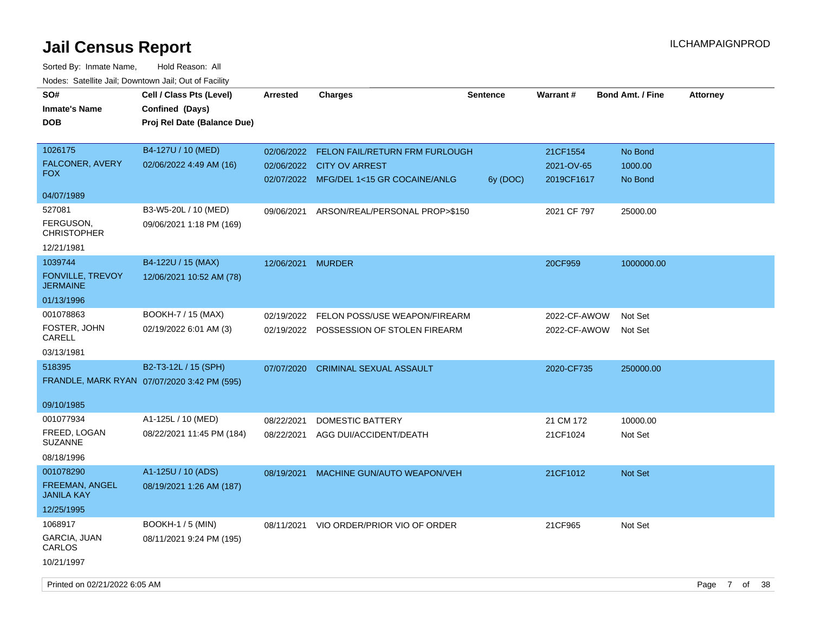| SO#<br><b>Inmate's Name</b><br><b>DOB</b>        | Cell / Class Pts (Level)<br>Confined (Days)<br>Proj Rel Date (Balance Due) | <b>Arrested</b> | <b>Charges</b>                                                                                                    | <b>Sentence</b> | Warrant#                             | <b>Bond Amt. / Fine</b>       | <b>Attorney</b> |  |
|--------------------------------------------------|----------------------------------------------------------------------------|-----------------|-------------------------------------------------------------------------------------------------------------------|-----------------|--------------------------------------|-------------------------------|-----------------|--|
| 1026175<br>FALCONER, AVERY<br><b>FOX</b>         | B4-127U / 10 (MED)<br>02/06/2022 4:49 AM (16)                              |                 | 02/06/2022 FELON FAIL/RETURN FRM FURLOUGH<br>02/06/2022 CITY OV ARREST<br>02/07/2022 MFG/DEL 1<15 GR COCAINE/ANLG | 6y (DOC)        | 21CF1554<br>2021-OV-65<br>2019CF1617 | No Bond<br>1000.00<br>No Bond |                 |  |
| 04/07/1989                                       |                                                                            |                 |                                                                                                                   |                 |                                      |                               |                 |  |
| 527081<br>FERGUSON,<br><b>CHRISTOPHER</b>        | B3-W5-20L / 10 (MED)<br>09/06/2021 1:18 PM (169)                           | 09/06/2021      | ARSON/REAL/PERSONAL PROP>\$150                                                                                    |                 | 2021 CF 797                          | 25000.00                      |                 |  |
| 12/21/1981                                       |                                                                            |                 |                                                                                                                   |                 |                                      |                               |                 |  |
| 1039744<br>FONVILLE, TREVOY<br><b>JERMAINE</b>   | B4-122U / 15 (MAX)<br>12/06/2021 10:52 AM (78)                             | 12/06/2021      | <b>MURDER</b>                                                                                                     |                 | 20CF959                              | 1000000.00                    |                 |  |
| 01/13/1996                                       |                                                                            |                 |                                                                                                                   |                 |                                      |                               |                 |  |
| 001078863<br>FOSTER, JOHN<br>CARELL              | BOOKH-7 / 15 (MAX)<br>02/19/2022 6:01 AM (3)                               | 02/19/2022      | FELON POSS/USE WEAPON/FIREARM<br>02/19/2022 POSSESSION OF STOLEN FIREARM                                          |                 | 2022-CF-AWOW<br>2022-CF-AWOW         | Not Set<br>Not Set            |                 |  |
| 03/13/1981                                       |                                                                            |                 |                                                                                                                   |                 |                                      |                               |                 |  |
| 518395<br>09/10/1985                             | B2-T3-12L / 15 (SPH)<br>FRANDLE, MARK RYAN 07/07/2020 3:42 PM (595)        | 07/07/2020      | <b>CRIMINAL SEXUAL ASSAULT</b>                                                                                    |                 | 2020-CF735                           | 250000.00                     |                 |  |
| 001077934                                        | A1-125L / 10 (MED)                                                         | 08/22/2021      | DOMESTIC BATTERY                                                                                                  |                 | 21 CM 172                            | 10000.00                      |                 |  |
| FREED, LOGAN<br><b>SUZANNE</b>                   | 08/22/2021 11:45 PM (184)                                                  | 08/22/2021      | AGG DUI/ACCIDENT/DEATH                                                                                            |                 | 21CF1024                             | Not Set                       |                 |  |
| 08/18/1996                                       |                                                                            |                 |                                                                                                                   |                 |                                      |                               |                 |  |
| 001078290<br><b>FREEMAN, ANGEL</b><br>JANILA KAY | A1-125U / 10 (ADS)<br>08/19/2021 1:26 AM (187)                             | 08/19/2021      | MACHINE GUN/AUTO WEAPON/VEH                                                                                       |                 | 21CF1012                             | Not Set                       |                 |  |
| 12/25/1995                                       |                                                                            |                 |                                                                                                                   |                 |                                      |                               |                 |  |
| 1068917                                          | <b>BOOKH-1 / 5 (MIN)</b>                                                   | 08/11/2021      | VIO ORDER/PRIOR VIO OF ORDER                                                                                      |                 | 21CF965                              | Not Set                       |                 |  |
| <b>GARCIA, JUAN</b><br>CARLOS                    | 08/11/2021 9:24 PM (195)                                                   |                 |                                                                                                                   |                 |                                      |                               |                 |  |
| 10/21/1997                                       |                                                                            |                 |                                                                                                                   |                 |                                      |                               |                 |  |
| Printed on 02/21/2022 6:05 AM                    |                                                                            |                 |                                                                                                                   |                 |                                      |                               | Page 7 of 38    |  |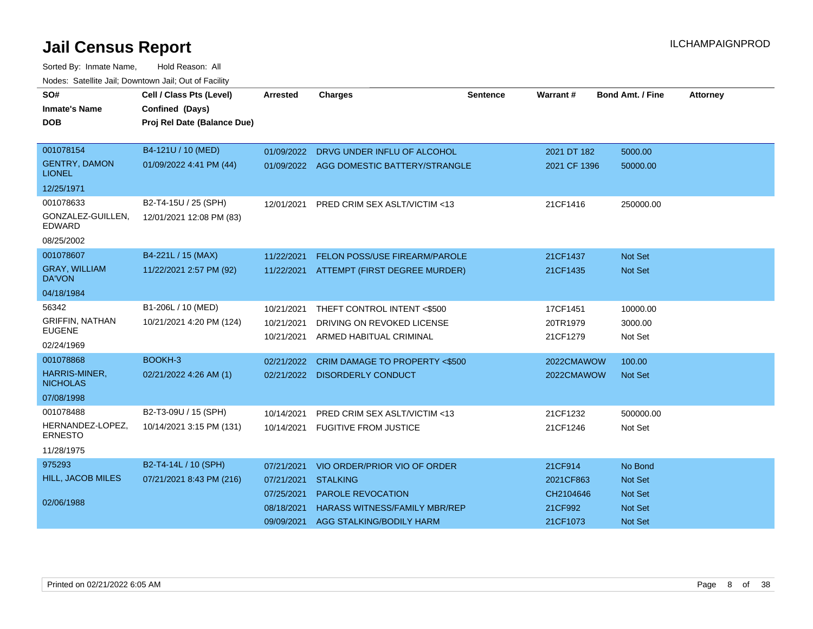| SO#                                   | Cell / Class Pts (Level)    | <b>Arrested</b> | <b>Charges</b>                           | <b>Sentence</b> | Warrant #    | <b>Bond Amt. / Fine</b> | <b>Attorney</b> |
|---------------------------------------|-----------------------------|-----------------|------------------------------------------|-----------------|--------------|-------------------------|-----------------|
| <b>Inmate's Name</b>                  | Confined (Days)             |                 |                                          |                 |              |                         |                 |
| <b>DOB</b>                            | Proj Rel Date (Balance Due) |                 |                                          |                 |              |                         |                 |
|                                       |                             |                 |                                          |                 |              |                         |                 |
| 001078154                             | B4-121U / 10 (MED)          |                 | 01/09/2022 DRVG UNDER INFLU OF ALCOHOL   |                 | 2021 DT 182  | 5000.00                 |                 |
| <b>GENTRY, DAMON</b><br><b>LIONEL</b> | 01/09/2022 4:41 PM (44)     |                 | 01/09/2022 AGG DOMESTIC BATTERY/STRANGLE |                 | 2021 CF 1396 | 50000.00                |                 |
| 12/25/1971                            |                             |                 |                                          |                 |              |                         |                 |
| 001078633                             | B2-T4-15U / 25 (SPH)        | 12/01/2021      | PRED CRIM SEX ASLT/VICTIM <13            |                 | 21CF1416     | 250000.00               |                 |
| GONZALEZ-GUILLEN,<br><b>EDWARD</b>    | 12/01/2021 12:08 PM (83)    |                 |                                          |                 |              |                         |                 |
| 08/25/2002                            |                             |                 |                                          |                 |              |                         |                 |
| 001078607                             | B4-221L / 15 (MAX)          | 11/22/2021      | FELON POSS/USE FIREARM/PAROLE            |                 | 21CF1437     | Not Set                 |                 |
| <b>GRAY, WILLIAM</b><br><b>DA'VON</b> | 11/22/2021 2:57 PM (92)     | 11/22/2021      | ATTEMPT (FIRST DEGREE MURDER)            |                 | 21CF1435     | <b>Not Set</b>          |                 |
| 04/18/1984                            |                             |                 |                                          |                 |              |                         |                 |
| 56342                                 | B1-206L / 10 (MED)          | 10/21/2021      | THEFT CONTROL INTENT <\$500              |                 | 17CF1451     | 10000.00                |                 |
| <b>GRIFFIN, NATHAN</b>                | 10/21/2021 4:20 PM (124)    | 10/21/2021      | DRIVING ON REVOKED LICENSE               |                 | 20TR1979     | 3000.00                 |                 |
| <b>EUGENE</b>                         |                             | 10/21/2021      | ARMED HABITUAL CRIMINAL                  |                 | 21CF1279     | Not Set                 |                 |
| 02/24/1969                            |                             |                 |                                          |                 |              |                         |                 |
| 001078868                             | BOOKH-3                     | 02/21/2022      | <b>CRIM DAMAGE TO PROPERTY &lt;\$500</b> |                 | 2022CMAWOW   | 100.00                  |                 |
| HARRIS-MINER,<br><b>NICHOLAS</b>      | 02/21/2022 4:26 AM (1)      |                 | 02/21/2022 DISORDERLY CONDUCT            |                 | 2022CMAWOW   | <b>Not Set</b>          |                 |
| 07/08/1998                            |                             |                 |                                          |                 |              |                         |                 |
| 001078488                             | B2-T3-09U / 15 (SPH)        | 10/14/2021      | <b>PRED CRIM SEX ASLT/VICTIM &lt;13</b>  |                 | 21CF1232     | 500000.00               |                 |
| HERNANDEZ-LOPEZ,<br><b>ERNESTO</b>    | 10/14/2021 3:15 PM (131)    |                 | 10/14/2021 FUGITIVE FROM JUSTICE         |                 | 21CF1246     | Not Set                 |                 |
| 11/28/1975                            |                             |                 |                                          |                 |              |                         |                 |
| 975293                                | B2-T4-14L / 10 (SPH)        | 07/21/2021      | VIO ORDER/PRIOR VIO OF ORDER             |                 | 21CF914      | No Bond                 |                 |
| HILL, JACOB MILES                     | 07/21/2021 8:43 PM (216)    | 07/21/2021      | <b>STALKING</b>                          |                 | 2021CF863    | <b>Not Set</b>          |                 |
|                                       |                             | 07/25/2021      | PAROLE REVOCATION                        |                 | CH2104646    | <b>Not Set</b>          |                 |
| 02/06/1988                            |                             | 08/18/2021      | <b>HARASS WITNESS/FAMILY MBR/REP</b>     |                 | 21CF992      | <b>Not Set</b>          |                 |
|                                       |                             | 09/09/2021      | AGG STALKING/BODILY HARM                 |                 | 21CF1073     | Not Set                 |                 |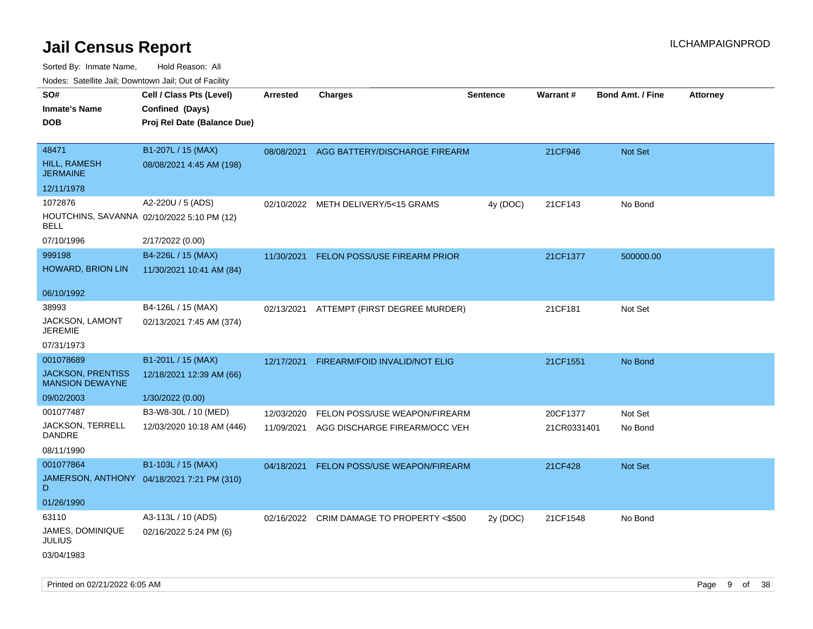| roaco. Calcillo dall, Downtown dall, Cal of Fability      |                                            |                 |                                           |                 |             |                         |                 |
|-----------------------------------------------------------|--------------------------------------------|-----------------|-------------------------------------------|-----------------|-------------|-------------------------|-----------------|
| SO#                                                       | Cell / Class Pts (Level)                   | <b>Arrested</b> | <b>Charges</b>                            | <b>Sentence</b> | Warrant#    | <b>Bond Amt. / Fine</b> | <b>Attorney</b> |
| <b>Inmate's Name</b>                                      | Confined (Days)                            |                 |                                           |                 |             |                         |                 |
| <b>DOB</b>                                                | Proj Rel Date (Balance Due)                |                 |                                           |                 |             |                         |                 |
|                                                           |                                            |                 |                                           |                 |             |                         |                 |
| 48471                                                     | B1-207L / 15 (MAX)                         | 08/08/2021      | AGG BATTERY/DISCHARGE FIREARM             |                 | 21CF946     | Not Set                 |                 |
| <b>HILL, RAMESH</b><br><b>JERMAINE</b>                    | 08/08/2021 4:45 AM (198)                   |                 |                                           |                 |             |                         |                 |
| 12/11/1978                                                |                                            |                 |                                           |                 |             |                         |                 |
| 1072876                                                   | A2-220U / 5 (ADS)                          | 02/10/2022      | METH DELIVERY/5<15 GRAMS                  | 4y (DOC)        | 21CF143     | No Bond                 |                 |
| HOUTCHINS, SAVANNA 02/10/2022 5:10 PM (12)<br><b>BELL</b> |                                            |                 |                                           |                 |             |                         |                 |
| 07/10/1996                                                | 2/17/2022 (0.00)                           |                 |                                           |                 |             |                         |                 |
| 999198                                                    | B4-226L / 15 (MAX)                         | 11/30/2021      | FELON POSS/USE FIREARM PRIOR              |                 | 21CF1377    | 500000.00               |                 |
| <b>HOWARD, BRION LIN</b>                                  | 11/30/2021 10:41 AM (84)                   |                 |                                           |                 |             |                         |                 |
|                                                           |                                            |                 |                                           |                 |             |                         |                 |
| 06/10/1992                                                |                                            |                 |                                           |                 |             |                         |                 |
| 38993                                                     | B4-126L / 15 (MAX)                         | 02/13/2021      | ATTEMPT (FIRST DEGREE MURDER)             |                 | 21CF181     | Not Set                 |                 |
| JACKSON, LAMONT<br><b>JEREMIE</b>                         | 02/13/2021 7:45 AM (374)                   |                 |                                           |                 |             |                         |                 |
| 07/31/1973                                                |                                            |                 |                                           |                 |             |                         |                 |
| 001078689                                                 | B1-201L / 15 (MAX)                         | 12/17/2021      | FIREARM/FOID INVALID/NOT ELIG             |                 | 21CF1551    | No Bond                 |                 |
| <b>JACKSON, PRENTISS</b><br><b>MANSION DEWAYNE</b>        | 12/18/2021 12:39 AM (66)                   |                 |                                           |                 |             |                         |                 |
| 09/02/2003                                                | 1/30/2022 (0.00)                           |                 |                                           |                 |             |                         |                 |
| 001077487                                                 | B3-W8-30L / 10 (MED)                       | 12/03/2020      | FELON POSS/USE WEAPON/FIREARM             |                 | 20CF1377    | Not Set                 |                 |
| JACKSON, TERRELL<br>DANDRE                                | 12/03/2020 10:18 AM (446)                  | 11/09/2021      | AGG DISCHARGE FIREARM/OCC VEH             |                 | 21CR0331401 | No Bond                 |                 |
| 08/11/1990                                                |                                            |                 |                                           |                 |             |                         |                 |
| 001077864                                                 | B1-103L / 15 (MAX)                         | 04/18/2021      | FELON POSS/USE WEAPON/FIREARM             |                 | 21CF428     | Not Set                 |                 |
| D                                                         | JAMERSON, ANTHONY 04/18/2021 7:21 PM (310) |                 |                                           |                 |             |                         |                 |
| 01/26/1990                                                |                                            |                 |                                           |                 |             |                         |                 |
| 63110                                                     | A3-113L / 10 (ADS)                         |                 | 02/16/2022 CRIM DAMAGE TO PROPERTY <\$500 | 2y (DOC)        | 21CF1548    | No Bond                 |                 |
| JAMES, DOMINIQUE<br><b>JULIUS</b>                         | 02/16/2022 5:24 PM (6)                     |                 |                                           |                 |             |                         |                 |
| 03/04/1983                                                |                                            |                 |                                           |                 |             |                         |                 |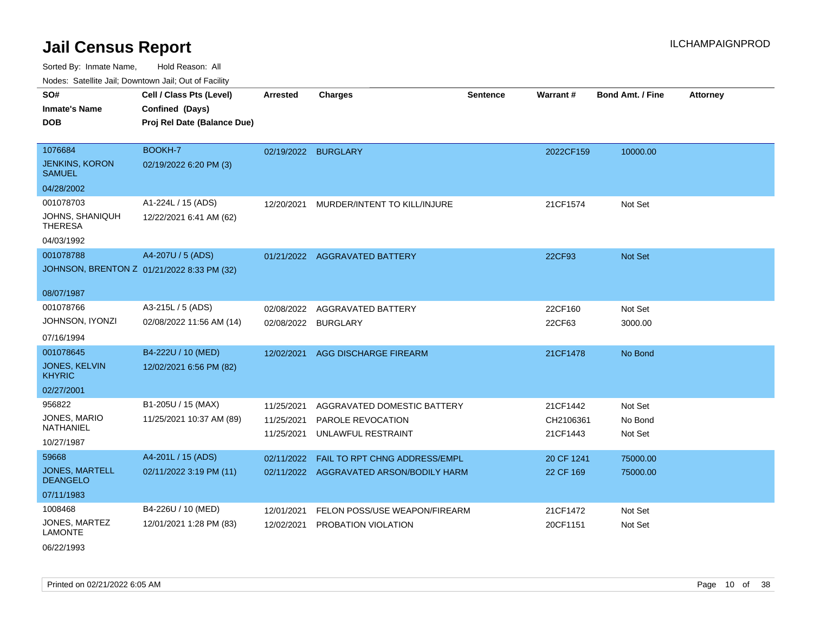Sorted By: Inmate Name, Hold Reason: All Nodes: Satellite Jail; Downtown Jail; Out of Facility

| <u>Houco. Catolino dall, Downtown dall, Out of Fuolint</u> |                                             |                     |                                         |                 |            |                         |                 |
|------------------------------------------------------------|---------------------------------------------|---------------------|-----------------------------------------|-----------------|------------|-------------------------|-----------------|
| SO#<br><b>Inmate's Name</b>                                | Cell / Class Pts (Level)<br>Confined (Days) | <b>Arrested</b>     | <b>Charges</b>                          | <b>Sentence</b> | Warrant#   | <b>Bond Amt. / Fine</b> | <b>Attorney</b> |
| <b>DOB</b>                                                 | Proj Rel Date (Balance Due)                 |                     |                                         |                 |            |                         |                 |
| 1076684                                                    | BOOKH-7                                     | 02/19/2022 BURGLARY |                                         |                 | 2022CF159  | 10000.00                |                 |
| <b>JENKINS, KORON</b><br><b>SAMUEL</b>                     | 02/19/2022 6:20 PM (3)                      |                     |                                         |                 |            |                         |                 |
| 04/28/2002                                                 |                                             |                     |                                         |                 |            |                         |                 |
| 001078703                                                  | A1-224L / 15 (ADS)                          | 12/20/2021          | MURDER/INTENT TO KILL/INJURE            |                 | 21CF1574   | Not Set                 |                 |
| JOHNS, SHANIQUH<br><b>THERESA</b>                          | 12/22/2021 6:41 AM (62)                     |                     |                                         |                 |            |                         |                 |
| 04/03/1992                                                 |                                             |                     |                                         |                 |            |                         |                 |
| 001078788                                                  | A4-207U / 5 (ADS)                           |                     | 01/21/2022 AGGRAVATED BATTERY           |                 | 22CF93     | Not Set                 |                 |
| JOHNSON, BRENTON Z 01/21/2022 8:33 PM (32)                 |                                             |                     |                                         |                 |            |                         |                 |
| 08/07/1987                                                 |                                             |                     |                                         |                 |            |                         |                 |
| 001078766                                                  | A3-215L / 5 (ADS)                           | 02/08/2022          | <b>AGGRAVATED BATTERY</b>               |                 | 22CF160    | Not Set                 |                 |
| JOHNSON, IYONZI                                            | 02/08/2022 11:56 AM (14)                    | 02/08/2022          | <b>BURGLARY</b>                         |                 | 22CF63     | 3000.00                 |                 |
| 07/16/1994                                                 |                                             |                     |                                         |                 |            |                         |                 |
| 001078645                                                  | B4-222U / 10 (MED)                          | 12/02/2021          | <b>AGG DISCHARGE FIREARM</b>            |                 | 21CF1478   | No Bond                 |                 |
| <b>JONES, KELVIN</b><br><b>KHYRIC</b>                      | 12/02/2021 6:56 PM (82)                     |                     |                                         |                 |            |                         |                 |
| 02/27/2001                                                 |                                             |                     |                                         |                 |            |                         |                 |
| 956822                                                     | B1-205U / 15 (MAX)                          | 11/25/2021          | AGGRAVATED DOMESTIC BATTERY             |                 | 21CF1442   | Not Set                 |                 |
| JONES, MARIO                                               | 11/25/2021 10:37 AM (89)                    | 11/25/2021          | PAROLE REVOCATION                       |                 | CH2106361  | No Bond                 |                 |
| NATHANIEL                                                  |                                             | 11/25/2021          | UNLAWFUL RESTRAINT                      |                 | 21CF1443   | Not Set                 |                 |
| 10/27/1987<br>59668                                        | A4-201L / 15 (ADS)                          |                     |                                         |                 |            |                         |                 |
| <b>JONES, MARTELL</b>                                      |                                             | 02/11/2022          | FAIL TO RPT CHNG ADDRESS/EMPL           |                 | 20 CF 1241 | 75000.00                |                 |
| <b>DEANGELO</b>                                            | 02/11/2022 3:19 PM (11)                     |                     | 02/11/2022 AGGRAVATED ARSON/BODILY HARM |                 | 22 CF 169  | 75000.00                |                 |
| 07/11/1983                                                 |                                             |                     |                                         |                 |            |                         |                 |
| 1008468                                                    | B4-226U / 10 (MED)                          | 12/01/2021          | FELON POSS/USE WEAPON/FIREARM           |                 | 21CF1472   | Not Set                 |                 |
| JONES, MARTEZ<br><b>LAMONTE</b>                            | 12/01/2021 1:28 PM (83)                     | 12/02/2021          | PROBATION VIOLATION                     |                 | 20CF1151   | Not Set                 |                 |

06/22/1993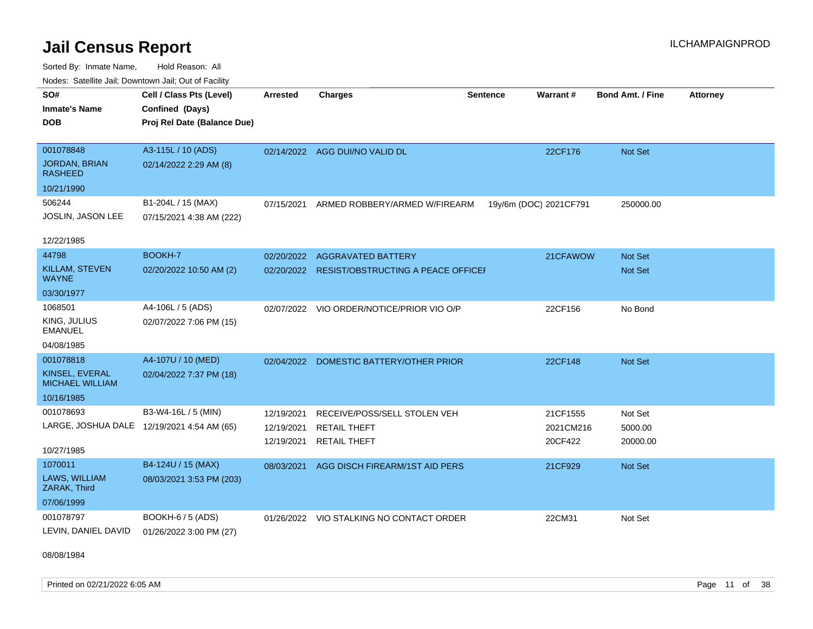Sorted By: Inmate Name, Hold Reason: All Nodes: Satellite Jail; Downtown Jail; Out of Facility

| SO#<br><b>Inmate's Name</b><br><b>DOB</b><br>001078848 | Cell / Class Pts (Level)<br>Confined (Days)<br>Proj Rel Date (Balance Due)<br>A3-115L / 10 (ADS) | <b>Arrested</b>          | <b>Charges</b><br>02/14/2022 AGG DUI/NO VALID DL | <b>Sentence</b> | Warrant#<br>22CF176    | Bond Amt. / Fine<br><b>Not Set</b> | <b>Attorney</b> |
|--------------------------------------------------------|--------------------------------------------------------------------------------------------------|--------------------------|--------------------------------------------------|-----------------|------------------------|------------------------------------|-----------------|
| <b>JORDAN, BRIAN</b><br><b>RASHEED</b>                 | 02/14/2022 2:29 AM (8)                                                                           |                          |                                                  |                 |                        |                                    |                 |
| 10/21/1990                                             |                                                                                                  |                          |                                                  |                 |                        |                                    |                 |
| 506244<br><b>JOSLIN, JASON LEE</b>                     | B1-204L / 15 (MAX)<br>07/15/2021 4:38 AM (222)                                                   | 07/15/2021               | ARMED ROBBERY/ARMED W/FIREARM                    |                 | 19y/6m (DOC) 2021CF791 | 250000.00                          |                 |
| 12/22/1985                                             |                                                                                                  |                          |                                                  |                 |                        |                                    |                 |
| 44798                                                  | BOOKH-7                                                                                          | 02/20/2022               | <b>AGGRAVATED BATTERY</b>                        |                 | 21CFAWOW               | <b>Not Set</b>                     |                 |
| KILLAM, STEVEN<br><b>WAYNE</b>                         | 02/20/2022 10:50 AM (2)                                                                          |                          | 02/20/2022 RESIST/OBSTRUCTING A PEACE OFFICEI    |                 |                        | Not Set                            |                 |
| 03/30/1977                                             |                                                                                                  |                          |                                                  |                 |                        |                                    |                 |
| 1068501                                                | A4-106L / 5 (ADS)                                                                                |                          | 02/07/2022 VIO ORDER/NOTICE/PRIOR VIO O/P        |                 | 22CF156                | No Bond                            |                 |
| KING, JULIUS<br><b>EMANUEL</b>                         | 02/07/2022 7:06 PM (15)                                                                          |                          |                                                  |                 |                        |                                    |                 |
| 04/08/1985                                             |                                                                                                  |                          |                                                  |                 |                        |                                    |                 |
| 001078818                                              | A4-107U / 10 (MED)                                                                               |                          | 02/04/2022 DOMESTIC BATTERY/OTHER PRIOR          |                 | 22CF148                | <b>Not Set</b>                     |                 |
| KINSEL, EVERAL<br><b>MICHAEL WILLIAM</b>               | 02/04/2022 7:37 PM (18)                                                                          |                          |                                                  |                 |                        |                                    |                 |
| 10/16/1985                                             |                                                                                                  |                          |                                                  |                 |                        |                                    |                 |
| 001078693                                              | B3-W4-16L / 5 (MIN)                                                                              | 12/19/2021               | RECEIVE/POSS/SELL STOLEN VEH                     |                 | 21CF1555               | Not Set                            |                 |
| LARGE, JOSHUA DALE 12/19/2021 4:54 AM (65)             |                                                                                                  | 12/19/2021<br>12/19/2021 | <b>RETAIL THEFT</b><br><b>RETAIL THEFT</b>       |                 | 2021CM216<br>20CF422   | 5000.00<br>20000.00                |                 |
| 10/27/1985                                             |                                                                                                  |                          |                                                  |                 |                        |                                    |                 |
| 1070011                                                | B4-124U / 15 (MAX)                                                                               | 08/03/2021               | AGG DISCH FIREARM/1ST AID PERS                   |                 | 21CF929                | Not Set                            |                 |
| LAWS, WILLIAM<br>ZARAK, Third                          | 08/03/2021 3:53 PM (203)                                                                         |                          |                                                  |                 |                        |                                    |                 |
| 07/06/1999                                             |                                                                                                  |                          |                                                  |                 |                        |                                    |                 |
| 001078797<br>LEVIN, DANIEL DAVID                       | BOOKH-6 / 5 (ADS)<br>01/26/2022 3:00 PM (27)                                                     |                          | 01/26/2022 VIO STALKING NO CONTACT ORDER         |                 | 22CM31                 | Not Set                            |                 |

08/08/1984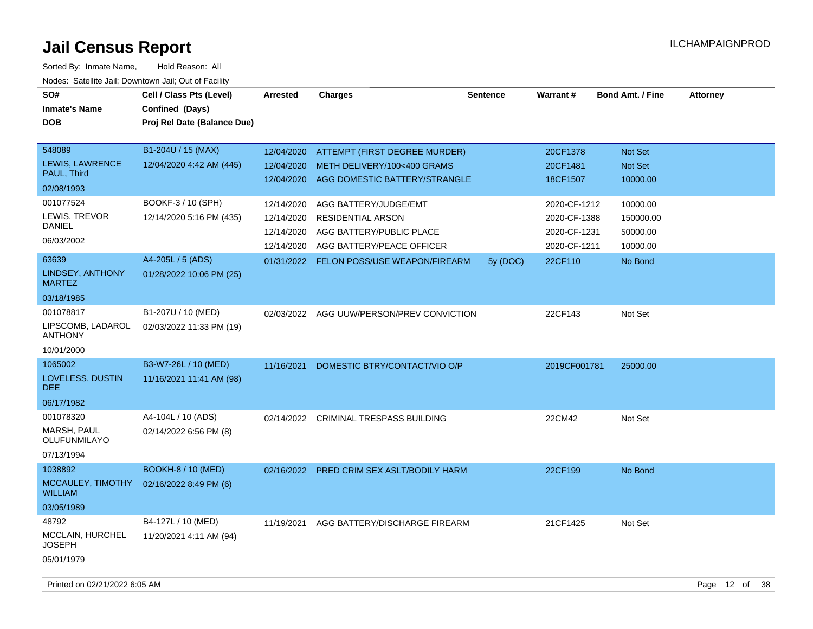| SO#<br><b>Inmate's Name</b><br><b>DOB</b>        | Cell / Class Pts (Level)<br>Confined (Days)<br>Proj Rel Date (Balance Due) | <b>Arrested</b> | <b>Charges</b>                 | <b>Sentence</b> | <b>Warrant#</b> | <b>Bond Amt. / Fine</b> | <b>Attorney</b> |
|--------------------------------------------------|----------------------------------------------------------------------------|-----------------|--------------------------------|-----------------|-----------------|-------------------------|-----------------|
| 548089                                           | B1-204U / 15 (MAX)                                                         | 12/04/2020      | ATTEMPT (FIRST DEGREE MURDER)  |                 | 20CF1378        | Not Set                 |                 |
| <b>LEWIS, LAWRENCE</b><br>PAUL, Third            | 12/04/2020 4:42 AM (445)                                                   | 12/04/2020      | METH DELIVERY/100<400 GRAMS    |                 | 20CF1481        | Not Set                 |                 |
| 02/08/1993                                       |                                                                            | 12/04/2020      | AGG DOMESTIC BATTERY/STRANGLE  |                 | 18CF1507        | 10000.00                |                 |
| 001077524                                        | BOOKF-3 / 10 (SPH)                                                         | 12/14/2020      | AGG BATTERY/JUDGE/EMT          |                 | 2020-CF-1212    | 10000.00                |                 |
| LEWIS, TREVOR                                    | 12/14/2020 5:16 PM (435)                                                   | 12/14/2020      | RESIDENTIAL ARSON              |                 | 2020-CF-1388    | 150000.00               |                 |
| <b>DANIEL</b>                                    |                                                                            | 12/14/2020      | AGG BATTERY/PUBLIC PLACE       |                 | 2020-CF-1231    | 50000.00                |                 |
| 06/03/2002                                       |                                                                            | 12/14/2020      | AGG BATTERY/PEACE OFFICER      |                 | 2020-CF-1211    | 10000.00                |                 |
| 63639                                            | A4-205L / 5 (ADS)                                                          | 01/31/2022      | FELON POSS/USE WEAPON/FIREARM  | 5y (DOC)        | 22CF110         | No Bond                 |                 |
| <b>LINDSEY, ANTHONY</b><br><b>MARTEZ</b>         | 01/28/2022 10:06 PM (25)                                                   |                 |                                |                 |                 |                         |                 |
| 03/18/1985                                       |                                                                            |                 |                                |                 |                 |                         |                 |
| 001078817<br>LIPSCOMB, LADAROL<br><b>ANTHONY</b> | B1-207U / 10 (MED)<br>02/03/2022 11:33 PM (19)                             | 02/03/2022      | AGG UUW/PERSON/PREV CONVICTION |                 | 22CF143         | Not Set                 |                 |
| 10/01/2000                                       |                                                                            |                 |                                |                 |                 |                         |                 |
| 1065002                                          | B3-W7-26L / 10 (MED)                                                       | 11/16/2021      | DOMESTIC BTRY/CONTACT/VIO O/P  |                 | 2019CF001781    | 25000.00                |                 |
| LOVELESS, DUSTIN<br><b>DEE</b>                   | 11/16/2021 11:41 AM (98)                                                   |                 |                                |                 |                 |                         |                 |
| 06/17/1982                                       |                                                                            |                 |                                |                 |                 |                         |                 |
| 001078320                                        | A4-104L / 10 (ADS)                                                         | 02/14/2022      | CRIMINAL TRESPASS BUILDING     |                 | 22CM42          | Not Set                 |                 |
| MARSH, PAUL<br>OLUFUNMILAYO                      | 02/14/2022 6:56 PM (8)                                                     |                 |                                |                 |                 |                         |                 |
| 07/13/1994                                       |                                                                            |                 |                                |                 |                 |                         |                 |
| 1038892                                          | <b>BOOKH-8 / 10 (MED)</b>                                                  | 02/16/2022      | PRED CRIM SEX ASLT/BODILY HARM |                 | 22CF199         | No Bond                 |                 |
| MCCAULEY, TIMOTHY<br><b>WILLIAM</b>              | 02/16/2022 8:49 PM (6)                                                     |                 |                                |                 |                 |                         |                 |
| 03/05/1989                                       |                                                                            |                 |                                |                 |                 |                         |                 |
| 48792                                            | B4-127L / 10 (MED)                                                         | 11/19/2021      | AGG BATTERY/DISCHARGE FIREARM  |                 | 21CF1425        | Not Set                 |                 |
| MCCLAIN, HURCHEL<br><b>JOSEPH</b>                | 11/20/2021 4:11 AM (94)                                                    |                 |                                |                 |                 |                         |                 |
| 05/01/1979                                       |                                                                            |                 |                                |                 |                 |                         |                 |
|                                                  |                                                                            |                 |                                |                 |                 |                         |                 |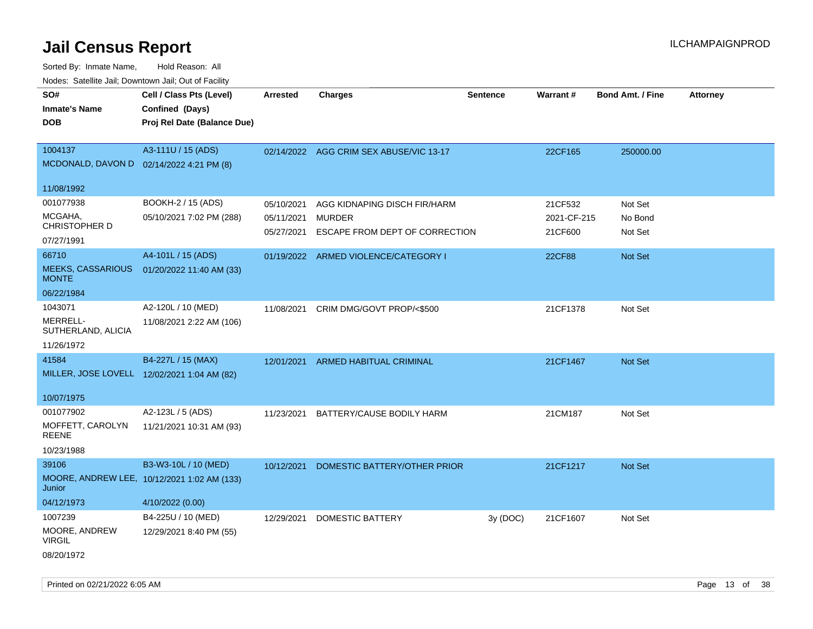| SO#<br><b>Inmate's Name</b><br><b>DOB</b>                   | Todoo. Catolino can, Bowritown can, Oat or Fability<br>Cell / Class Pts (Level)<br>Confined (Days)<br>Proj Rel Date (Balance Due) | <b>Arrested</b>                        | <b>Charges</b>                                                                  | <b>Sentence</b> | Warrant#                          | <b>Bond Amt. / Fine</b>       | <b>Attorney</b> |
|-------------------------------------------------------------|-----------------------------------------------------------------------------------------------------------------------------------|----------------------------------------|---------------------------------------------------------------------------------|-----------------|-----------------------------------|-------------------------------|-----------------|
| 1004137<br>MCDONALD, DAVON D 02/14/2022 4:21 PM (8)         | A3-111U / 15 (ADS)                                                                                                                |                                        | 02/14/2022 AGG CRIM SEX ABUSE/VIC 13-17                                         |                 | 22CF165                           | 250000.00                     |                 |
| 11/08/1992                                                  |                                                                                                                                   |                                        |                                                                                 |                 |                                   |                               |                 |
| 001077938<br>MCGAHA,<br>CHRISTOPHER D                       | BOOKH-2 / 15 (ADS)<br>05/10/2021 7:02 PM (288)                                                                                    | 05/10/2021<br>05/11/2021<br>05/27/2021 | AGG KIDNAPING DISCH FIR/HARM<br><b>MURDER</b><br>ESCAPE FROM DEPT OF CORRECTION |                 | 21CF532<br>2021-CF-215<br>21CF600 | Not Set<br>No Bond<br>Not Set |                 |
| 07/27/1991                                                  |                                                                                                                                   |                                        |                                                                                 |                 |                                   |                               |                 |
| 66710<br><b>MEEKS, CASSARIOUS</b><br><b>MONTE</b>           | A4-101L / 15 (ADS)<br>01/20/2022 11:40 AM (33)                                                                                    |                                        | 01/19/2022 ARMED VIOLENCE/CATEGORY I                                            |                 | <b>22CF88</b>                     | Not Set                       |                 |
| 06/22/1984                                                  |                                                                                                                                   |                                        |                                                                                 |                 |                                   |                               |                 |
| 1043071<br>MERRELL-<br>SUTHERLAND, ALICIA                   | A2-120L / 10 (MED)<br>11/08/2021 2:22 AM (106)                                                                                    | 11/08/2021                             | CRIM DMG/GOVT PROP/<\$500                                                       |                 | 21CF1378                          | Not Set                       |                 |
| 11/26/1972                                                  |                                                                                                                                   |                                        |                                                                                 |                 |                                   |                               |                 |
| 41584<br>MILLER, JOSE LOVELL 12/02/2021 1:04 AM (82)        | B4-227L / 15 (MAX)                                                                                                                | 12/01/2021                             | <b>ARMED HABITUAL CRIMINAL</b>                                                  |                 | 21CF1467                          | <b>Not Set</b>                |                 |
| 10/07/1975                                                  |                                                                                                                                   |                                        |                                                                                 |                 |                                   |                               |                 |
| 001077902<br>MOFFETT, CAROLYN<br><b>REENE</b><br>10/23/1988 | A2-123L / 5 (ADS)<br>11/21/2021 10:31 AM (93)                                                                                     | 11/23/2021                             | BATTERY/CAUSE BODILY HARM                                                       |                 | 21CM187                           | Not Set                       |                 |
| 39106<br>Junior                                             | B3-W3-10L / 10 (MED)<br>MOORE, ANDREW LEE, 10/12/2021 1:02 AM (133)                                                               | 10/12/2021                             | DOMESTIC BATTERY/OTHER PRIOR                                                    |                 | 21CF1217                          | Not Set                       |                 |
| 04/12/1973<br>1007239                                       | 4/10/2022 (0.00)<br>B4-225U / 10 (MED)                                                                                            |                                        |                                                                                 |                 |                                   |                               |                 |
| MOORE, ANDREW<br><b>VIRGIL</b><br>08/20/1972                | 12/29/2021 8:40 PM (55)                                                                                                           | 12/29/2021                             | DOMESTIC BATTERY                                                                | 3y(DOC)         | 21CF1607                          | Not Set                       |                 |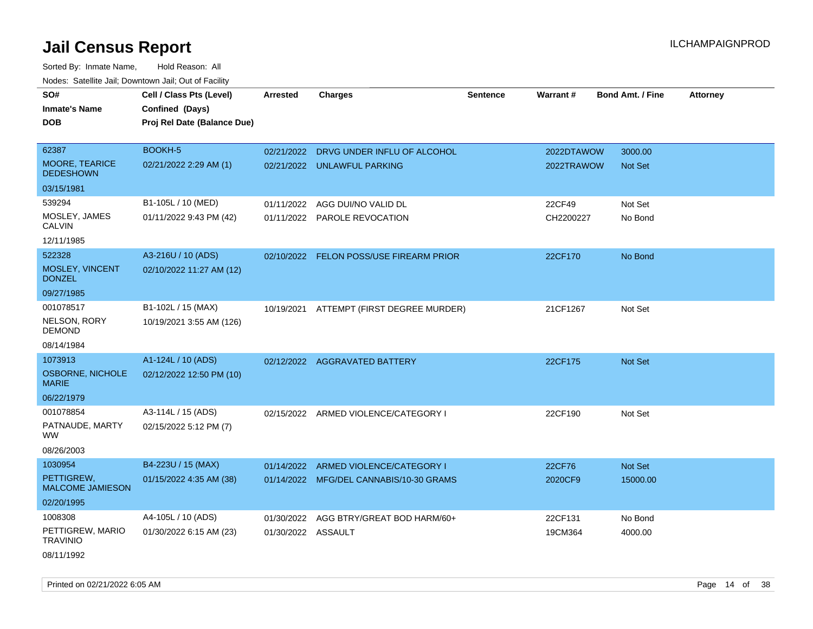Sorted By: Inmate Name, Hold Reason: All Nodes: Satellite Jail; Downtown Jail; Out of Facility

| SO#                                     | Cell / Class Pts (Level)    | <b>Arrested</b>    | <b>Charges</b>                          | <b>Sentence</b> | Warrant#   | <b>Bond Amt. / Fine</b> | <b>Attorney</b> |
|-----------------------------------------|-----------------------------|--------------------|-----------------------------------------|-----------------|------------|-------------------------|-----------------|
| <b>Inmate's Name</b>                    | Confined (Days)             |                    |                                         |                 |            |                         |                 |
| <b>DOB</b>                              | Proj Rel Date (Balance Due) |                    |                                         |                 |            |                         |                 |
|                                         |                             |                    |                                         |                 |            |                         |                 |
| 62387                                   | BOOKH-5                     | 02/21/2022         | DRVG UNDER INFLU OF ALCOHOL             |                 | 2022DTAWOW | 3000.00                 |                 |
| MOORE, TEARICE<br><b>DEDESHOWN</b>      | 02/21/2022 2:29 AM (1)      |                    | 02/21/2022 UNLAWFUL PARKING             |                 | 2022TRAWOW | <b>Not Set</b>          |                 |
| 03/15/1981                              |                             |                    |                                         |                 |            |                         |                 |
| 539294                                  | B1-105L / 10 (MED)          | 01/11/2022         | AGG DUI/NO VALID DL                     |                 | 22CF49     | Not Set                 |                 |
| MOSLEY, JAMES<br><b>CALVIN</b>          | 01/11/2022 9:43 PM (42)     |                    | 01/11/2022 PAROLE REVOCATION            |                 | CH2200227  | No Bond                 |                 |
| 12/11/1985                              |                             |                    |                                         |                 |            |                         |                 |
| 522328                                  | A3-216U / 10 (ADS)          |                    | 02/10/2022 FELON POSS/USE FIREARM PRIOR |                 | 22CF170    | No Bond                 |                 |
| MOSLEY, VINCENT<br><b>DONZEL</b>        | 02/10/2022 11:27 AM (12)    |                    |                                         |                 |            |                         |                 |
| 09/27/1985                              |                             |                    |                                         |                 |            |                         |                 |
| 001078517                               | B1-102L / 15 (MAX)          | 10/19/2021         | ATTEMPT (FIRST DEGREE MURDER)           |                 | 21CF1267   | Not Set                 |                 |
| NELSON, RORY<br><b>DEMOND</b>           | 10/19/2021 3:55 AM (126)    |                    |                                         |                 |            |                         |                 |
| 08/14/1984                              |                             |                    |                                         |                 |            |                         |                 |
| 1073913                                 | A1-124L / 10 (ADS)          |                    | 02/12/2022 AGGRAVATED BATTERY           |                 | 22CF175    | Not Set                 |                 |
| <b>OSBORNE, NICHOLE</b><br><b>MARIE</b> | 02/12/2022 12:50 PM (10)    |                    |                                         |                 |            |                         |                 |
| 06/22/1979                              |                             |                    |                                         |                 |            |                         |                 |
| 001078854                               | A3-114L / 15 (ADS)          |                    | 02/15/2022 ARMED VIOLENCE/CATEGORY I    |                 | 22CF190    | Not Set                 |                 |
| PATNAUDE, MARTY<br><b>WW</b>            | 02/15/2022 5:12 PM (7)      |                    |                                         |                 |            |                         |                 |
| 08/26/2003                              |                             |                    |                                         |                 |            |                         |                 |
| 1030954                                 | B4-223U / 15 (MAX)          |                    | 01/14/2022 ARMED VIOLENCE/CATEGORY I    |                 | 22CF76     | Not Set                 |                 |
| PETTIGREW.<br>MALCOME JAMIESON          | 01/15/2022 4:35 AM (38)     |                    | 01/14/2022 MFG/DEL CANNABIS/10-30 GRAMS |                 | 2020CF9    | 15000.00                |                 |
| 02/20/1995                              |                             |                    |                                         |                 |            |                         |                 |
| 1008308                                 | A4-105L / 10 (ADS)          |                    | 01/30/2022 AGG BTRY/GREAT BOD HARM/60+  |                 | 22CF131    | No Bond                 |                 |
| PETTIGREW, MARIO<br><b>TRAVINIO</b>     | 01/30/2022 6:15 AM (23)     | 01/30/2022 ASSAULT |                                         |                 | 19CM364    | 4000.00                 |                 |
| 08/11/1992                              |                             |                    |                                         |                 |            |                         |                 |

Printed on 02/21/2022 6:05 AM **Page 14** of 38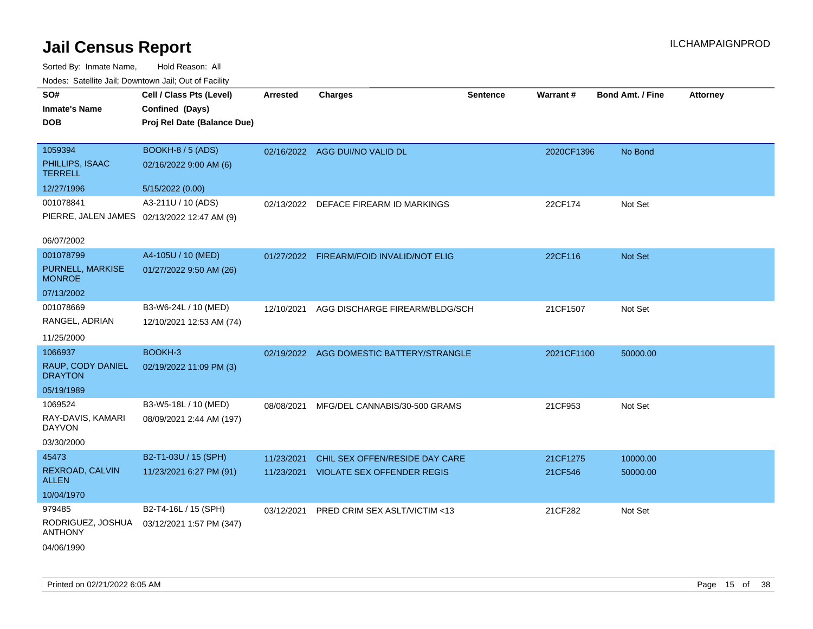| roaco. Catolino cali, Downtown cali, Out of Facility |                                             |                 |                                          |          |            |                         |                 |
|------------------------------------------------------|---------------------------------------------|-----------------|------------------------------------------|----------|------------|-------------------------|-----------------|
| SO#                                                  | Cell / Class Pts (Level)                    | <b>Arrested</b> | <b>Charges</b>                           | Sentence | Warrant#   | <b>Bond Amt. / Fine</b> | <b>Attorney</b> |
| Inmate's Name                                        | Confined (Days)                             |                 |                                          |          |            |                         |                 |
| <b>DOB</b>                                           | Proj Rel Date (Balance Due)                 |                 |                                          |          |            |                         |                 |
|                                                      |                                             |                 |                                          |          |            |                         |                 |
| 1059394                                              | BOOKH-8 / 5 (ADS)                           |                 | 02/16/2022 AGG DUI/NO VALID DL           |          | 2020CF1396 | No Bond                 |                 |
| PHILLIPS, ISAAC<br><b>TERRELL</b>                    | 02/16/2022 9:00 AM (6)                      |                 |                                          |          |            |                         |                 |
| 12/27/1996                                           | 5/15/2022 (0.00)                            |                 |                                          |          |            |                         |                 |
| 001078841                                            | A3-211U / 10 (ADS)                          |                 | 02/13/2022 DEFACE FIREARM ID MARKINGS    |          | 22CF174    | Not Set                 |                 |
|                                                      | PIERRE, JALEN JAMES 02/13/2022 12:47 AM (9) |                 |                                          |          |            |                         |                 |
| 06/07/2002                                           |                                             |                 |                                          |          |            |                         |                 |
| 001078799                                            | A4-105U / 10 (MED)                          |                 | 01/27/2022 FIREARM/FOID INVALID/NOT ELIG |          | 22CF116    | Not Set                 |                 |
| PURNELL, MARKISE<br><b>MONROE</b>                    | 01/27/2022 9:50 AM (26)                     |                 |                                          |          |            |                         |                 |
| 07/13/2002                                           |                                             |                 |                                          |          |            |                         |                 |
| 001078669                                            | B3-W6-24L / 10 (MED)                        | 12/10/2021      | AGG DISCHARGE FIREARM/BLDG/SCH           |          | 21CF1507   | Not Set                 |                 |
| RANGEL, ADRIAN                                       | 12/10/2021 12:53 AM (74)                    |                 |                                          |          |            |                         |                 |
| 11/25/2000                                           |                                             |                 |                                          |          |            |                         |                 |
| 1066937                                              | BOOKH-3                                     |                 | 02/19/2022 AGG DOMESTIC BATTERY/STRANGLE |          | 2021CF1100 | 50000.00                |                 |
| RAUP, CODY DANIEL<br><b>DRAYTON</b>                  | 02/19/2022 11:09 PM (3)                     |                 |                                          |          |            |                         |                 |
| 05/19/1989                                           |                                             |                 |                                          |          |            |                         |                 |
| 1069524                                              | B3-W5-18L / 10 (MED)                        | 08/08/2021      | MFG/DEL CANNABIS/30-500 GRAMS            |          | 21CF953    | Not Set                 |                 |
| RAY-DAVIS, KAMARI<br>DAYVON                          | 08/09/2021 2:44 AM (197)                    |                 |                                          |          |            |                         |                 |
| 03/30/2000                                           |                                             |                 |                                          |          |            |                         |                 |
| 45473                                                | B2-T1-03U / 15 (SPH)                        | 11/23/2021      | CHIL SEX OFFEN/RESIDE DAY CARE           |          | 21CF1275   | 10000.00                |                 |
| REXROAD, CALVIN<br><b>ALLEN</b>                      | 11/23/2021 6:27 PM (91)                     | 11/23/2021      | <b>VIOLATE SEX OFFENDER REGIS</b>        |          | 21CF546    | 50000.00                |                 |
| 10/04/1970                                           |                                             |                 |                                          |          |            |                         |                 |
| 979485                                               | B2-T4-16L / 15 (SPH)                        | 03/12/2021      | PRED CRIM SEX ASLT/VICTIM <13            |          | 21CF282    | Not Set                 |                 |
| RODRIGUEZ, JOSHUA<br><b>ANTHONY</b>                  | 03/12/2021 1:57 PM (347)                    |                 |                                          |          |            |                         |                 |
| 04/06/1990                                           |                                             |                 |                                          |          |            |                         |                 |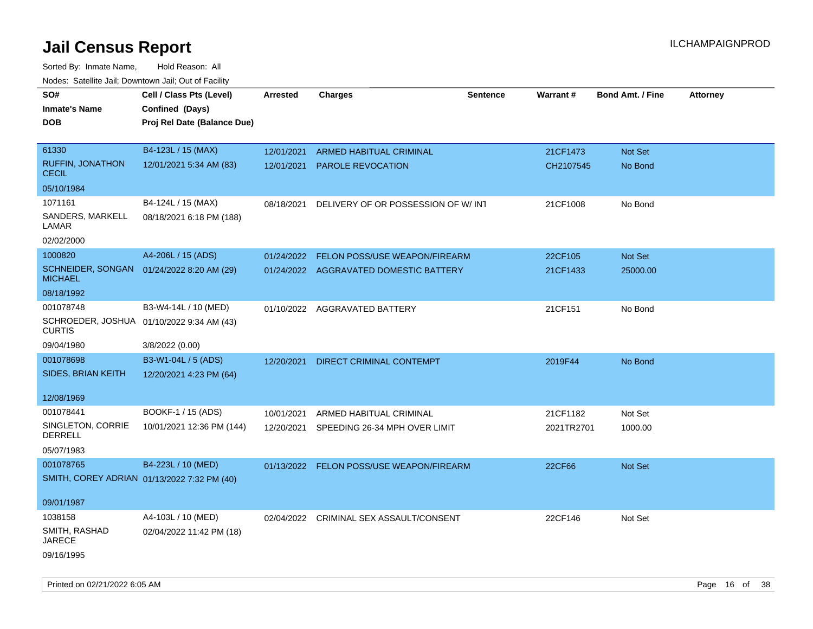| rouco. Calcillo Jali, Downtown Jali, Out of Facility         |                             |                 |                                          |                 |            |                         |                 |
|--------------------------------------------------------------|-----------------------------|-----------------|------------------------------------------|-----------------|------------|-------------------------|-----------------|
| SO#                                                          | Cell / Class Pts (Level)    | <b>Arrested</b> | <b>Charges</b>                           | <b>Sentence</b> | Warrant#   | <b>Bond Amt. / Fine</b> | <b>Attorney</b> |
| <b>Inmate's Name</b>                                         | Confined (Days)             |                 |                                          |                 |            |                         |                 |
| DOB                                                          | Proj Rel Date (Balance Due) |                 |                                          |                 |            |                         |                 |
|                                                              |                             |                 |                                          |                 |            |                         |                 |
| 61330                                                        | B4-123L / 15 (MAX)          | 12/01/2021      | ARMED HABITUAL CRIMINAL                  |                 | 21CF1473   | Not Set                 |                 |
| <b>RUFFIN, JONATHON</b><br><b>CECIL</b>                      | 12/01/2021 5:34 AM (83)     | 12/01/2021      | <b>PAROLE REVOCATION</b>                 |                 | CH2107545  | No Bond                 |                 |
| 05/10/1984                                                   |                             |                 |                                          |                 |            |                         |                 |
| 1071161                                                      | B4-124L / 15 (MAX)          | 08/18/2021      | DELIVERY OF OR POSSESSION OF W/INT       |                 | 21CF1008   | No Bond                 |                 |
| SANDERS, MARKELL<br>LAMAR                                    | 08/18/2021 6:18 PM (188)    |                 |                                          |                 |            |                         |                 |
| 02/02/2000                                                   |                             |                 |                                          |                 |            |                         |                 |
| 1000820                                                      | A4-206L / 15 (ADS)          | 01/24/2022      | FELON POSS/USE WEAPON/FIREARM            |                 | 22CF105    | Not Set                 |                 |
| SCHNEIDER, SONGAN  01/24/2022 8:20 AM (29)<br><b>MICHAEL</b> |                             |                 | 01/24/2022 AGGRAVATED DOMESTIC BATTERY   |                 | 21CF1433   | 25000.00                |                 |
| 08/18/1992                                                   |                             |                 |                                          |                 |            |                         |                 |
| 001078748                                                    | B3-W4-14L / 10 (MED)        |                 | 01/10/2022 AGGRAVATED BATTERY            |                 | 21CF151    | No Bond                 |                 |
| SCHROEDER, JOSHUA 01/10/2022 9:34 AM (43)<br><b>CURTIS</b>   |                             |                 |                                          |                 |            |                         |                 |
| 09/04/1980                                                   | 3/8/2022 (0.00)             |                 |                                          |                 |            |                         |                 |
| 001078698                                                    | B3-W1-04L / 5 (ADS)         | 12/20/2021      | DIRECT CRIMINAL CONTEMPT                 |                 | 2019F44    | No Bond                 |                 |
| SIDES, BRIAN KEITH                                           | 12/20/2021 4:23 PM (64)     |                 |                                          |                 |            |                         |                 |
|                                                              |                             |                 |                                          |                 |            |                         |                 |
| 12/08/1969                                                   |                             |                 |                                          |                 |            |                         |                 |
| 001078441                                                    | BOOKF-1 / 15 (ADS)          | 10/01/2021      | ARMED HABITUAL CRIMINAL                  |                 | 21CF1182   | Not Set                 |                 |
| SINGLETON, CORRIE<br>DERRELL                                 | 10/01/2021 12:36 PM (144)   | 12/20/2021      | SPEEDING 26-34 MPH OVER LIMIT            |                 | 2021TR2701 | 1000.00                 |                 |
| 05/07/1983                                                   |                             |                 |                                          |                 |            |                         |                 |
| 001078765                                                    | B4-223L / 10 (MED)          |                 | 01/13/2022 FELON POSS/USE WEAPON/FIREARM |                 | 22CF66     | Not Set                 |                 |
| SMITH, COREY ADRIAN 01/13/2022 7:32 PM (40)                  |                             |                 |                                          |                 |            |                         |                 |
|                                                              |                             |                 |                                          |                 |            |                         |                 |
| 09/01/1987                                                   |                             |                 |                                          |                 |            |                         |                 |
| 1038158                                                      | A4-103L / 10 (MED)          |                 | 02/04/2022 CRIMINAL SEX ASSAULT/CONSENT  |                 | 22CF146    | Not Set                 |                 |
| SMITH, RASHAD<br><b>JARECE</b>                               | 02/04/2022 11:42 PM (18)    |                 |                                          |                 |            |                         |                 |
| 09/16/1995                                                   |                             |                 |                                          |                 |            |                         |                 |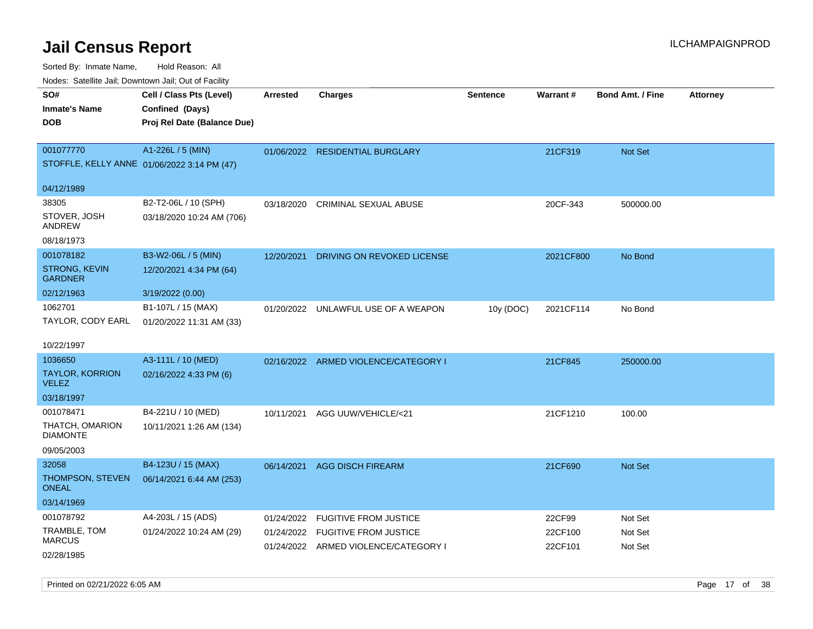Sorted By: Inmate Name, Hold Reason: All Nodes: Satellite Jail; Downtown Jail; Out of Facility

| ivodes. Satellite Jali, Downtown Jali, Out of Facility |                                             |            |                                      |                 |                 |                         |                 |
|--------------------------------------------------------|---------------------------------------------|------------|--------------------------------------|-----------------|-----------------|-------------------------|-----------------|
| SO#                                                    | Cell / Class Pts (Level)                    | Arrested   | <b>Charges</b>                       | <b>Sentence</b> | <b>Warrant#</b> | <b>Bond Amt. / Fine</b> | <b>Attorney</b> |
| <b>Inmate's Name</b>                                   | Confined (Days)                             |            |                                      |                 |                 |                         |                 |
| DOB                                                    | Proj Rel Date (Balance Due)                 |            |                                      |                 |                 |                         |                 |
|                                                        |                                             |            |                                      |                 |                 |                         |                 |
| 001077770                                              | A1-226L / 5 (MIN)                           |            | 01/06/2022 RESIDENTIAL BURGLARY      |                 | 21CF319         | <b>Not Set</b>          |                 |
|                                                        | STOFFLE, KELLY ANNE 01/06/2022 3:14 PM (47) |            |                                      |                 |                 |                         |                 |
| 04/12/1989                                             |                                             |            |                                      |                 |                 |                         |                 |
| 38305                                                  | B2-T2-06L / 10 (SPH)                        | 03/18/2020 | <b>CRIMINAL SEXUAL ABUSE</b>         |                 | 20CF-343        | 500000.00               |                 |
| STOVER, JOSH<br>ANDREW                                 | 03/18/2020 10:24 AM (706)                   |            |                                      |                 |                 |                         |                 |
| 08/18/1973                                             |                                             |            |                                      |                 |                 |                         |                 |
| 001078182                                              | B3-W2-06L / 5 (MIN)                         | 12/20/2021 | DRIVING ON REVOKED LICENSE           |                 | 2021CF800       | No Bond                 |                 |
| STRONG, KEVIN<br>GARDNER                               | 12/20/2021 4:34 PM (64)                     |            |                                      |                 |                 |                         |                 |
| 02/12/1963                                             | 3/19/2022 (0.00)                            |            |                                      |                 |                 |                         |                 |
| 1062701                                                | B1-107L / 15 (MAX)                          |            | 01/20/2022 UNLAWFUL USE OF A WEAPON  | 10y (DOC)       | 2021CF114       | No Bond                 |                 |
| TAYLOR, CODY EARL                                      | 01/20/2022 11:31 AM (33)                    |            |                                      |                 |                 |                         |                 |
|                                                        |                                             |            |                                      |                 |                 |                         |                 |
| 10/22/1997                                             |                                             |            |                                      |                 |                 |                         |                 |
| 1036650                                                | A3-111L / 10 (MED)                          |            | 02/16/2022 ARMED VIOLENCE/CATEGORY I |                 | 21CF845         | 250000.00               |                 |
| TAYLOR, KORRION<br><b>VELEZ</b>                        | 02/16/2022 4:33 PM (6)                      |            |                                      |                 |                 |                         |                 |
| 03/18/1997                                             |                                             |            |                                      |                 |                 |                         |                 |
| 001078471                                              | B4-221U / 10 (MED)                          | 10/11/2021 | AGG UUW/VEHICLE/<21                  |                 | 21CF1210        | 100.00                  |                 |
| THATCH, OMARION<br>DIAMONTE                            | 10/11/2021 1:26 AM (134)                    |            |                                      |                 |                 |                         |                 |
| 09/05/2003                                             |                                             |            |                                      |                 |                 |                         |                 |
| 32058                                                  | B4-123U / 15 (MAX)                          | 06/14/2021 | <b>AGG DISCH FIREARM</b>             |                 | 21CF690         | Not Set                 |                 |
| THOMPSON, STEVEN<br>ONEAL                              | 06/14/2021 6:44 AM (253)                    |            |                                      |                 |                 |                         |                 |
| 03/14/1969                                             |                                             |            |                                      |                 |                 |                         |                 |
| 001078792                                              | A4-203L / 15 (ADS)                          | 01/24/2022 | <b>FUGITIVE FROM JUSTICE</b>         |                 | 22CF99          | Not Set                 |                 |
| TRAMBLE, TOM<br>MARCUS                                 | 01/24/2022 10:24 AM (29)                    | 01/24/2022 | <b>FUGITIVE FROM JUSTICE</b>         |                 | 22CF100         | Not Set                 |                 |
| 02/28/1985                                             |                                             |            | 01/24/2022 ARMED VIOLENCE/CATEGORY I |                 | 22CF101         | Not Set                 |                 |
|                                                        |                                             |            |                                      |                 |                 |                         |                 |

Printed on 02/21/2022 6:05 AM Page 17 of 38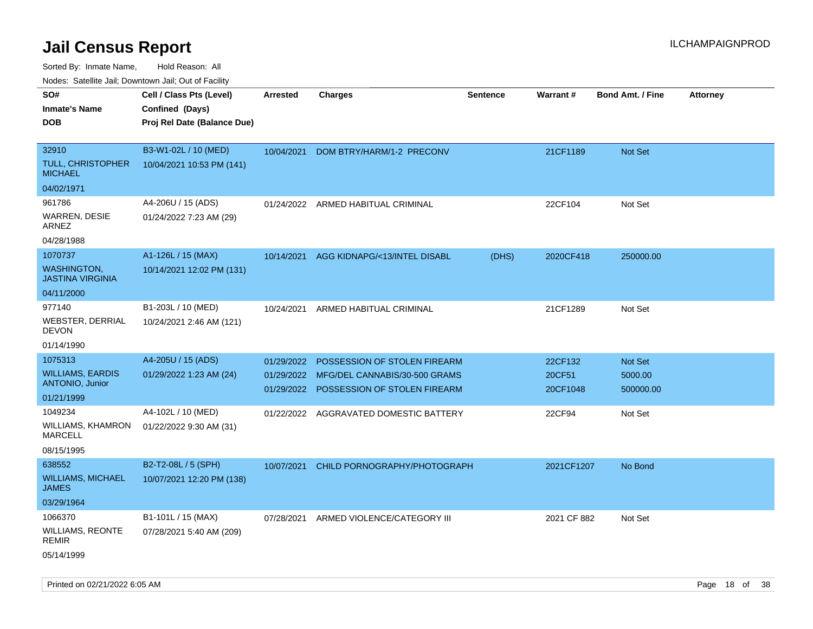Sorted By: Inmate Name, Hold Reason: All Nodes: Satellite Jail; Downtown Jail; Out of Facility

| Nudes. Satellite Jali, Downtown Jali, Out of Facility |                             |                 |                               |                 |             |                         |                 |
|-------------------------------------------------------|-----------------------------|-----------------|-------------------------------|-----------------|-------------|-------------------------|-----------------|
| SO#                                                   | Cell / Class Pts (Level)    | <b>Arrested</b> | <b>Charges</b>                | <b>Sentence</b> | Warrant#    | <b>Bond Amt. / Fine</b> | <b>Attorney</b> |
| Inmate's Name                                         | Confined (Days)             |                 |                               |                 |             |                         |                 |
| <b>DOB</b>                                            | Proj Rel Date (Balance Due) |                 |                               |                 |             |                         |                 |
|                                                       |                             |                 |                               |                 |             |                         |                 |
| 32910                                                 | B3-W1-02L / 10 (MED)        | 10/04/2021      | DOM BTRY/HARM/1-2 PRECONV     |                 | 21CF1189    | Not Set                 |                 |
| TULL, CHRISTOPHER<br>MICHAEL                          | 10/04/2021 10:53 PM (141)   |                 |                               |                 |             |                         |                 |
| 04/02/1971                                            |                             |                 |                               |                 |             |                         |                 |
| 961786                                                | A4-206U / 15 (ADS)          | 01/24/2022      | ARMED HABITUAL CRIMINAL       |                 | 22CF104     | Not Set                 |                 |
| WARREN, DESIE<br>ARNEZ                                | 01/24/2022 7:23 AM (29)     |                 |                               |                 |             |                         |                 |
| 04/28/1988                                            |                             |                 |                               |                 |             |                         |                 |
| 1070737                                               | A1-126L / 15 (MAX)          | 10/14/2021      | AGG KIDNAPG/<13/INTEL DISABL  | (DHS)           | 2020CF418   | 250000.00               |                 |
| <b>WASHINGTON.</b><br>JASTINA VIRGINIA                | 10/14/2021 12:02 PM (131)   |                 |                               |                 |             |                         |                 |
| 04/11/2000                                            |                             |                 |                               |                 |             |                         |                 |
| 977140                                                | B1-203L / 10 (MED)          | 10/24/2021      | ARMED HABITUAL CRIMINAL       |                 | 21CF1289    | Not Set                 |                 |
| WEBSTER, DERRIAL<br>DEVON                             | 10/24/2021 2:46 AM (121)    |                 |                               |                 |             |                         |                 |
| 01/14/1990                                            |                             |                 |                               |                 |             |                         |                 |
| 1075313                                               | A4-205U / 15 (ADS)          | 01/29/2022      | POSSESSION OF STOLEN FIREARM  |                 | 22CF132     | <b>Not Set</b>          |                 |
| WILLIAMS, EARDIS                                      | 01/29/2022 1:23 AM (24)     | 01/29/2022      | MFG/DEL CANNABIS/30-500 GRAMS |                 | 20CF51      | 5000.00                 |                 |
| <b>ANTONIO, Junior</b>                                |                             | 01/29/2022      | POSSESSION OF STOLEN FIREARM  |                 | 20CF1048    | 500000.00               |                 |
| 01/21/1999                                            |                             |                 |                               |                 |             |                         |                 |
| 1049234                                               | A4-102L / 10 (MED)          | 01/22/2022      | AGGRAVATED DOMESTIC BATTERY   |                 | 22CF94      | Not Set                 |                 |
| WILLIAMS, KHAMRON<br><b>MARCELL</b>                   | 01/22/2022 9:30 AM (31)     |                 |                               |                 |             |                         |                 |
| 08/15/1995                                            |                             |                 |                               |                 |             |                         |                 |
| 638552                                                | B2-T2-08L / 5 (SPH)         | 10/07/2021      | CHILD PORNOGRAPHY/PHOTOGRAPH  |                 | 2021CF1207  | No Bond                 |                 |
| <b>WILLIAMS, MICHAEL</b><br>JAMES                     | 10/07/2021 12:20 PM (138)   |                 |                               |                 |             |                         |                 |
| 03/29/1964                                            |                             |                 |                               |                 |             |                         |                 |
| 1066370                                               | B1-101L / 15 (MAX)          | 07/28/2021      | ARMED VIOLENCE/CATEGORY III   |                 | 2021 CF 882 | Not Set                 |                 |
| WILLIAMS, REONTE<br>REMIR                             | 07/28/2021 5:40 AM (209)    |                 |                               |                 |             |                         |                 |
| 05/14/1999                                            |                             |                 |                               |                 |             |                         |                 |

Printed on 02/21/2022 6:05 AM **Page 18** of 38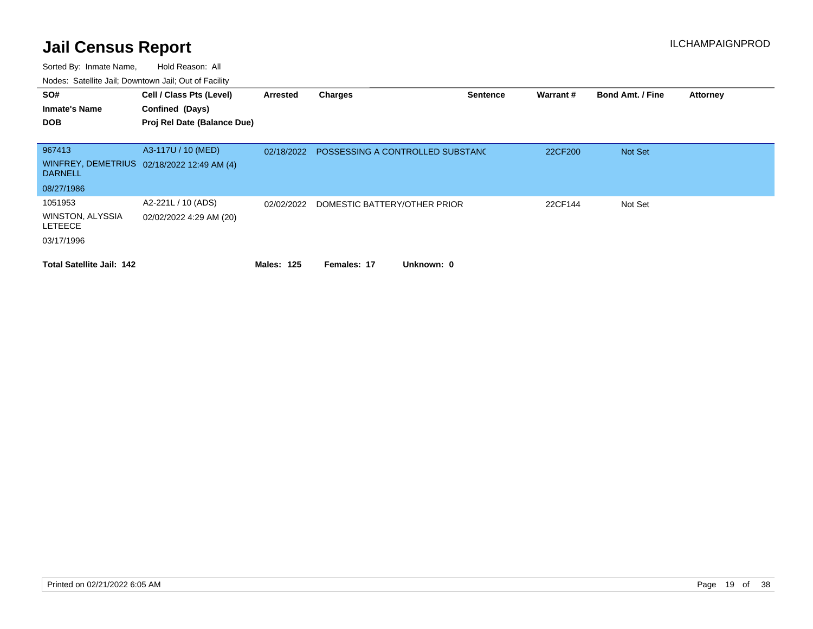| SO#<br><b>Inmate's Name</b><br><b>DOB</b>                          | Cell / Class Pts (Level)<br>Confined (Days)<br>Proj Rel Date (Balance Due) | Arrested          | <b>Charges</b>                   | <b>Sentence</b> | Warrant# | <b>Bond Amt. / Fine</b> | <b>Attorney</b> |
|--------------------------------------------------------------------|----------------------------------------------------------------------------|-------------------|----------------------------------|-----------------|----------|-------------------------|-----------------|
| 967413<br><b>DARNELL</b><br>08/27/1986                             | A3-117U / 10 (MED)<br>WINFREY, DEMETRIUS 02/18/2022 12:49 AM (4)           | 02/18/2022        | POSSESSING A CONTROLLED SUBSTANC |                 | 22CF200  | <b>Not Set</b>          |                 |
| 1051953<br><b>WINSTON, ALYSSIA</b><br><b>LETEECE</b><br>03/17/1996 | A2-221L / 10 (ADS)<br>02/02/2022 4:29 AM (20)                              | 02/02/2022        | DOMESTIC BATTERY/OTHER PRIOR     |                 | 22CF144  | Not Set                 |                 |
| <b>Total Satellite Jail: 142</b>                                   |                                                                            | <b>Males: 125</b> | Unknown: 0<br>Females: 17        |                 |          |                         |                 |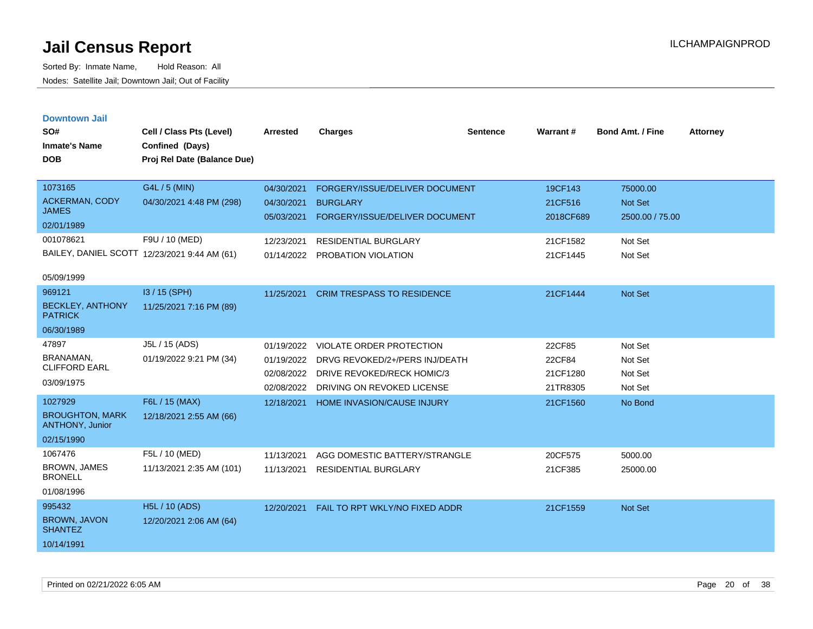| <b>Downtown Jail</b> |  |
|----------------------|--|
|                      |  |

| SO#<br><b>Inmate's Name</b><br><b>DOB</b> | Cell / Class Pts (Level)<br>Confined (Days)<br>Proj Rel Date (Balance Due) | <b>Arrested</b>          | <b>Charges</b>                                    | <b>Sentence</b> | Warrant#             | <b>Bond Amt. / Fine</b> | <b>Attorney</b> |
|-------------------------------------------|----------------------------------------------------------------------------|--------------------------|---------------------------------------------------|-----------------|----------------------|-------------------------|-----------------|
| 1073165<br><b>ACKERMAN, CODY</b>          | G4L / 5 (MIN)<br>04/30/2021 4:48 PM (298)                                  | 04/30/2021               | FORGERY/ISSUE/DELIVER DOCUMENT                    |                 | 19CF143              | 75000.00<br>Not Set     |                 |
| <b>JAMES</b>                              |                                                                            | 04/30/2021<br>05/03/2021 | <b>BURGLARY</b><br>FORGERY/ISSUE/DELIVER DOCUMENT |                 | 21CF516<br>2018CF689 | 2500.00 / 75.00         |                 |
| 02/01/1989                                |                                                                            |                          |                                                   |                 |                      |                         |                 |
| 001078621                                 | F9U / 10 (MED)                                                             | 12/23/2021               | <b>RESIDENTIAL BURGLARY</b>                       |                 | 21CF1582             | Not Set                 |                 |
|                                           | BAILEY, DANIEL SCOTT 12/23/2021 9:44 AM (61)                               | 01/14/2022               | PROBATION VIOLATION                               |                 | 21CF1445             | Not Set                 |                 |
| 05/09/1999                                |                                                                            |                          |                                                   |                 |                      |                         |                 |
| 969121                                    | I3 / 15 (SPH)                                                              | 11/25/2021               | <b>CRIM TRESPASS TO RESIDENCE</b>                 |                 | 21CF1444             | Not Set                 |                 |
| <b>BECKLEY, ANTHONY</b><br><b>PATRICK</b> | 11/25/2021 7:16 PM (89)                                                    |                          |                                                   |                 |                      |                         |                 |
| 06/30/1989                                |                                                                            |                          |                                                   |                 |                      |                         |                 |
| 47897                                     | J5L / 15 (ADS)                                                             | 01/19/2022               | VIOLATE ORDER PROTECTION                          |                 | 22CF85               | Not Set                 |                 |
| BRANAMAN.                                 | 01/19/2022 9:21 PM (34)                                                    | 01/19/2022               | DRVG REVOKED/2+/PERS INJ/DEATH                    |                 | 22CF84               | Not Set                 |                 |
| <b>CLIFFORD EARL</b>                      |                                                                            | 02/08/2022               | DRIVE REVOKED/RECK HOMIC/3                        |                 | 21CF1280             | Not Set                 |                 |
| 03/09/1975                                |                                                                            | 02/08/2022               | DRIVING ON REVOKED LICENSE                        |                 | 21TR8305             | Not Set                 |                 |
| 1027929                                   | F6L / 15 (MAX)                                                             | 12/18/2021               | <b>HOME INVASION/CAUSE INJURY</b>                 |                 | 21CF1560             | No Bond                 |                 |
| <b>BROUGHTON, MARK</b><br>ANTHONY, Junior | 12/18/2021 2:55 AM (66)                                                    |                          |                                                   |                 |                      |                         |                 |
| 02/15/1990                                |                                                                            |                          |                                                   |                 |                      |                         |                 |
| 1067476                                   | F5L / 10 (MED)                                                             | 11/13/2021               | AGG DOMESTIC BATTERY/STRANGLE                     |                 | 20CF575              | 5000.00                 |                 |
| <b>BROWN, JAMES</b><br><b>BRONELL</b>     | 11/13/2021 2:35 AM (101)                                                   | 11/13/2021               | <b>RESIDENTIAL BURGLARY</b>                       |                 | 21CF385              | 25000.00                |                 |
| 01/08/1996                                |                                                                            |                          |                                                   |                 |                      |                         |                 |
| 995432                                    | <b>H5L / 10 (ADS)</b>                                                      | 12/20/2021               | FAIL TO RPT WKLY/NO FIXED ADDR                    |                 | 21CF1559             | Not Set                 |                 |
| BROWN, JAVON<br><b>SHANTEZ</b>            | 12/20/2021 2:06 AM (64)                                                    |                          |                                                   |                 |                      |                         |                 |
| 10/14/1991                                |                                                                            |                          |                                                   |                 |                      |                         |                 |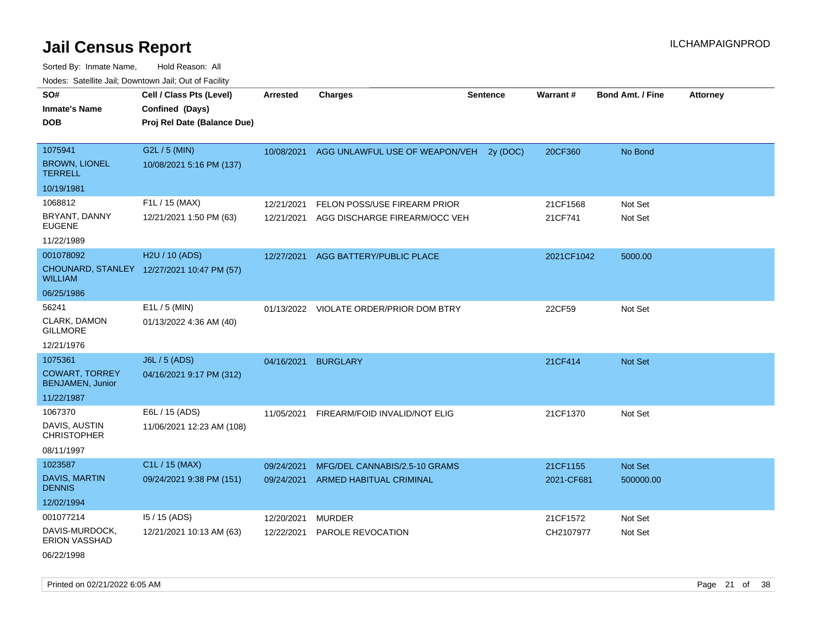Sorted By: Inmate Name, Hold Reason: All Nodes: Satellite Jail; Downtown Jail; Out of Facility

| Cell / Class Pts (Level)                   | <b>Arrested</b> | <b>Charges</b>                | <b>Sentence</b>                                                                                                                                                              | Warrant#                                                                 | <b>Bond Amt. / Fine</b> | <b>Attorney</b> |
|--------------------------------------------|-----------------|-------------------------------|------------------------------------------------------------------------------------------------------------------------------------------------------------------------------|--------------------------------------------------------------------------|-------------------------|-----------------|
|                                            |                 |                               |                                                                                                                                                                              |                                                                          |                         |                 |
| Proj Rel Date (Balance Due)                |                 |                               |                                                                                                                                                                              |                                                                          |                         |                 |
|                                            |                 |                               |                                                                                                                                                                              |                                                                          |                         |                 |
| G2L / 5 (MIN)                              | 10/08/2021      |                               |                                                                                                                                                                              | 20CF360                                                                  | No Bond                 |                 |
| 10/08/2021 5:16 PM (137)                   |                 |                               |                                                                                                                                                                              |                                                                          |                         |                 |
|                                            |                 |                               |                                                                                                                                                                              |                                                                          |                         |                 |
| F1L / 15 (MAX)                             | 12/21/2021      | FELON POSS/USE FIREARM PRIOR  |                                                                                                                                                                              | 21CF1568                                                                 | Not Set                 |                 |
| 12/21/2021 1:50 PM (63)                    | 12/21/2021      |                               |                                                                                                                                                                              | 21CF741                                                                  | Not Set                 |                 |
|                                            |                 |                               |                                                                                                                                                                              |                                                                          |                         |                 |
| H2U / 10 (ADS)                             | 12/27/2021      |                               |                                                                                                                                                                              |                                                                          | 5000.00                 |                 |
| CHOUNARD, STANLEY 12/27/2021 10:47 PM (57) |                 |                               |                                                                                                                                                                              |                                                                          |                         |                 |
|                                            |                 |                               |                                                                                                                                                                              |                                                                          |                         |                 |
| $E1L / 5$ (MIN)                            |                 |                               |                                                                                                                                                                              | 22CF59                                                                   | Not Set                 |                 |
| 01/13/2022 4:36 AM (40)                    |                 |                               |                                                                                                                                                                              |                                                                          |                         |                 |
|                                            |                 |                               |                                                                                                                                                                              |                                                                          |                         |                 |
| <b>J6L / 5 (ADS)</b>                       | 04/16/2021      | <b>BURGLARY</b>               |                                                                                                                                                                              | 21CF414                                                                  | <b>Not Set</b>          |                 |
| 04/16/2021 9:17 PM (312)                   |                 |                               |                                                                                                                                                                              |                                                                          |                         |                 |
|                                            |                 |                               |                                                                                                                                                                              |                                                                          |                         |                 |
| E6L / 15 (ADS)                             | 11/05/2021      |                               |                                                                                                                                                                              | 21CF1370                                                                 | Not Set                 |                 |
| 11/06/2021 12:23 AM (108)                  |                 |                               |                                                                                                                                                                              |                                                                          |                         |                 |
|                                            |                 |                               |                                                                                                                                                                              |                                                                          |                         |                 |
| C1L / 15 (MAX)                             | 09/24/2021      | MFG/DEL CANNABIS/2.5-10 GRAMS |                                                                                                                                                                              | 21CF1155                                                                 | Not Set                 |                 |
| 09/24/2021 9:38 PM (151)                   | 09/24/2021      |                               |                                                                                                                                                                              | 2021-CF681                                                               | 500000.00               |                 |
|                                            |                 |                               |                                                                                                                                                                              |                                                                          |                         |                 |
| $15/15$ (ADS)                              | 12/20/2021      |                               |                                                                                                                                                                              | 21CF1572                                                                 | Not Set                 |                 |
| 12/21/2021 10:13 AM (63)                   | 12/22/2021      |                               |                                                                                                                                                                              | CH2107977                                                                | Not Set                 |                 |
|                                            | Confined (Days) |                               | AGG BATTERY/PUBLIC PLACE<br>01/13/2022 VIOLATE ORDER/PRIOR DOM BTRY<br>FIREARM/FOID INVALID/NOT ELIG<br><b>ARMED HABITUAL CRIMINAL</b><br><b>MURDER</b><br>PAROLE REVOCATION | AGG UNLAWFUL USE OF WEAPON/VEH 2y (DOC)<br>AGG DISCHARGE FIREARM/OCC VEH |                         | 2021CF1042      |

06/22/1998

Printed on 02/21/2022 6:05 AM Page 21 of 38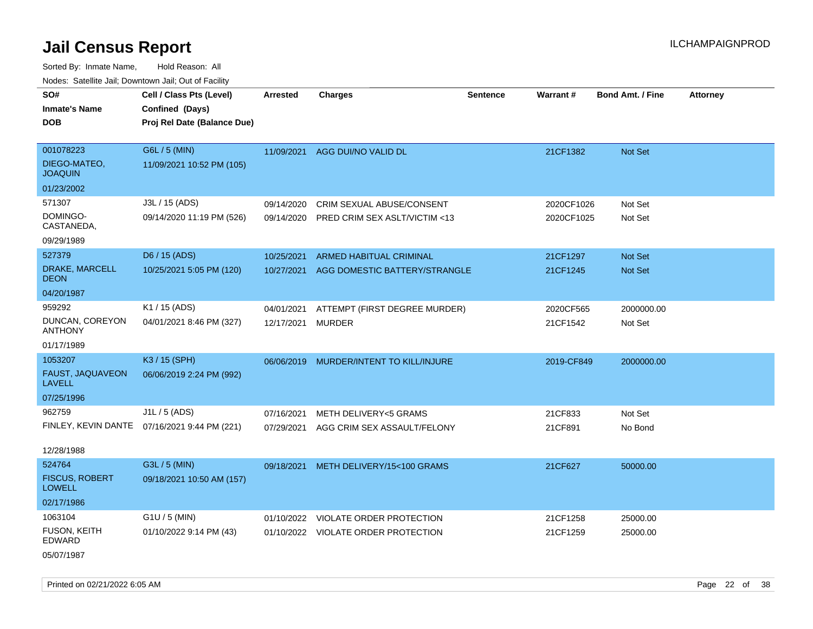Sorted By: Inmate Name, Hold Reason: All Nodes: Satellite Jail; Downtown Jail; Out of Facility

| SO#                                    | Cell / Class Pts (Level)                     | Arrested   | <b>Charges</b>                      | <b>Sentence</b> | Warrant#   | <b>Bond Amt. / Fine</b> | <b>Attorney</b> |
|----------------------------------------|----------------------------------------------|------------|-------------------------------------|-----------------|------------|-------------------------|-----------------|
| <b>Inmate's Name</b>                   | Confined (Days)                              |            |                                     |                 |            |                         |                 |
| <b>DOB</b>                             | Proj Rel Date (Balance Due)                  |            |                                     |                 |            |                         |                 |
|                                        |                                              |            |                                     |                 |            |                         |                 |
| 001078223                              | G6L / 5 (MIN)                                |            | 11/09/2021 AGG DUI/NO VALID DL      |                 | 21CF1382   | Not Set                 |                 |
| DIEGO-MATEO,<br><b>JOAQUIN</b>         | 11/09/2021 10:52 PM (105)                    |            |                                     |                 |            |                         |                 |
| 01/23/2002                             |                                              |            |                                     |                 |            |                         |                 |
| 571307                                 | J3L / 15 (ADS)                               | 09/14/2020 | CRIM SEXUAL ABUSE/CONSENT           |                 | 2020CF1026 | Not Set                 |                 |
| DOMINGO-<br>CASTANEDA,                 | 09/14/2020 11:19 PM (526)                    | 09/14/2020 | PRED CRIM SEX ASLT/VICTIM <13       |                 | 2020CF1025 | Not Set                 |                 |
| 09/29/1989                             |                                              |            |                                     |                 |            |                         |                 |
| 527379                                 | D6 / 15 (ADS)                                | 10/25/2021 | <b>ARMED HABITUAL CRIMINAL</b>      |                 | 21CF1297   | Not Set                 |                 |
| DRAKE, MARCELL<br><b>DEON</b>          | 10/25/2021 5:05 PM (120)                     | 10/27/2021 | AGG DOMESTIC BATTERY/STRANGLE       |                 | 21CF1245   | Not Set                 |                 |
| 04/20/1987                             |                                              |            |                                     |                 |            |                         |                 |
| 959292                                 | K1 / 15 (ADS)                                | 04/01/2021 | ATTEMPT (FIRST DEGREE MURDER)       |                 | 2020CF565  | 2000000.00              |                 |
| DUNCAN, COREYON<br><b>ANTHONY</b>      | 04/01/2021 8:46 PM (327)                     | 12/17/2021 | <b>MURDER</b>                       |                 | 21CF1542   | Not Set                 |                 |
| 01/17/1989                             |                                              |            |                                     |                 |            |                         |                 |
| 1053207                                | K3 / 15 (SPH)                                | 06/06/2019 | MURDER/INTENT TO KILL/INJURE        |                 | 2019-CF849 | 2000000.00              |                 |
| FAUST, JAQUAVEON<br><b>LAVELL</b>      | 06/06/2019 2:24 PM (992)                     |            |                                     |                 |            |                         |                 |
| 07/25/1996                             |                                              |            |                                     |                 |            |                         |                 |
| 962759                                 | J1L / 5 (ADS)                                | 07/16/2021 | <b>METH DELIVERY&lt;5 GRAMS</b>     |                 | 21CF833    | Not Set                 |                 |
|                                        | FINLEY, KEVIN DANTE 07/16/2021 9:44 PM (221) | 07/29/2021 | AGG CRIM SEX ASSAULT/FELONY         |                 | 21CF891    | No Bond                 |                 |
| 12/28/1988                             |                                              |            |                                     |                 |            |                         |                 |
| 524764                                 | G3L / 5 (MIN)                                | 09/18/2021 | METH DELIVERY/15<100 GRAMS          |                 | 21CF627    | 50000.00                |                 |
| <b>FISCUS, ROBERT</b><br><b>LOWELL</b> | 09/18/2021 10:50 AM (157)                    |            |                                     |                 |            |                         |                 |
| 02/17/1986                             |                                              |            |                                     |                 |            |                         |                 |
| 1063104                                | $G1U / 5$ (MIN)                              |            | 01/10/2022 VIOLATE ORDER PROTECTION |                 | 21CF1258   | 25000.00                |                 |
| <b>FUSON, KEITH</b><br>EDWARD          | 01/10/2022 9:14 PM (43)                      |            | 01/10/2022 VIOLATE ORDER PROTECTION |                 | 21CF1259   | 25000.00                |                 |
| 05/07/1987                             |                                              |            |                                     |                 |            |                         |                 |

Printed on 02/21/2022 6:05 AM Page 22 of 38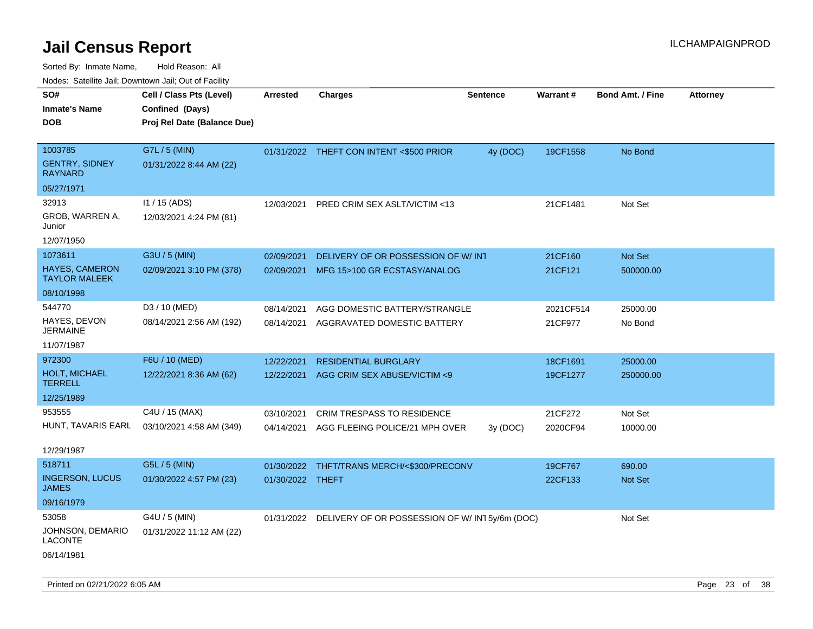| ivodes. Satellite Jali, Downtown Jali, Out of Facility |                             |                  |                                                            |                 |                 |                         |                 |
|--------------------------------------------------------|-----------------------------|------------------|------------------------------------------------------------|-----------------|-----------------|-------------------------|-----------------|
| SO#                                                    | Cell / Class Pts (Level)    | Arrested         | <b>Charges</b>                                             | <b>Sentence</b> | <b>Warrant#</b> | <b>Bond Amt. / Fine</b> | <b>Attorney</b> |
| <b>Inmate's Name</b>                                   | Confined (Days)             |                  |                                                            |                 |                 |                         |                 |
| DOB                                                    | Proj Rel Date (Balance Due) |                  |                                                            |                 |                 |                         |                 |
|                                                        |                             |                  |                                                            |                 |                 |                         |                 |
| 1003785                                                | G7L / 5 (MIN)               |                  | 01/31/2022 THEFT CON INTENT <\$500 PRIOR                   | 4y (DOC)        | 19CF1558        | No Bond                 |                 |
| <b>GENTRY, SIDNEY</b><br>RAYNARD                       | 01/31/2022 8:44 AM (22)     |                  |                                                            |                 |                 |                         |                 |
| 05/27/1971                                             |                             |                  |                                                            |                 |                 |                         |                 |
| 32913                                                  | I1 / 15 (ADS)               | 12/03/2021       | PRED CRIM SEX ASLT/VICTIM <13                              |                 | 21CF1481        | Not Set                 |                 |
| GROB, WARREN A,<br>Junior                              | 12/03/2021 4:24 PM (81)     |                  |                                                            |                 |                 |                         |                 |
| 12/07/1950                                             |                             |                  |                                                            |                 |                 |                         |                 |
| 1073611                                                | G3U / 5 (MIN)               | 02/09/2021       | DELIVERY OF OR POSSESSION OF W/INT                         |                 | 21CF160         | <b>Not Set</b>          |                 |
| HAYES, CAMERON<br>TAYLOR MALEEK                        | 02/09/2021 3:10 PM (378)    | 02/09/2021       | MFG 15>100 GR ECSTASY/ANALOG                               |                 | 21CF121         | 500000.00               |                 |
| 08/10/1998                                             |                             |                  |                                                            |                 |                 |                         |                 |
| 544770                                                 | D3 / 10 (MED)               | 08/14/2021       | AGG DOMESTIC BATTERY/STRANGLE                              |                 | 2021CF514       | 25000.00                |                 |
| HAYES, DEVON<br>JERMAINE                               | 08/14/2021 2:56 AM (192)    | 08/14/2021       | AGGRAVATED DOMESTIC BATTERY                                |                 | 21CF977         | No Bond                 |                 |
| 11/07/1987                                             |                             |                  |                                                            |                 |                 |                         |                 |
| 972300                                                 | F6U / 10 (MED)              | 12/22/2021       | <b>RESIDENTIAL BURGLARY</b>                                |                 | 18CF1691        | 25000.00                |                 |
| <b>HOLT, MICHAEL</b><br>TERRELL                        | 12/22/2021 8:36 AM (62)     | 12/22/2021       | AGG CRIM SEX ABUSE/VICTIM <9                               |                 | 19CF1277        | 250000.00               |                 |
| 12/25/1989                                             |                             |                  |                                                            |                 |                 |                         |                 |
| 953555                                                 | C4U / 15 (MAX)              | 03/10/2021       | <b>CRIM TRESPASS TO RESIDENCE</b>                          |                 | 21CF272         | Not Set                 |                 |
| HUNT, TAVARIS EARL                                     | 03/10/2021 4:58 AM (349)    | 04/14/2021       | AGG FLEEING POLICE/21 MPH OVER                             | 3y(DOC)         | 2020CF94        | 10000.00                |                 |
| 12/29/1987                                             |                             |                  |                                                            |                 |                 |                         |                 |
| 518711                                                 | G5L / 5 (MIN)               | 01/30/2022       | THFT/TRANS MERCH/<\$300/PRECONV                            |                 | 19CF767         | 690.00                  |                 |
| <b>INGERSON, LUCUS</b><br>JAMES                        | 01/30/2022 4:57 PM (23)     | 01/30/2022 THEFT |                                                            |                 | 22CF133         | <b>Not Set</b>          |                 |
| 09/16/1979                                             |                             |                  |                                                            |                 |                 |                         |                 |
| 53058                                                  | G4U / 5 (MIN)               |                  | 01/31/2022 DELIVERY OF OR POSSESSION OF W/ IN1 5y/6m (DOC) |                 |                 | Not Set                 |                 |
| JOHNSON, DEMARIO<br>LACONTE                            | 01/31/2022 11:12 AM (22)    |                  |                                                            |                 |                 |                         |                 |
| 06/14/1981                                             |                             |                  |                                                            |                 |                 |                         |                 |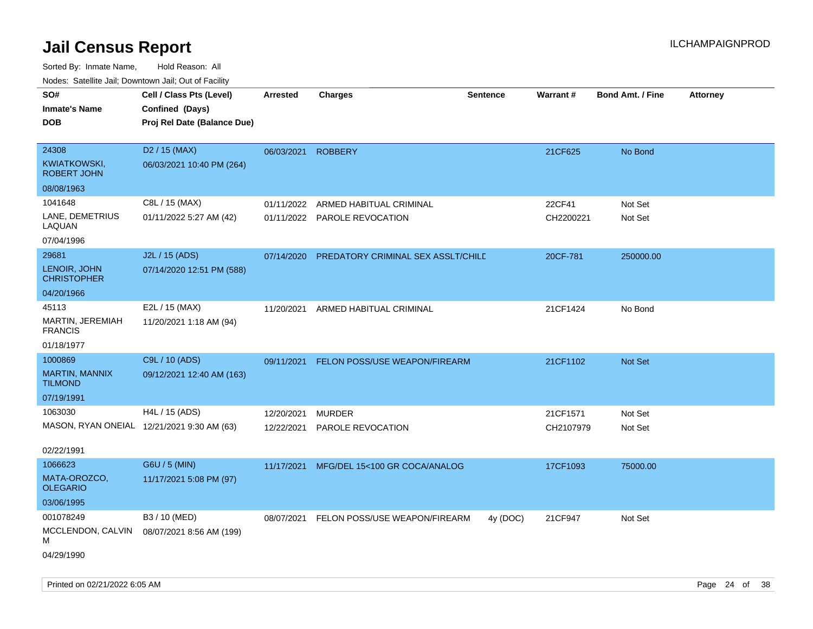| SO#<br><b>Inmate's Name</b><br><b>DOB</b>   | Cell / Class Pts (Level)<br>Confined (Days)<br>Proj Rel Date (Balance Due) | <b>Arrested</b> | <b>Charges</b>                     | <b>Sentence</b> | Warrant#  | <b>Bond Amt. / Fine</b> | <b>Attorney</b> |
|---------------------------------------------|----------------------------------------------------------------------------|-----------------|------------------------------------|-----------------|-----------|-------------------------|-----------------|
| 24308<br>KWIATKOWSKI,<br><b>ROBERT JOHN</b> | D <sub>2</sub> / 15 (MAX)<br>06/03/2021 10:40 PM (264)                     | 06/03/2021      | <b>ROBBERY</b>                     |                 | 21CF625   | No Bond                 |                 |
| 08/08/1963                                  |                                                                            |                 |                                    |                 |           |                         |                 |
| 1041648                                     | C8L / 15 (MAX)                                                             | 01/11/2022      | ARMED HABITUAL CRIMINAL            |                 | 22CF41    | Not Set                 |                 |
| LANE, DEMETRIUS<br>LAQUAN                   | 01/11/2022 5:27 AM (42)                                                    | 01/11/2022      | <b>PAROLE REVOCATION</b>           |                 | CH2200221 | Not Set                 |                 |
| 07/04/1996                                  |                                                                            |                 |                                    |                 |           |                         |                 |
| 29681                                       | J2L / 15 (ADS)                                                             | 07/14/2020      | PREDATORY CRIMINAL SEX ASSLT/CHILD |                 | 20CF-781  | 250000.00               |                 |
| LENOIR, JOHN<br><b>CHRISTOPHER</b>          | 07/14/2020 12:51 PM (588)                                                  |                 |                                    |                 |           |                         |                 |
| 04/20/1966                                  |                                                                            |                 |                                    |                 |           |                         |                 |
| 45113                                       | E2L / 15 (MAX)                                                             | 11/20/2021      | ARMED HABITUAL CRIMINAL            |                 | 21CF1424  | No Bond                 |                 |
| MARTIN, JEREMIAH<br><b>FRANCIS</b>          | 11/20/2021 1:18 AM (94)                                                    |                 |                                    |                 |           |                         |                 |
| 01/18/1977                                  |                                                                            |                 |                                    |                 |           |                         |                 |
| 1000869                                     | C9L / 10 (ADS)                                                             | 09/11/2021      | FELON POSS/USE WEAPON/FIREARM      |                 | 21CF1102  | Not Set                 |                 |
| <b>MARTIN, MANNIX</b><br><b>TILMOND</b>     | 09/12/2021 12:40 AM (163)                                                  |                 |                                    |                 |           |                         |                 |
| 07/19/1991                                  |                                                                            |                 |                                    |                 |           |                         |                 |
| 1063030                                     | H4L / 15 (ADS)                                                             | 12/20/2021      | <b>MURDER</b>                      |                 | 21CF1571  | Not Set                 |                 |
| MASON, RYAN ONEIAL 12/21/2021 9:30 AM (63)  |                                                                            | 12/22/2021      | PAROLE REVOCATION                  |                 | CH2107979 | Not Set                 |                 |
| 02/22/1991                                  |                                                                            |                 |                                    |                 |           |                         |                 |
| 1066623                                     | G6U / 5 (MIN)                                                              | 11/17/2021      | MFG/DEL 15<100 GR COCA/ANALOG      |                 | 17CF1093  | 75000.00                |                 |
| MATA-OROZCO,<br><b>OLEGARIO</b>             | 11/17/2021 5:08 PM (97)                                                    |                 |                                    |                 |           |                         |                 |
| 03/06/1995                                  |                                                                            |                 |                                    |                 |           |                         |                 |
| 001078249                                   | B3 / 10 (MED)                                                              | 08/07/2021      | FELON POSS/USE WEAPON/FIREARM      | 4y (DOC)        | 21CF947   | Not Set                 |                 |
| MCCLENDON, CALVIN<br>М                      | 08/07/2021 8:56 AM (199)                                                   |                 |                                    |                 |           |                         |                 |
| 04/29/1990                                  |                                                                            |                 |                                    |                 |           |                         |                 |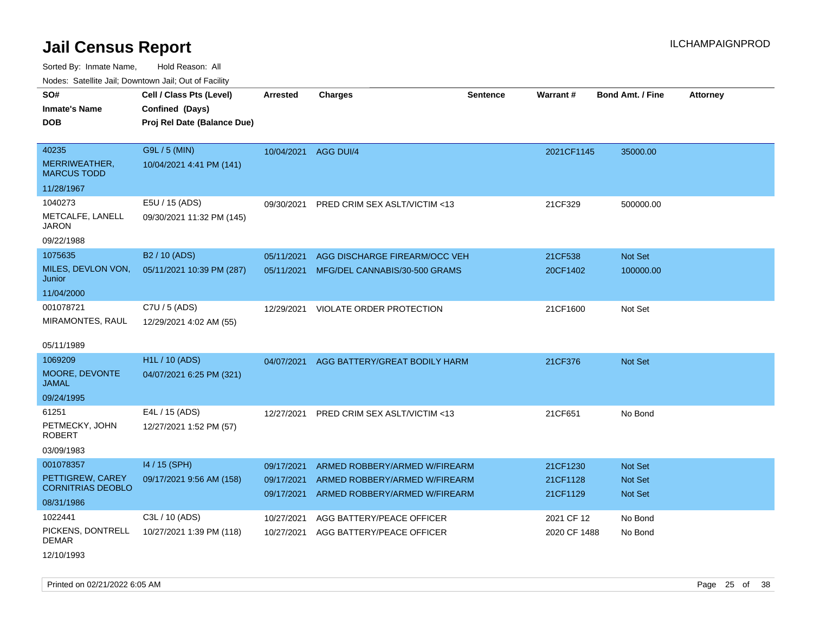Sorted By: Inmate Name, Hold Reason: All

Nodes: Satellite Jail; Downtown Jail; Out of Facility

| SO#                                 | Cell / Class Pts (Level)    | <b>Arrested</b>      | <b>Charges</b>                | <b>Sentence</b> | <b>Warrant#</b> | <b>Bond Amt. / Fine</b> | <b>Attorney</b> |
|-------------------------------------|-----------------------------|----------------------|-------------------------------|-----------------|-----------------|-------------------------|-----------------|
| <b>Inmate's Name</b>                | Confined (Days)             |                      |                               |                 |                 |                         |                 |
| <b>DOB</b>                          | Proj Rel Date (Balance Due) |                      |                               |                 |                 |                         |                 |
|                                     |                             |                      |                               |                 |                 |                         |                 |
| 40235                               | G9L / 5 (MIN)               | 10/04/2021 AGG DUI/4 |                               |                 | 2021CF1145      | 35000.00                |                 |
| MERRIWEATHER,<br><b>MARCUS TODD</b> | 10/04/2021 4:41 PM (141)    |                      |                               |                 |                 |                         |                 |
| 11/28/1967                          |                             |                      |                               |                 |                 |                         |                 |
| 1040273                             | E5U / 15 (ADS)              | 09/30/2021           | PRED CRIM SEX ASLT/VICTIM <13 |                 | 21CF329         | 500000.00               |                 |
| METCALFE, LANELL<br><b>JARON</b>    | 09/30/2021 11:32 PM (145)   |                      |                               |                 |                 |                         |                 |
| 09/22/1988                          |                             |                      |                               |                 |                 |                         |                 |
| 1075635                             | B2 / 10 (ADS)               | 05/11/2021           | AGG DISCHARGE FIREARM/OCC VEH |                 | 21CF538         | Not Set                 |                 |
| MILES, DEVLON VON,<br>Junior        | 05/11/2021 10:39 PM (287)   | 05/11/2021           | MFG/DEL CANNABIS/30-500 GRAMS |                 | 20CF1402        | 100000.00               |                 |
| 11/04/2000                          |                             |                      |                               |                 |                 |                         |                 |
| 001078721                           | C7U / 5 (ADS)               | 12/29/2021           | VIOLATE ORDER PROTECTION      |                 | 21CF1600        | Not Set                 |                 |
| MIRAMONTES, RAUL                    | 12/29/2021 4:02 AM (55)     |                      |                               |                 |                 |                         |                 |
|                                     |                             |                      |                               |                 |                 |                         |                 |
| 05/11/1989                          |                             |                      |                               |                 |                 |                         |                 |
| 1069209                             | <b>H1L / 10 (ADS)</b>       | 04/07/2021           | AGG BATTERY/GREAT BODILY HARM |                 | 21CF376         | <b>Not Set</b>          |                 |
| MOORE, DEVONTE<br><b>JAMAL</b>      | 04/07/2021 6:25 PM (321)    |                      |                               |                 |                 |                         |                 |
| 09/24/1995                          |                             |                      |                               |                 |                 |                         |                 |
| 61251                               | E4L / 15 (ADS)              | 12/27/2021           | PRED CRIM SEX ASLT/VICTIM <13 |                 | 21CF651         | No Bond                 |                 |
| PETMECKY, JOHN<br><b>ROBERT</b>     | 12/27/2021 1:52 PM (57)     |                      |                               |                 |                 |                         |                 |
| 03/09/1983                          |                             |                      |                               |                 |                 |                         |                 |
| 001078357                           | 14 / 15 (SPH)               | 09/17/2021           | ARMED ROBBERY/ARMED W/FIREARM |                 | 21CF1230        | Not Set                 |                 |
| PETTIGREW, CAREY                    | 09/17/2021 9:56 AM (158)    | 09/17/2021           | ARMED ROBBERY/ARMED W/FIREARM |                 | 21CF1128        | <b>Not Set</b>          |                 |
| <b>CORNITRIAS DEOBLO</b>            |                             | 09/17/2021           | ARMED ROBBERY/ARMED W/FIREARM |                 | 21CF1129        | <b>Not Set</b>          |                 |
| 08/31/1986                          |                             |                      |                               |                 |                 |                         |                 |
| 1022441                             | C3L / 10 (ADS)              | 10/27/2021           | AGG BATTERY/PEACE OFFICER     |                 | 2021 CF 12      | No Bond                 |                 |
| PICKENS, DONTRELL<br><b>DEMAR</b>   | 10/27/2021 1:39 PM (118)    | 10/27/2021           | AGG BATTERY/PEACE OFFICER     |                 | 2020 CF 1488    | No Bond                 |                 |

12/10/1993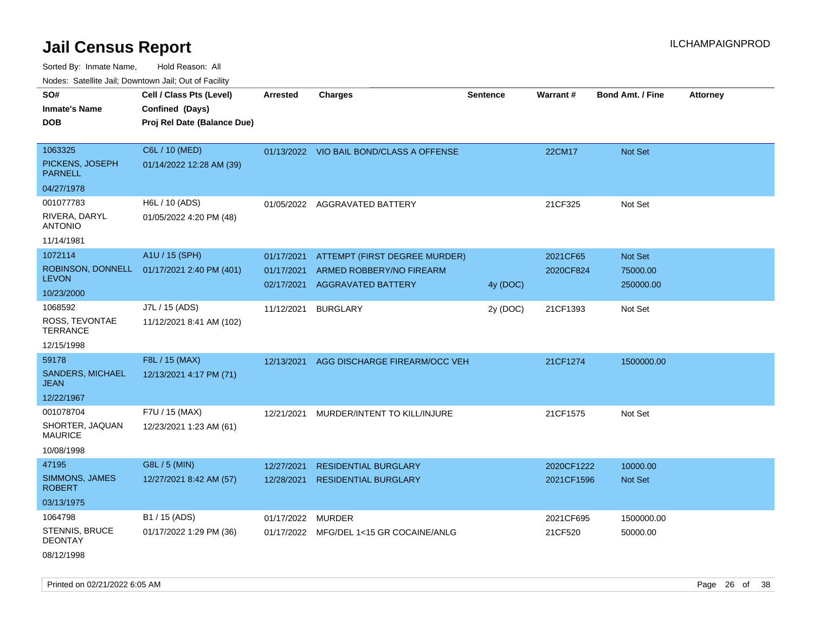Sorted By: Inmate Name, Hold Reason: All Nodes: Satellite Jail; Downtown Jail; Out of Facility

| roaco. Catolino cali, Domntonn cali, Out of Facility |                             |                   |                                          |                 |            |                         |                 |
|------------------------------------------------------|-----------------------------|-------------------|------------------------------------------|-----------------|------------|-------------------------|-----------------|
| SO#                                                  | Cell / Class Pts (Level)    | Arrested          | <b>Charges</b>                           | <b>Sentence</b> | Warrant#   | <b>Bond Amt. / Fine</b> | <b>Attorney</b> |
| <b>Inmate's Name</b>                                 | Confined (Days)             |                   |                                          |                 |            |                         |                 |
| <b>DOB</b>                                           | Proj Rel Date (Balance Due) |                   |                                          |                 |            |                         |                 |
|                                                      |                             |                   |                                          |                 |            |                         |                 |
| 1063325                                              | C6L / 10 (MED)              |                   | 01/13/2022 VIO BAIL BOND/CLASS A OFFENSE |                 | 22CM17     | Not Set                 |                 |
| PICKENS, JOSEPH<br><b>PARNELL</b>                    | 01/14/2022 12:28 AM (39)    |                   |                                          |                 |            |                         |                 |
| 04/27/1978                                           |                             |                   |                                          |                 |            |                         |                 |
| 001077783                                            | H6L / 10 (ADS)              |                   | 01/05/2022 AGGRAVATED BATTERY            |                 | 21CF325    | Not Set                 |                 |
| RIVERA, DARYL<br><b>ANTONIO</b>                      | 01/05/2022 4:20 PM (48)     |                   |                                          |                 |            |                         |                 |
| 11/14/1981                                           |                             |                   |                                          |                 |            |                         |                 |
| 1072114                                              | A1U / 15 (SPH)              | 01/17/2021        | ATTEMPT (FIRST DEGREE MURDER)            |                 | 2021CF65   | Not Set                 |                 |
| ROBINSON, DONNELL                                    | 01/17/2021 2:40 PM (401)    | 01/17/2021        | ARMED ROBBERY/NO FIREARM                 |                 | 2020CF824  | 75000.00                |                 |
| <b>LEVON</b>                                         |                             | 02/17/2021        | <b>AGGRAVATED BATTERY</b>                | 4y (DOC)        |            | 250000.00               |                 |
| 10/23/2000                                           |                             |                   |                                          |                 |            |                         |                 |
| 1068592                                              | J7L / 15 (ADS)              | 11/12/2021        | <b>BURGLARY</b>                          | 2y (DOC)        | 21CF1393   | Not Set                 |                 |
| ROSS, TEVONTAE<br><b>TERRANCE</b>                    | 11/12/2021 8:41 AM (102)    |                   |                                          |                 |            |                         |                 |
| 12/15/1998                                           |                             |                   |                                          |                 |            |                         |                 |
| 59178                                                | F8L / 15 (MAX)              | 12/13/2021        | AGG DISCHARGE FIREARM/OCC VEH            |                 | 21CF1274   | 1500000.00              |                 |
| <b>SANDERS, MICHAEL</b><br><b>JEAN</b>               | 12/13/2021 4:17 PM (71)     |                   |                                          |                 |            |                         |                 |
| 12/22/1967                                           |                             |                   |                                          |                 |            |                         |                 |
| 001078704                                            | F7U / 15 (MAX)              | 12/21/2021        | MURDER/INTENT TO KILL/INJURE             |                 | 21CF1575   | Not Set                 |                 |
| SHORTER, JAQUAN<br><b>MAURICE</b>                    | 12/23/2021 1:23 AM (61)     |                   |                                          |                 |            |                         |                 |
| 10/08/1998                                           |                             |                   |                                          |                 |            |                         |                 |
| 47195                                                | G8L / 5 (MIN)               | 12/27/2021        | <b>RESIDENTIAL BURGLARY</b>              |                 | 2020CF1222 | 10000.00                |                 |
| <b>SIMMONS, JAMES</b><br><b>ROBERT</b>               | 12/27/2021 8:42 AM (57)     | 12/28/2021        | <b>RESIDENTIAL BURGLARY</b>              |                 | 2021CF1596 | Not Set                 |                 |
| 03/13/1975                                           |                             |                   |                                          |                 |            |                         |                 |
| 1064798                                              | B1 / 15 (ADS)               | 01/17/2022 MURDER |                                          |                 | 2021CF695  | 1500000.00              |                 |
| <b>STENNIS, BRUCE</b><br><b>DEONTAY</b>              | 01/17/2022 1:29 PM (36)     |                   | 01/17/2022 MFG/DEL 1<15 GR COCAINE/ANLG  |                 | 21CF520    | 50000.00                |                 |
| 08/12/1998                                           |                             |                   |                                          |                 |            |                         |                 |

Printed on 02/21/2022 6:05 AM Page 26 of 38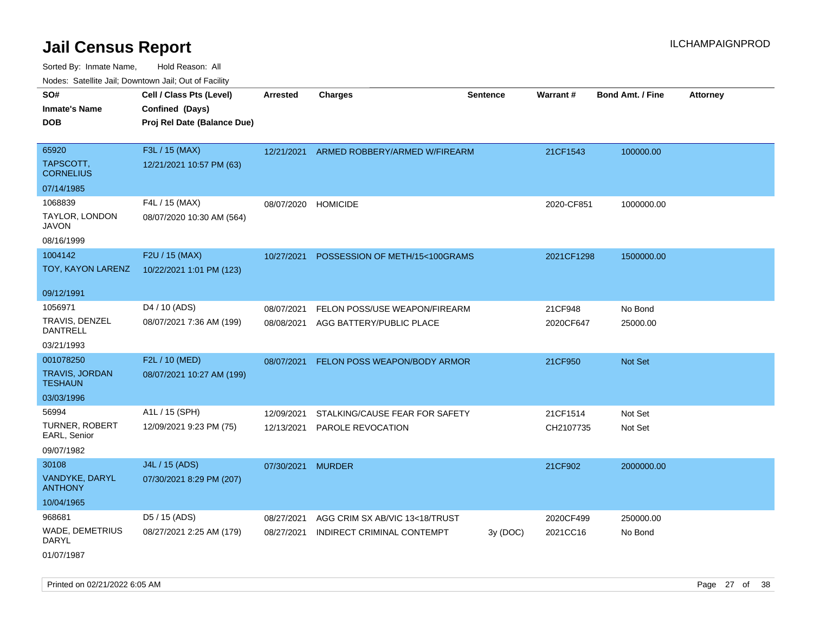Sorted By: Inmate Name, Hold Reason: All Nodes: Satellite Jail; Downtown Jail; Out of Facility

| noaco. Catomto can, Domntonn can, Cat or I domt                   |                                                                            |                          |                                                              |                 |                       |                         |                 |
|-------------------------------------------------------------------|----------------------------------------------------------------------------|--------------------------|--------------------------------------------------------------|-----------------|-----------------------|-------------------------|-----------------|
| SO#<br><b>Inmate's Name</b><br><b>DOB</b>                         | Cell / Class Pts (Level)<br>Confined (Days)<br>Proj Rel Date (Balance Due) | <b>Arrested</b>          | <b>Charges</b>                                               | <b>Sentence</b> | <b>Warrant#</b>       | <b>Bond Amt. / Fine</b> | <b>Attorney</b> |
| 65920<br>TAPSCOTT,<br><b>CORNELIUS</b>                            | F3L / 15 (MAX)<br>12/21/2021 10:57 PM (63)                                 | 12/21/2021               | ARMED ROBBERY/ARMED W/FIREARM                                |                 | 21CF1543              | 100000.00               |                 |
| 07/14/1985<br>1068839<br>TAYLOR, LONDON<br>JAVON<br>08/16/1999    | F4L / 15 (MAX)<br>08/07/2020 10:30 AM (564)                                | 08/07/2020               | <b>HOMICIDE</b>                                              |                 | 2020-CF851            | 1000000.00              |                 |
| 1004142<br>TOY, KAYON LARENZ                                      | F2U / 15 (MAX)<br>10/22/2021 1:01 PM (123)                                 | 10/27/2021               | POSSESSION OF METH/15<100GRAMS                               |                 | 2021CF1298            | 1500000.00              |                 |
| 09/12/1991<br>1056971<br>TRAVIS, DENZEL<br>DANTRELL<br>03/21/1993 | D <sub>4</sub> / 10 (ADS)<br>08/07/2021 7:36 AM (199)                      | 08/07/2021<br>08/08/2021 | FELON POSS/USE WEAPON/FIREARM<br>AGG BATTERY/PUBLIC PLACE    |                 | 21CF948<br>2020CF647  | No Bond<br>25000.00     |                 |
| 001078250<br><b>TRAVIS, JORDAN</b><br>TESHAUN<br>03/03/1996       | F2L / 10 (MED)<br>08/07/2021 10:27 AM (199)                                | 08/07/2021               | FELON POSS WEAPON/BODY ARMOR                                 |                 | 21CF950               | <b>Not Set</b>          |                 |
| 56994<br><b>TURNER, ROBERT</b><br>EARL, Senior<br>09/07/1982      | A1L / 15 (SPH)<br>12/09/2021 9:23 PM (75)                                  | 12/09/2021<br>12/13/2021 | STALKING/CAUSE FEAR FOR SAFETY<br>PAROLE REVOCATION          |                 | 21CF1514<br>CH2107735 | Not Set<br>Not Set      |                 |
| 30108<br>VANDYKE, DARYL<br><b>ANTHONY</b><br>10/04/1965           | J4L / 15 (ADS)<br>07/30/2021 8:29 PM (207)                                 | 07/30/2021 MURDER        |                                                              |                 | 21CF902               | 2000000.00              |                 |
| 968681<br><b>WADE, DEMETRIUS</b><br>DARYL                         | D5 / 15 (ADS)<br>08/27/2021 2:25 AM (179)                                  | 08/27/2021<br>08/27/2021 | AGG CRIM SX AB/VIC 13<18/TRUST<br>INDIRECT CRIMINAL CONTEMPT | 3y (DOC)        | 2020CF499<br>2021CC16 | 250000.00<br>No Bond    |                 |

01/07/1987

Printed on 02/21/2022 6:05 AM Page 27 of 38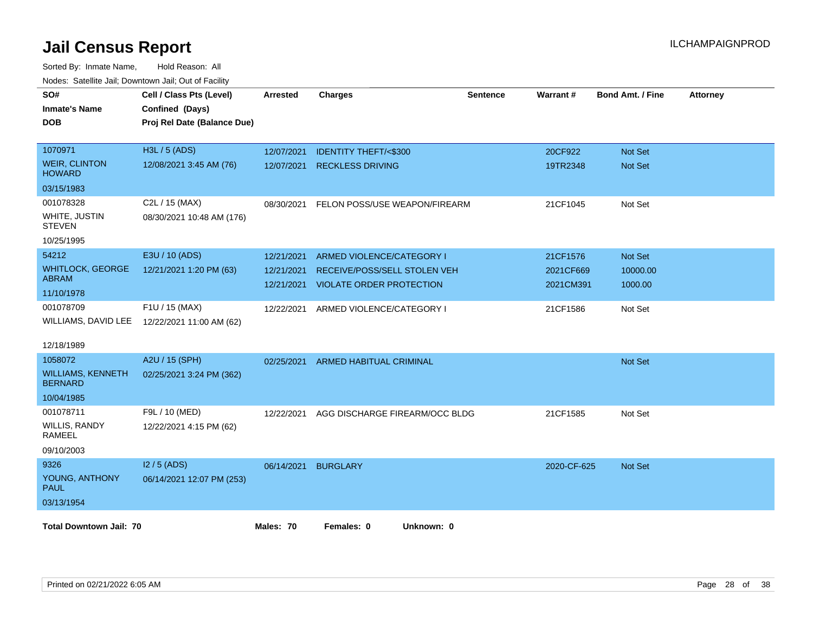| SO#                                        | Cell / Class Pts (Level)                     | <b>Arrested</b> | <b>Charges</b>                  | <b>Sentence</b> | Warrant#    | <b>Bond Amt. / Fine</b> | <b>Attorney</b> |
|--------------------------------------------|----------------------------------------------|-----------------|---------------------------------|-----------------|-------------|-------------------------|-----------------|
| <b>Inmate's Name</b>                       | Confined (Days)                              |                 |                                 |                 |             |                         |                 |
| <b>DOB</b>                                 | Proj Rel Date (Balance Due)                  |                 |                                 |                 |             |                         |                 |
|                                            |                                              |                 |                                 |                 |             |                         |                 |
| 1070971                                    | H3L / 5 (ADS)                                | 12/07/2021      | <b>IDENTITY THEFT/&lt;\$300</b> |                 | 20CF922     | <b>Not Set</b>          |                 |
| <b>WEIR, CLINTON</b><br><b>HOWARD</b>      | 12/08/2021 3:45 AM (76)                      | 12/07/2021      | <b>RECKLESS DRIVING</b>         |                 | 19TR2348    | <b>Not Set</b>          |                 |
| 03/15/1983                                 |                                              |                 |                                 |                 |             |                         |                 |
| 001078328                                  | C2L / 15 (MAX)                               | 08/30/2021      | FELON POSS/USE WEAPON/FIREARM   |                 | 21CF1045    | Not Set                 |                 |
| WHITE, JUSTIN<br><b>STEVEN</b>             | 08/30/2021 10:48 AM (176)                    |                 |                                 |                 |             |                         |                 |
| 10/25/1995                                 |                                              |                 |                                 |                 |             |                         |                 |
| 54212                                      | E3U / 10 (ADS)                               | 12/21/2021      | ARMED VIOLENCE/CATEGORY I       |                 | 21CF1576    | <b>Not Set</b>          |                 |
| <b>WHITLOCK, GEORGE</b>                    | 12/21/2021 1:20 PM (63)                      | 12/21/2021      | RECEIVE/POSS/SELL STOLEN VEH    |                 | 2021CF669   | 10000.00                |                 |
| <b>ABRAM</b>                               |                                              | 12/21/2021      | <b>VIOLATE ORDER PROTECTION</b> |                 | 2021CM391   | 1000.00                 |                 |
| 11/10/1978                                 |                                              |                 |                                 |                 |             |                         |                 |
| 001078709                                  | F1U / 15 (MAX)                               | 12/22/2021      | ARMED VIOLENCE/CATEGORY I       |                 | 21CF1586    | Not Set                 |                 |
|                                            | WILLIAMS, DAVID LEE 12/22/2021 11:00 AM (62) |                 |                                 |                 |             |                         |                 |
| 12/18/1989                                 |                                              |                 |                                 |                 |             |                         |                 |
| 1058072                                    | A2U / 15 (SPH)                               | 02/25/2021      | ARMED HABITUAL CRIMINAL         |                 |             | <b>Not Set</b>          |                 |
| <b>WILLIAMS, KENNETH</b><br><b>BERNARD</b> | 02/25/2021 3:24 PM (362)                     |                 |                                 |                 |             |                         |                 |
| 10/04/1985                                 |                                              |                 |                                 |                 |             |                         |                 |
| 001078711                                  | F9L / 10 (MED)                               | 12/22/2021      | AGG DISCHARGE FIREARM/OCC BLDG  |                 | 21CF1585    | Not Set                 |                 |
| WILLIS, RANDY<br>RAMEEL                    | 12/22/2021 4:15 PM (62)                      |                 |                                 |                 |             |                         |                 |
| 09/10/2003                                 |                                              |                 |                                 |                 |             |                         |                 |
| 9326                                       | $12/5$ (ADS)                                 | 06/14/2021      | <b>BURGLARY</b>                 |                 | 2020-CF-625 | <b>Not Set</b>          |                 |
| YOUNG, ANTHONY<br><b>PAUL</b>              | 06/14/2021 12:07 PM (253)                    |                 |                                 |                 |             |                         |                 |
| 03/13/1954                                 |                                              |                 |                                 |                 |             |                         |                 |
| <b>Total Downtown Jail: 70</b>             |                                              | Males: 70       | Females: 0<br>Unknown: 0        |                 |             |                         |                 |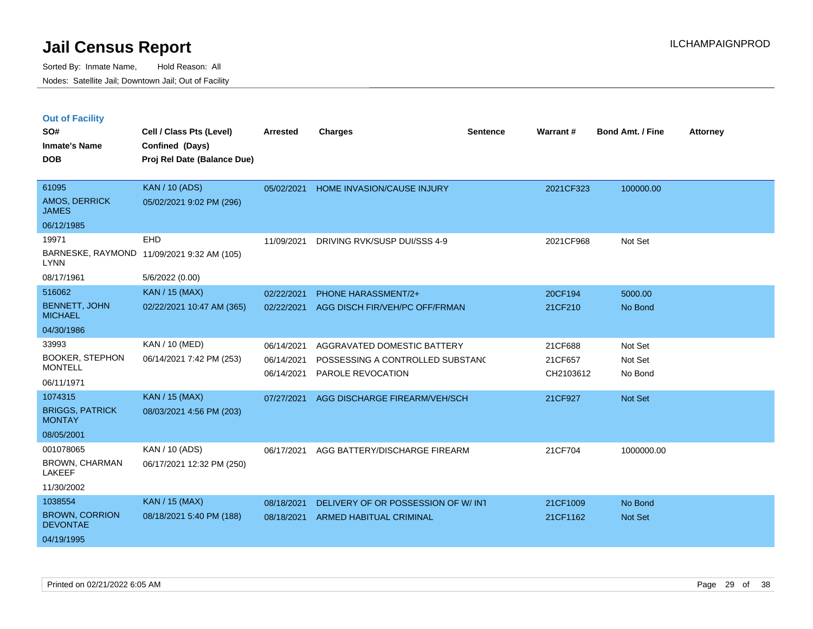| <b>Out of Facility</b> |  |  |  |
|------------------------|--|--|--|
|------------------------|--|--|--|

| SO#<br><b>Inmate's Name</b><br><b>DOB</b>     | Cell / Class Pts (Level)<br>Confined (Days)<br>Proj Rel Date (Balance Due) | Arrested   | <b>Charges</b>                      | <b>Sentence</b> | Warrant#  | <b>Bond Amt. / Fine</b> | <b>Attorney</b> |
|-----------------------------------------------|----------------------------------------------------------------------------|------------|-------------------------------------|-----------------|-----------|-------------------------|-----------------|
| 61095<br><b>AMOS, DERRICK</b><br><b>JAMES</b> | <b>KAN / 10 (ADS)</b><br>05/02/2021 9:02 PM (296)                          | 05/02/2021 | HOME INVASION/CAUSE INJURY          |                 | 2021CF323 | 100000.00               |                 |
| 06/12/1985                                    |                                                                            |            |                                     |                 |           |                         |                 |
| 19971                                         | EHD                                                                        | 11/09/2021 | DRIVING RVK/SUSP DUI/SSS 4-9        |                 | 2021CF968 | Not Set                 |                 |
| <b>LYNN</b>                                   | BARNESKE, RAYMOND 11/09/2021 9:32 AM (105)                                 |            |                                     |                 |           |                         |                 |
| 08/17/1961                                    | 5/6/2022 (0.00)                                                            |            |                                     |                 |           |                         |                 |
| 516062                                        | <b>KAN / 15 (MAX)</b>                                                      | 02/22/2021 | <b>PHONE HARASSMENT/2+</b>          |                 | 20CF194   | 5000.00                 |                 |
| <b>BENNETT, JOHN</b><br><b>MICHAEL</b>        | 02/22/2021 10:47 AM (365)                                                  | 02/22/2021 | AGG DISCH FIR/VEH/PC OFF/FRMAN      |                 | 21CF210   | No Bond                 |                 |
| 04/30/1986                                    |                                                                            |            |                                     |                 |           |                         |                 |
| 33993                                         | <b>KAN / 10 (MED)</b>                                                      | 06/14/2021 | AGGRAVATED DOMESTIC BATTERY         |                 | 21CF688   | Not Set                 |                 |
| <b>BOOKER, STEPHON</b>                        | 06/14/2021 7:42 PM (253)                                                   | 06/14/2021 | POSSESSING A CONTROLLED SUBSTANC    |                 | 21CF657   | Not Set                 |                 |
| <b>MONTELL</b>                                |                                                                            | 06/14/2021 | PAROLE REVOCATION                   |                 | CH2103612 | No Bond                 |                 |
| 06/11/1971                                    |                                                                            |            |                                     |                 |           |                         |                 |
| 1074315                                       | <b>KAN / 15 (MAX)</b>                                                      | 07/27/2021 | AGG DISCHARGE FIREARM/VEH/SCH       |                 | 21CF927   | Not Set                 |                 |
| <b>BRIGGS, PATRICK</b><br><b>MONTAY</b>       | 08/03/2021 4:56 PM (203)                                                   |            |                                     |                 |           |                         |                 |
| 08/05/2001                                    |                                                                            |            |                                     |                 |           |                         |                 |
| 001078065                                     | KAN / 10 (ADS)                                                             | 06/17/2021 | AGG BATTERY/DISCHARGE FIREARM       |                 | 21CF704   | 1000000.00              |                 |
| <b>BROWN, CHARMAN</b><br><b>LAKEEF</b>        | 06/17/2021 12:32 PM (250)                                                  |            |                                     |                 |           |                         |                 |
| 11/30/2002                                    |                                                                            |            |                                     |                 |           |                         |                 |
| 1038554                                       | <b>KAN / 15 (MAX)</b>                                                      | 08/18/2021 | DELIVERY OF OR POSSESSION OF W/ INT |                 | 21CF1009  | No Bond                 |                 |
| <b>BROWN, CORRION</b><br><b>DEVONTAE</b>      | 08/18/2021 5:40 PM (188)                                                   | 08/18/2021 | ARMED HABITUAL CRIMINAL             |                 | 21CF1162  | Not Set                 |                 |
| 04/19/1995                                    |                                                                            |            |                                     |                 |           |                         |                 |
|                                               |                                                                            |            |                                     |                 |           |                         |                 |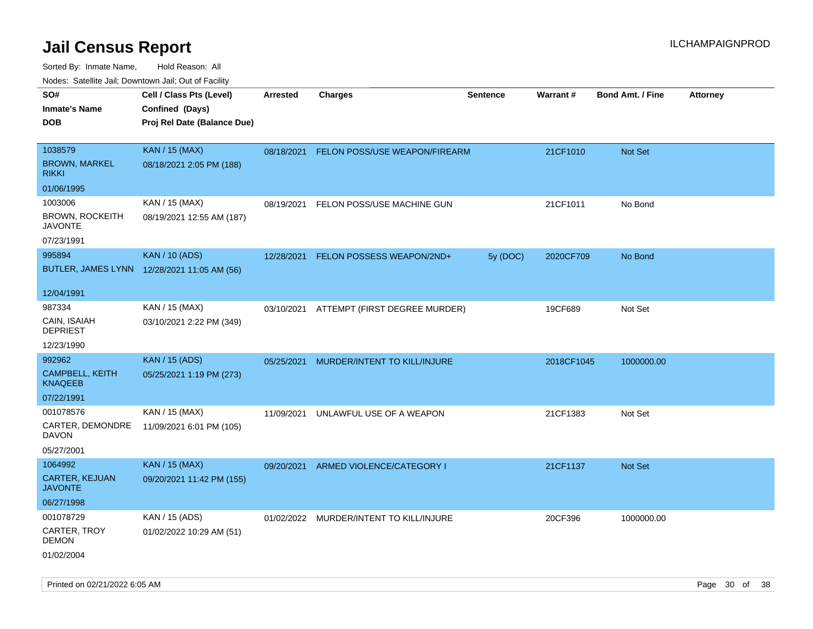| ivouss. Satellite Jali, Downtown Jali, Out of Facility |                                             |            |                                          |                 |            |                         |                 |
|--------------------------------------------------------|---------------------------------------------|------------|------------------------------------------|-----------------|------------|-------------------------|-----------------|
| SO#                                                    | Cell / Class Pts (Level)                    | Arrested   | <b>Charges</b>                           | <b>Sentence</b> | Warrant#   | <b>Bond Amt. / Fine</b> | <b>Attorney</b> |
| Inmate's Name                                          | Confined (Days)                             |            |                                          |                 |            |                         |                 |
| DOB                                                    | Proj Rel Date (Balance Due)                 |            |                                          |                 |            |                         |                 |
|                                                        |                                             |            |                                          |                 |            |                         |                 |
| 1038579                                                | <b>KAN / 15 (MAX)</b>                       | 08/18/2021 | FELON POSS/USE WEAPON/FIREARM            |                 | 21CF1010   | Not Set                 |                 |
| <b>BROWN, MARKEL</b><br>rikki                          | 08/18/2021 2:05 PM (188)                    |            |                                          |                 |            |                         |                 |
| 01/06/1995                                             |                                             |            |                                          |                 |            |                         |                 |
| 1003006                                                | KAN / 15 (MAX)                              | 08/19/2021 | FELON POSS/USE MACHINE GUN               |                 | 21CF1011   | No Bond                 |                 |
| BROWN, ROCKEITH<br><b>JAVONTE</b>                      | 08/19/2021 12:55 AM (187)                   |            |                                          |                 |            |                         |                 |
| 07/23/1991                                             |                                             |            |                                          |                 |            |                         |                 |
| 995894                                                 | <b>KAN / 10 (ADS)</b>                       | 12/28/2021 | FELON POSSESS WEAPON/2ND+                | 5y (DOC)        | 2020CF709  | No Bond                 |                 |
|                                                        | BUTLER, JAMES LYNN 12/28/2021 11:05 AM (56) |            |                                          |                 |            |                         |                 |
| 12/04/1991                                             |                                             |            |                                          |                 |            |                         |                 |
| 987334                                                 | KAN / 15 (MAX)                              |            | 03/10/2021 ATTEMPT (FIRST DEGREE MURDER) |                 | 19CF689    | Not Set                 |                 |
| CAIN, ISAIAH<br><b>DEPRIEST</b>                        | 03/10/2021 2:22 PM (349)                    |            |                                          |                 |            |                         |                 |
| 12/23/1990                                             |                                             |            |                                          |                 |            |                         |                 |
| 992962                                                 | <b>KAN / 15 (ADS)</b>                       | 05/25/2021 | MURDER/INTENT TO KILL/INJURE             |                 | 2018CF1045 | 1000000.00              |                 |
| <b>CAMPBELL, KEITH</b><br>KNAQEEB                      | 05/25/2021 1:19 PM (273)                    |            |                                          |                 |            |                         |                 |
| 07/22/1991                                             |                                             |            |                                          |                 |            |                         |                 |
| 001078576                                              | KAN / 15 (MAX)                              | 11/09/2021 | UNLAWFUL USE OF A WEAPON                 |                 | 21CF1383   | Not Set                 |                 |
| CARTER, DEMONDRE<br>DAVON                              | 11/09/2021 6:01 PM (105)                    |            |                                          |                 |            |                         |                 |
| 05/27/2001                                             |                                             |            |                                          |                 |            |                         |                 |
| 1064992                                                | <b>KAN / 15 (MAX)</b>                       | 09/20/2021 | ARMED VIOLENCE/CATEGORY I                |                 | 21CF1137   | <b>Not Set</b>          |                 |
| <b>CARTER, KEJUAN</b><br>JAVONTE                       | 09/20/2021 11:42 PM (155)                   |            |                                          |                 |            |                         |                 |
| 06/27/1998                                             |                                             |            |                                          |                 |            |                         |                 |
| 001078729                                              | KAN / 15 (ADS)                              |            | 01/02/2022 MURDER/INTENT TO KILL/INJURE  |                 | 20CF396    | 1000000.00              |                 |
| CARTER, TROY<br>DEMON                                  | 01/02/2022 10:29 AM (51)                    |            |                                          |                 |            |                         |                 |
| 01/02/2004                                             |                                             |            |                                          |                 |            |                         |                 |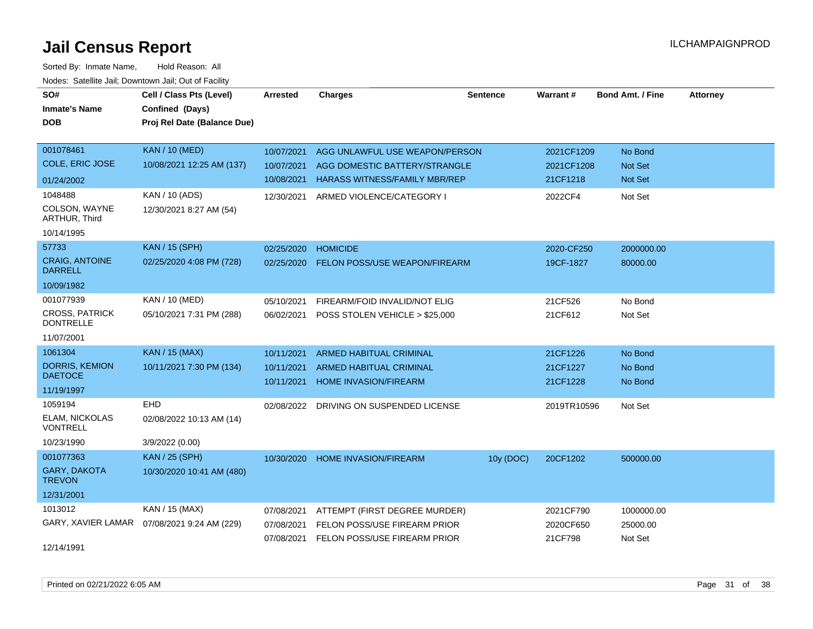| SO#<br><b>Inmate's Name</b>               | Cell / Class Pts (Level)<br>Confined (Days) | <b>Arrested</b> | <b>Charges</b>                          | <b>Sentence</b> | <b>Warrant#</b> | <b>Bond Amt. / Fine</b> | <b>Attorney</b> |
|-------------------------------------------|---------------------------------------------|-----------------|-----------------------------------------|-----------------|-----------------|-------------------------|-----------------|
| <b>DOB</b>                                | Proj Rel Date (Balance Due)                 |                 |                                         |                 |                 |                         |                 |
| 001078461                                 | <b>KAN / 10 (MED)</b>                       | 10/07/2021      | AGG UNLAWFUL USE WEAPON/PERSON          |                 | 2021CF1209      | No Bond                 |                 |
| <b>COLE, ERIC JOSE</b>                    | 10/08/2021 12:25 AM (137)                   | 10/07/2021      | AGG DOMESTIC BATTERY/STRANGLE           |                 | 2021CF1208      | <b>Not Set</b>          |                 |
| 01/24/2002                                |                                             | 10/08/2021      | <b>HARASS WITNESS/FAMILY MBR/REP</b>    |                 | 21CF1218        | Not Set                 |                 |
| 1048488                                   | KAN / 10 (ADS)                              | 12/30/2021      | ARMED VIOLENCE/CATEGORY I               |                 | 2022CF4         | Not Set                 |                 |
| COLSON, WAYNE<br>ARTHUR, Third            | 12/30/2021 8:27 AM (54)                     |                 |                                         |                 |                 |                         |                 |
| 10/14/1995                                |                                             |                 |                                         |                 |                 |                         |                 |
| 57733                                     | KAN / 15 (SPH)                              | 02/25/2020      | <b>HOMICIDE</b>                         |                 | 2020-CF250      | 2000000.00              |                 |
| <b>CRAIG, ANTOINE</b><br><b>DARRELL</b>   | 02/25/2020 4:08 PM (728)                    | 02/25/2020      | <b>FELON POSS/USE WEAPON/FIREARM</b>    |                 | 19CF-1827       | 80000.00                |                 |
| 10/09/1982                                |                                             |                 |                                         |                 |                 |                         |                 |
| 001077939                                 | KAN / 10 (MED)                              | 05/10/2021      | FIREARM/FOID INVALID/NOT ELIG           |                 | 21CF526         | No Bond                 |                 |
| <b>CROSS, PATRICK</b><br><b>DONTRELLE</b> | 05/10/2021 7:31 PM (288)                    | 06/02/2021      | POSS STOLEN VEHICLE > \$25,000          |                 | 21CF612         | Not Set                 |                 |
| 11/07/2001                                |                                             |                 |                                         |                 |                 |                         |                 |
| 1061304                                   | KAN / 15 (MAX)                              | 10/11/2021      | <b>ARMED HABITUAL CRIMINAL</b>          |                 | 21CF1226        | No Bond                 |                 |
| DORRIS, KEMION                            | 10/11/2021 7:30 PM (134)                    | 10/11/2021      | <b>ARMED HABITUAL CRIMINAL</b>          |                 | 21CF1227        | No Bond                 |                 |
| <b>DAETOCE</b>                            |                                             | 10/11/2021      | HOME INVASION/FIREARM                   |                 | 21CF1228        | No Bond                 |                 |
| 11/19/1997                                |                                             |                 |                                         |                 |                 |                         |                 |
| 1059194<br>ELAM, NICKOLAS                 | EHD                                         |                 | 02/08/2022 DRIVING ON SUSPENDED LICENSE |                 | 2019TR10596     | Not Set                 |                 |
| <b>VONTRELL</b>                           | 02/08/2022 10:13 AM (14)                    |                 |                                         |                 |                 |                         |                 |
| 10/23/1990                                | 3/9/2022 (0.00)                             |                 |                                         |                 |                 |                         |                 |
| 001077363                                 | <b>KAN / 25 (SPH)</b>                       | 10/30/2020      | HOME INVASION/FIREARM                   | 10y (DOC)       | 20CF1202        | 500000.00               |                 |
| <b>GARY, DAKOTA</b><br><b>TREVON</b>      | 10/30/2020 10:41 AM (480)                   |                 |                                         |                 |                 |                         |                 |
| 12/31/2001                                |                                             |                 |                                         |                 |                 |                         |                 |
| 1013012                                   | KAN / 15 (MAX)                              | 07/08/2021      | ATTEMPT (FIRST DEGREE MURDER)           |                 | 2021CF790       | 1000000.00              |                 |
| GARY, XAVIER LAMAR                        | 07/08/2021 9:24 AM (229)                    | 07/08/2021      | FELON POSS/USE FIREARM PRIOR            |                 | 2020CF650       | 25000.00                |                 |
| 12/14/1991                                |                                             | 07/08/2021      | FELON POSS/USE FIREARM PRIOR            |                 | 21CF798         | Not Set                 |                 |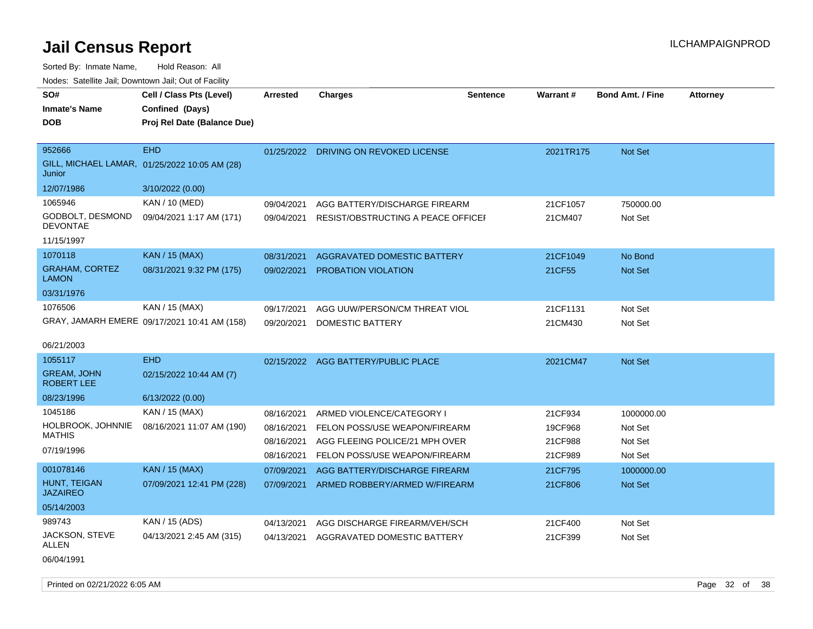| SO#<br><b>Inmate's Name</b><br><b>DOB</b> | Cell / Class Pts (Level)<br>Confined (Days)<br>Proj Rel Date (Balance Due) | <b>Arrested</b> | <b>Charges</b>                      | <b>Sentence</b> | <b>Warrant#</b> | <b>Bond Amt. / Fine</b> | <b>Attorney</b> |
|-------------------------------------------|----------------------------------------------------------------------------|-----------------|-------------------------------------|-----------------|-----------------|-------------------------|-----------------|
|                                           |                                                                            |                 |                                     |                 |                 |                         |                 |
| 952666<br>Junior                          | <b>EHD</b><br>GILL, MICHAEL LAMAR, 01/25/2022 10:05 AM (28)                | 01/25/2022      | DRIVING ON REVOKED LICENSE          |                 | 2021TR175       | Not Set                 |                 |
| 12/07/1986                                | 3/10/2022 (0.00)                                                           |                 |                                     |                 |                 |                         |                 |
| 1065946                                   | KAN / 10 (MED)                                                             | 09/04/2021      | AGG BATTERY/DISCHARGE FIREARM       |                 | 21CF1057        | 750000.00               |                 |
| GODBOLT, DESMOND<br><b>DEVONTAE</b>       | 09/04/2021 1:17 AM (171)                                                   | 09/04/2021      | RESIST/OBSTRUCTING A PEACE OFFICEI  |                 | 21CM407         | Not Set                 |                 |
| 11/15/1997                                |                                                                            |                 |                                     |                 |                 |                         |                 |
| 1070118                                   | <b>KAN / 15 (MAX)</b>                                                      | 08/31/2021      | AGGRAVATED DOMESTIC BATTERY         |                 | 21CF1049        | No Bond                 |                 |
| <b>GRAHAM, CORTEZ</b><br><b>LAMON</b>     | 08/31/2021 9:32 PM (175)                                                   | 09/02/2021      | PROBATION VIOLATION                 |                 | 21CF55          | Not Set                 |                 |
| 03/31/1976                                |                                                                            |                 |                                     |                 |                 |                         |                 |
| 1076506                                   | KAN / 15 (MAX)                                                             | 09/17/2021      | AGG UUW/PERSON/CM THREAT VIOL       |                 | 21CF1131        | Not Set                 |                 |
|                                           | GRAY, JAMARH EMERE 09/17/2021 10:41 AM (158)                               | 09/20/2021      | DOMESTIC BATTERY                    |                 | 21CM430         | Not Set                 |                 |
| 06/21/2003                                |                                                                            |                 |                                     |                 |                 |                         |                 |
| 1055117                                   | <b>EHD</b>                                                                 |                 | 02/15/2022 AGG BATTERY/PUBLIC PLACE |                 | 2021CM47        | <b>Not Set</b>          |                 |
| <b>GREAM, JOHN</b><br><b>ROBERT LEE</b>   | 02/15/2022 10:44 AM (7)                                                    |                 |                                     |                 |                 |                         |                 |
| 08/23/1996                                | 6/13/2022 (0.00)                                                           |                 |                                     |                 |                 |                         |                 |
| 1045186                                   | KAN / 15 (MAX)                                                             | 08/16/2021      | ARMED VIOLENCE/CATEGORY I           |                 | 21CF934         | 1000000.00              |                 |
| HOLBROOK, JOHNNIE                         | 08/16/2021 11:07 AM (190)                                                  | 08/16/2021      | FELON POSS/USE WEAPON/FIREARM       |                 | 19CF968         | Not Set                 |                 |
| <b>MATHIS</b>                             |                                                                            | 08/16/2021      | AGG FLEEING POLICE/21 MPH OVER      |                 | 21CF988         | Not Set                 |                 |
| 07/19/1996                                |                                                                            | 08/16/2021      | FELON POSS/USE WEAPON/FIREARM       |                 | 21CF989         | Not Set                 |                 |
| 001078146                                 | <b>KAN / 15 (MAX)</b>                                                      | 07/09/2021      | AGG BATTERY/DISCHARGE FIREARM       |                 | 21CF795         | 1000000.00              |                 |
| HUNT, TEIGAN<br><b>JAZAIREO</b>           | 07/09/2021 12:41 PM (228)                                                  | 07/09/2021      | ARMED ROBBERY/ARMED W/FIREARM       |                 | 21CF806         | Not Set                 |                 |
| 05/14/2003                                |                                                                            |                 |                                     |                 |                 |                         |                 |
| 989743                                    | KAN / 15 (ADS)                                                             | 04/13/2021      | AGG DISCHARGE FIREARM/VEH/SCH       |                 | 21CF400         | Not Set                 |                 |
| JACKSON, STEVE<br>ALLEN                   | 04/13/2021 2:45 AM (315)                                                   | 04/13/2021      | AGGRAVATED DOMESTIC BATTERY         |                 | 21CF399         | Not Set                 |                 |
| 06/04/1991                                |                                                                            |                 |                                     |                 |                 |                         |                 |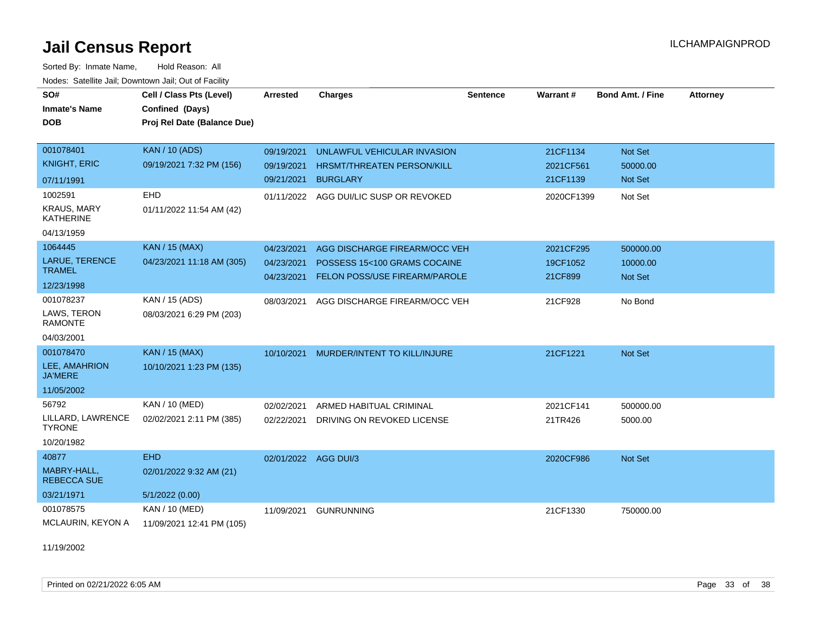Sorted By: Inmate Name, Hold Reason: All Nodes: Satellite Jail; Downtown Jail; Out of Facility

| SO#<br><b>Inmate's Name</b>            | Cell / Class Pts (Level)<br>Confined (Days) | Arrested   | <b>Charges</b>                    | <b>Sentence</b> | Warrant#   | <b>Bond Amt. / Fine</b> | <b>Attorney</b> |
|----------------------------------------|---------------------------------------------|------------|-----------------------------------|-----------------|------------|-------------------------|-----------------|
| <b>DOB</b>                             | Proj Rel Date (Balance Due)                 |            |                                   |                 |            |                         |                 |
| 001078401                              | <b>KAN / 10 (ADS)</b>                       | 09/19/2021 | UNLAWFUL VEHICULAR INVASION       |                 | 21CF1134   | Not Set                 |                 |
| <b>KNIGHT, ERIC</b>                    | 09/19/2021 7:32 PM (156)                    | 09/19/2021 | <b>HRSMT/THREATEN PERSON/KILL</b> |                 | 2021CF561  | 50000.00                |                 |
| 07/11/1991                             |                                             | 09/21/2021 | <b>BURGLARY</b>                   |                 | 21CF1139   | Not Set                 |                 |
| 1002591                                | EHD                                         | 01/11/2022 | AGG DUI/LIC SUSP OR REVOKED       |                 | 2020CF1399 | Not Set                 |                 |
| <b>KRAUS, MARY</b><br><b>KATHERINE</b> | 01/11/2022 11:54 AM (42)                    |            |                                   |                 |            |                         |                 |
| 04/13/1959                             |                                             |            |                                   |                 |            |                         |                 |
| 1064445                                | <b>KAN / 15 (MAX)</b>                       | 04/23/2021 | AGG DISCHARGE FIREARM/OCC VEH     |                 | 2021CF295  | 500000.00               |                 |
| LARUE, TERENCE<br><b>TRAMEL</b>        | 04/23/2021 11:18 AM (305)                   | 04/23/2021 | POSSESS 15<100 GRAMS COCAINE      |                 | 19CF1052   | 10000.00                |                 |
| 12/23/1998                             |                                             | 04/23/2021 | FELON POSS/USE FIREARM/PAROLE     |                 | 21CF899    | <b>Not Set</b>          |                 |
| 001078237                              | KAN / 15 (ADS)                              | 08/03/2021 | AGG DISCHARGE FIREARM/OCC VEH     |                 | 21CF928    | No Bond                 |                 |
| LAWS, TERON                            | 08/03/2021 6:29 PM (203)                    |            |                                   |                 |            |                         |                 |
| <b>RAMONTE</b>                         |                                             |            |                                   |                 |            |                         |                 |
| 04/03/2001<br>001078470                | <b>KAN / 15 (MAX)</b>                       |            |                                   |                 |            |                         |                 |
| LEE, AMAHRION                          | 10/10/2021 1:23 PM (135)                    | 10/10/2021 | MURDER/INTENT TO KILL/INJURE      |                 | 21CF1221   | Not Set                 |                 |
| <b>JA'MERE</b>                         |                                             |            |                                   |                 |            |                         |                 |
| 11/05/2002                             |                                             |            |                                   |                 |            |                         |                 |
| 56792                                  | KAN / 10 (MED)                              | 02/02/2021 | ARMED HABITUAL CRIMINAL           |                 | 2021CF141  | 500000.00               |                 |
| LILLARD, LAWRENCE<br><b>TYRONE</b>     | 02/02/2021 2:11 PM (385)                    | 02/22/2021 | DRIVING ON REVOKED LICENSE        |                 | 21TR426    | 5000.00                 |                 |
| 10/20/1982                             |                                             |            |                                   |                 |            |                         |                 |
| 40877                                  | <b>EHD</b>                                  |            | 02/01/2022 AGG DUI/3              |                 | 2020CF986  | Not Set                 |                 |
| MABRY-HALL,<br><b>REBECCA SUE</b>      | 02/01/2022 9:32 AM (21)                     |            |                                   |                 |            |                         |                 |
| 03/21/1971                             | 5/1/2022(0.00)                              |            |                                   |                 |            |                         |                 |
| 001078575                              | KAN / 10 (MED)                              | 11/09/2021 | <b>GUNRUNNING</b>                 |                 | 21CF1330   | 750000.00               |                 |
| MCLAURIN, KEYON A                      | 11/09/2021 12:41 PM (105)                   |            |                                   |                 |            |                         |                 |

11/19/2002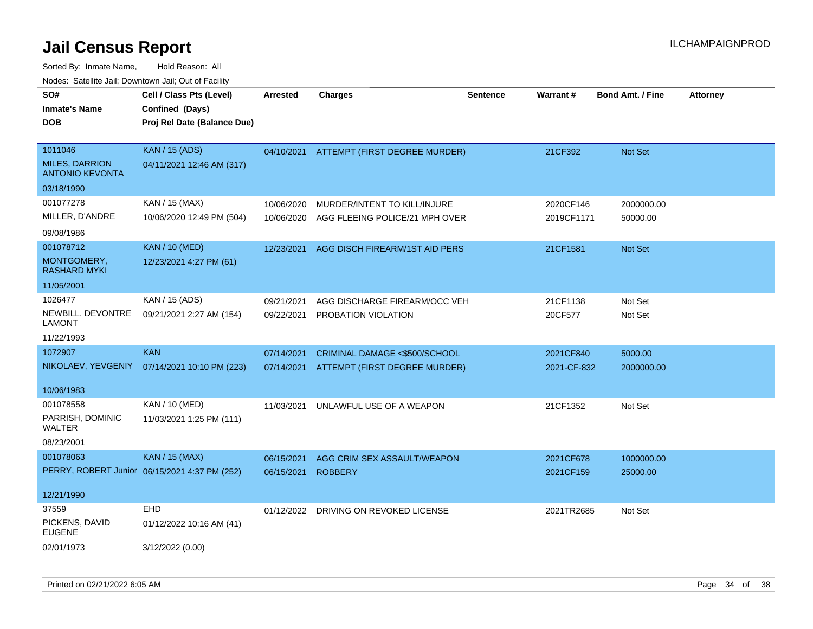| SO#<br><b>Inmate's Name</b><br><b>DOB</b>                                | Cell / Class Pts (Level)<br>Confined (Days)<br>Proj Rel Date (Balance Due) | <b>Arrested</b>          | <b>Charges</b>                                                 | <b>Sentence</b> | Warrant#                 | <b>Bond Amt. / Fine</b> | <b>Attorney</b> |
|--------------------------------------------------------------------------|----------------------------------------------------------------------------|--------------------------|----------------------------------------------------------------|-----------------|--------------------------|-------------------------|-----------------|
| 1011046<br><b>MILES, DARRION</b><br><b>ANTONIO KEVONTA</b><br>03/18/1990 | <b>KAN / 15 (ADS)</b><br>04/11/2021 12:46 AM (317)                         | 04/10/2021               | ATTEMPT (FIRST DEGREE MURDER)                                  |                 | 21CF392                  | <b>Not Set</b>          |                 |
| 001077278<br>MILLER, D'ANDRE<br>09/08/1986                               | KAN / 15 (MAX)<br>10/06/2020 12:49 PM (504)                                | 10/06/2020<br>10/06/2020 | MURDER/INTENT TO KILL/INJURE<br>AGG FLEEING POLICE/21 MPH OVER |                 | 2020CF146<br>2019CF1171  | 2000000.00<br>50000.00  |                 |
| 001078712<br>MONTGOMERY,<br><b>RASHARD MYKI</b><br>11/05/2001            | <b>KAN / 10 (MED)</b><br>12/23/2021 4:27 PM (61)                           | 12/23/2021               | AGG DISCH FIREARM/1ST AID PERS                                 |                 | 21CF1581                 | <b>Not Set</b>          |                 |
| 1026477<br>NEWBILL, DEVONTRE<br>LAMONT<br>11/22/1993                     | KAN / 15 (ADS)<br>09/21/2021 2:27 AM (154)                                 | 09/21/2021<br>09/22/2021 | AGG DISCHARGE FIREARM/OCC VEH<br>PROBATION VIOLATION           |                 | 21CF1138<br>20CF577      | Not Set<br>Not Set      |                 |
| 1072907<br>NIKOLAEV, YEVGENIY<br>10/06/1983                              | <b>KAN</b><br>07/14/2021 10:10 PM (223)                                    | 07/14/2021<br>07/14/2021 | CRIMINAL DAMAGE <\$500/SCHOOL<br>ATTEMPT (FIRST DEGREE MURDER) |                 | 2021CF840<br>2021-CF-832 | 5000.00<br>2000000.00   |                 |
| 001078558<br>PARRISH, DOMINIC<br>WALTER<br>08/23/2001                    | KAN / 10 (MED)<br>11/03/2021 1:25 PM (111)                                 | 11/03/2021               | UNLAWFUL USE OF A WEAPON                                       |                 | 21CF1352                 | Not Set                 |                 |
| 001078063<br>12/21/1990                                                  | <b>KAN / 15 (MAX)</b><br>PERRY, ROBERT Junior 06/15/2021 4:37 PM (252)     | 06/15/2021<br>06/15/2021 | AGG CRIM SEX ASSAULT/WEAPON<br><b>ROBBERY</b>                  |                 | 2021CF678<br>2021CF159   | 1000000.00<br>25000.00  |                 |
| 37559<br>PICKENS, DAVID<br><b>EUGENE</b><br>02/01/1973                   | EHD<br>01/12/2022 10:16 AM (41)<br>3/12/2022 (0.00)                        | 01/12/2022               | DRIVING ON REVOKED LICENSE                                     |                 | 2021TR2685               | Not Set                 |                 |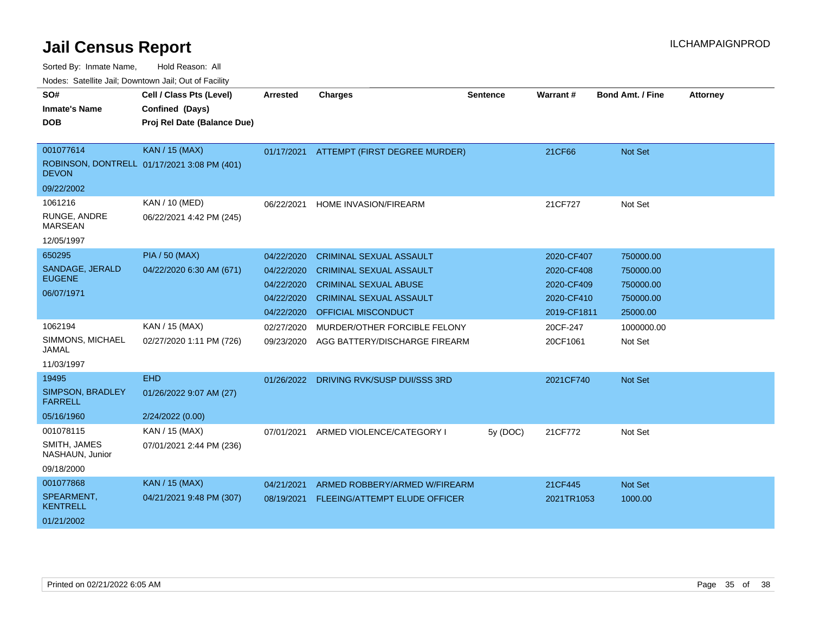| SO#<br><b>Inmate's Name</b>        | Cell / Class Pts (Level)<br>Confined (Days) | <b>Arrested</b> | <b>Charges</b>                 | <b>Sentence</b> | <b>Warrant#</b> | <b>Bond Amt. / Fine</b> | <b>Attorney</b> |
|------------------------------------|---------------------------------------------|-----------------|--------------------------------|-----------------|-----------------|-------------------------|-----------------|
| <b>DOB</b>                         | Proj Rel Date (Balance Due)                 |                 |                                |                 |                 |                         |                 |
| 001077614                          | <b>KAN / 15 (MAX)</b>                       | 01/17/2021      | ATTEMPT (FIRST DEGREE MURDER)  |                 | 21CF66          | <b>Not Set</b>          |                 |
| <b>DEVON</b>                       | ROBINSON, DONTRELL 01/17/2021 3:08 PM (401) |                 |                                |                 |                 |                         |                 |
| 09/22/2002                         |                                             |                 |                                |                 |                 |                         |                 |
| 1061216                            | <b>KAN / 10 (MED)</b>                       | 06/22/2021      | <b>HOME INVASION/FIREARM</b>   |                 | 21CF727         | Not Set                 |                 |
| RUNGE, ANDRE<br><b>MARSEAN</b>     | 06/22/2021 4:42 PM (245)                    |                 |                                |                 |                 |                         |                 |
| 12/05/1997                         |                                             |                 |                                |                 |                 |                         |                 |
| 650295                             | <b>PIA / 50 (MAX)</b>                       | 04/22/2020      | <b>CRIMINAL SEXUAL ASSAULT</b> |                 | 2020-CF407      | 750000.00               |                 |
| SANDAGE, JERALD                    | 04/22/2020 6:30 AM (671)                    | 04/22/2020      | <b>CRIMINAL SEXUAL ASSAULT</b> |                 | 2020-CF408      | 750000.00               |                 |
| <b>EUGENE</b>                      |                                             | 04/22/2020      | <b>CRIMINAL SEXUAL ABUSE</b>   |                 | 2020-CF409      | 750000.00               |                 |
| 06/07/1971                         |                                             | 04/22/2020      | <b>CRIMINAL SEXUAL ASSAULT</b> |                 | 2020-CF410      | 750000.00               |                 |
|                                    |                                             | 04/22/2020      | <b>OFFICIAL MISCONDUCT</b>     |                 | 2019-CF1811     | 25000.00                |                 |
| 1062194                            | KAN / 15 (MAX)                              | 02/27/2020      | MURDER/OTHER FORCIBLE FELONY   |                 | 20CF-247        | 1000000.00              |                 |
| SIMMONS, MICHAEL<br>JAMAL          | 02/27/2020 1:11 PM (726)                    | 09/23/2020      | AGG BATTERY/DISCHARGE FIREARM  |                 | 20CF1061        | Not Set                 |                 |
| 11/03/1997                         |                                             |                 |                                |                 |                 |                         |                 |
| 19495                              | <b>EHD</b>                                  | 01/26/2022      | DRIVING RVK/SUSP DUI/SSS 3RD   |                 | 2021CF740       | Not Set                 |                 |
| SIMPSON, BRADLEY<br><b>FARRELL</b> | 01/26/2022 9:07 AM (27)                     |                 |                                |                 |                 |                         |                 |
| 05/16/1960                         | 2/24/2022 (0.00)                            |                 |                                |                 |                 |                         |                 |
| 001078115                          | KAN / 15 (MAX)                              | 07/01/2021      | ARMED VIOLENCE/CATEGORY I      | 5y (DOC)        | 21CF772         | Not Set                 |                 |
| SMITH, JAMES<br>NASHAUN, Junior    | 07/01/2021 2:44 PM (236)                    |                 |                                |                 |                 |                         |                 |
| 09/18/2000                         |                                             |                 |                                |                 |                 |                         |                 |
| 001077868                          | KAN / 15 (MAX)                              | 04/21/2021      | ARMED ROBBERY/ARMED W/FIREARM  |                 | 21CF445         | <b>Not Set</b>          |                 |
| SPEARMENT,<br><b>KENTRELL</b>      | 04/21/2021 9:48 PM (307)                    | 08/19/2021      | FLEEING/ATTEMPT ELUDE OFFICER  |                 | 2021TR1053      | 1000.00                 |                 |
| 01/21/2002                         |                                             |                 |                                |                 |                 |                         |                 |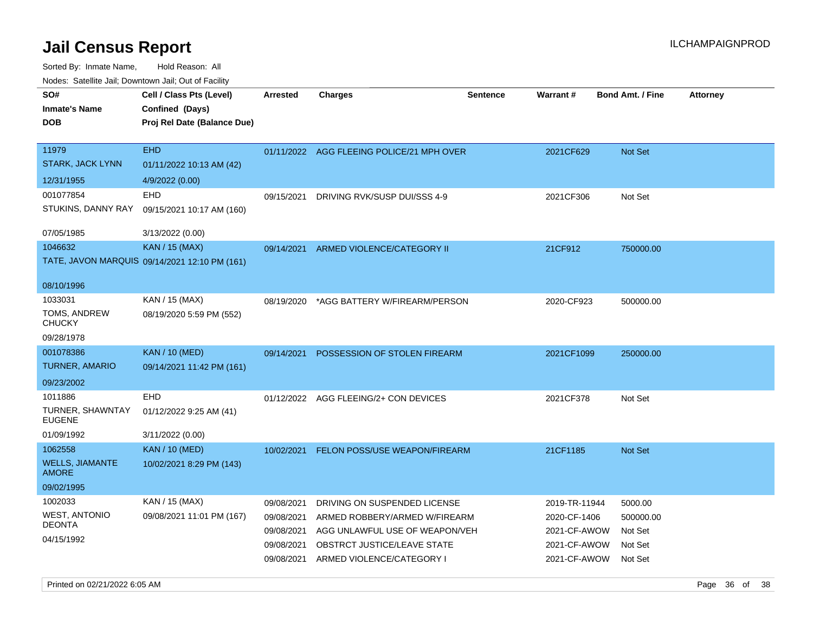| indues. Salenne Jan, Downlown Jan, Out of Facility |                                               |            |                                           |                 |                 |                         |                 |
|----------------------------------------------------|-----------------------------------------------|------------|-------------------------------------------|-----------------|-----------------|-------------------------|-----------------|
| SO#                                                | Cell / Class Pts (Level)                      | Arrested   | <b>Charges</b>                            | <b>Sentence</b> | <b>Warrant#</b> | <b>Bond Amt. / Fine</b> | <b>Attorney</b> |
| <b>Inmate's Name</b>                               | Confined (Days)                               |            |                                           |                 |                 |                         |                 |
| <b>DOB</b>                                         | Proj Rel Date (Balance Due)                   |            |                                           |                 |                 |                         |                 |
|                                                    |                                               |            |                                           |                 |                 |                         |                 |
| 11979                                              | <b>EHD</b>                                    |            | 01/11/2022 AGG FLEEING POLICE/21 MPH OVER |                 | 2021CF629       | Not Set                 |                 |
| STARK, JACK LYNN                                   | 01/11/2022 10:13 AM (42)                      |            |                                           |                 |                 |                         |                 |
| 12/31/1955                                         | 4/9/2022 (0.00)                               |            |                                           |                 |                 |                         |                 |
| 001077854                                          | EHD                                           | 09/15/2021 | DRIVING RVK/SUSP DUI/SSS 4-9              |                 | 2021CF306       | Not Set                 |                 |
| STUKINS, DANNY RAY                                 | 09/15/2021 10:17 AM (160)                     |            |                                           |                 |                 |                         |                 |
| 07/05/1985                                         | 3/13/2022 (0.00)                              |            |                                           |                 |                 |                         |                 |
| 1046632                                            | <b>KAN / 15 (MAX)</b>                         | 09/14/2021 | ARMED VIOLENCE/CATEGORY II                |                 | 21CF912         | 750000.00               |                 |
|                                                    | TATE, JAVON MARQUIS 09/14/2021 12:10 PM (161) |            |                                           |                 |                 |                         |                 |
|                                                    |                                               |            |                                           |                 |                 |                         |                 |
| 08/10/1996                                         |                                               |            |                                           |                 |                 |                         |                 |
| 1033031                                            | KAN / 15 (MAX)                                | 08/19/2020 | *AGG BATTERY W/FIREARM/PERSON             |                 | 2020-CF923      | 500000.00               |                 |
| TOMS, ANDREW<br>CHUCKY                             | 08/19/2020 5:59 PM (552)                      |            |                                           |                 |                 |                         |                 |
| 09/28/1978                                         |                                               |            |                                           |                 |                 |                         |                 |
| 001078386                                          | <b>KAN / 10 (MED)</b>                         | 09/14/2021 | POSSESSION OF STOLEN FIREARM              |                 | 2021CF1099      | 250000.00               |                 |
| TURNER, AMARIO                                     | 09/14/2021 11:42 PM (161)                     |            |                                           |                 |                 |                         |                 |
| 09/23/2002                                         |                                               |            |                                           |                 |                 |                         |                 |
| 1011886                                            | <b>EHD</b>                                    |            | 01/12/2022 AGG FLEEING/2+ CON DEVICES     |                 | 2021CF378       | Not Set                 |                 |
| TURNER, SHAWNTAY<br>EUGENE                         | 01/12/2022 9:25 AM (41)                       |            |                                           |                 |                 |                         |                 |
| 01/09/1992                                         | 3/11/2022 (0.00)                              |            |                                           |                 |                 |                         |                 |
| 1062558                                            | <b>KAN / 10 (MED)</b>                         | 10/02/2021 | <b>FELON POSS/USE WEAPON/FIREARM</b>      |                 | 21CF1185        | <b>Not Set</b>          |                 |
| <b>WELLS, JIAMANTE</b><br>AMORE                    | 10/02/2021 8:29 PM (143)                      |            |                                           |                 |                 |                         |                 |
| 09/02/1995                                         |                                               |            |                                           |                 |                 |                         |                 |
| 1002033                                            | KAN / 15 (MAX)                                | 09/08/2021 | DRIVING ON SUSPENDED LICENSE              |                 | 2019-TR-11944   | 5000.00                 |                 |
| WEST, ANTONIO                                      | 09/08/2021 11:01 PM (167)                     | 09/08/2021 | ARMED ROBBERY/ARMED W/FIREARM             |                 | 2020-CF-1406    | 500000.00               |                 |
| DEONTA                                             |                                               | 09/08/2021 | AGG UNLAWFUL USE OF WEAPON/VEH            |                 | 2021-CF-AWOW    | Not Set                 |                 |
| 04/15/1992                                         |                                               | 09/08/2021 | OBSTRCT JUSTICE/LEAVE STATE               |                 | 2021-CF-AWOW    | Not Set                 |                 |
|                                                    |                                               |            | 09/08/2021 ARMED VIOLENCE/CATEGORY I      |                 | 2021-CF-AWOW    | Not Set                 |                 |
|                                                    |                                               |            |                                           |                 |                 |                         |                 |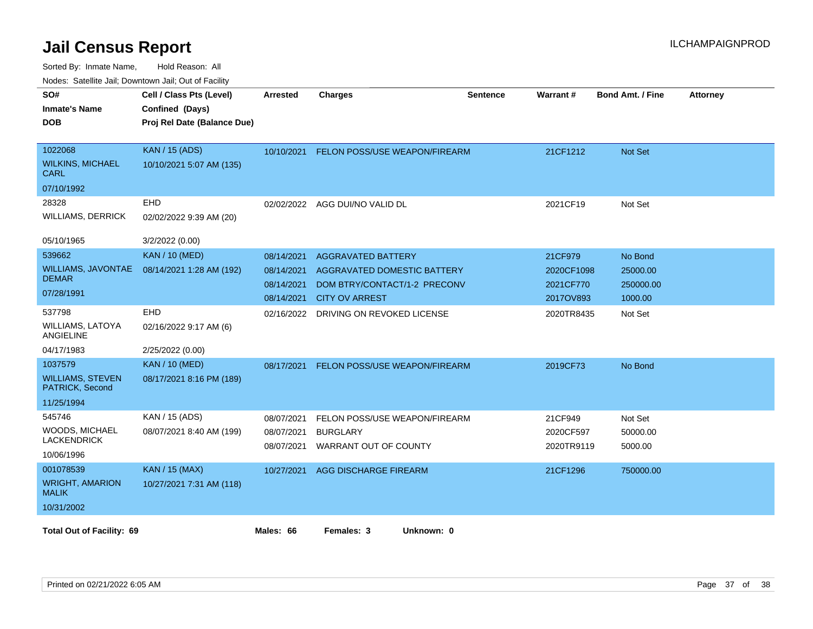| SO#<br><b>Inmate's Name</b><br><b>DOB</b>                           | Cell / Class Pts (Level)<br>Confined (Days)<br>Proj Rel Date (Balance Due) | <b>Arrested</b>                                      | <b>Charges</b>                                                                                                           | <b>Sentence</b> | Warrant#                                        | <b>Bond Amt. / Fine</b>                     | <b>Attorney</b> |
|---------------------------------------------------------------------|----------------------------------------------------------------------------|------------------------------------------------------|--------------------------------------------------------------------------------------------------------------------------|-----------------|-------------------------------------------------|---------------------------------------------|-----------------|
| 1022068<br><b>WILKINS, MICHAEL</b><br>CARL<br>07/10/1992            | <b>KAN / 15 (ADS)</b><br>10/10/2021 5:07 AM (135)                          | 10/10/2021                                           | FELON POSS/USE WEAPON/FIREARM                                                                                            |                 | 21CF1212                                        | Not Set                                     |                 |
| 28328<br><b>WILLIAMS, DERRICK</b><br>05/10/1965                     | EHD<br>02/02/2022 9:39 AM (20)<br>3/2/2022 (0.00)                          |                                                      | 02/02/2022 AGG DUI/NO VALID DL                                                                                           |                 | 2021CF19                                        | Not Set                                     |                 |
| 539662<br>WILLIAMS, JAVONTAE<br><b>DEMAR</b><br>07/28/1991          | <b>KAN / 10 (MED)</b><br>08/14/2021 1:28 AM (192)                          | 08/14/2021<br>08/14/2021<br>08/14/2021<br>08/14/2021 | <b>AGGRAVATED BATTERY</b><br><b>AGGRAVATED DOMESTIC BATTERY</b><br>DOM BTRY/CONTACT/1-2 PRECONV<br><b>CITY OV ARREST</b> |                 | 21CF979<br>2020CF1098<br>2021CF770<br>2017OV893 | No Bond<br>25000.00<br>250000.00<br>1000.00 |                 |
| 537798<br><b>WILLIAMS, LATOYA</b><br>ANGIELINE<br>04/17/1983        | EHD<br>02/16/2022 9:17 AM (6)<br>2/25/2022 (0.00)                          | 02/16/2022                                           | DRIVING ON REVOKED LICENSE                                                                                               |                 | 2020TR8435                                      | Not Set                                     |                 |
| 1037579<br><b>WILLIAMS, STEVEN</b><br>PATRICK, Second<br>11/25/1994 | <b>KAN / 10 (MED)</b><br>08/17/2021 8:16 PM (189)                          | 08/17/2021                                           | FELON POSS/USE WEAPON/FIREARM                                                                                            |                 | 2019CF73                                        | No Bond                                     |                 |
| 545746<br>WOODS, MICHAEL<br><b>LACKENDRICK</b><br>10/06/1996        | KAN / 15 (ADS)<br>08/07/2021 8:40 AM (199)                                 | 08/07/2021<br>08/07/2021<br>08/07/2021               | FELON POSS/USE WEAPON/FIREARM<br><b>BURGLARY</b><br>WARRANT OUT OF COUNTY                                                |                 | 21CF949<br>2020CF597<br>2020TR9119              | Not Set<br>50000.00<br>5000.00              |                 |
| 001078539<br><b>WRIGHT, AMARION</b><br><b>MALIK</b><br>10/31/2002   | <b>KAN / 15 (MAX)</b><br>10/27/2021 7:31 AM (118)                          | 10/27/2021                                           | AGG DISCHARGE FIREARM                                                                                                    |                 | 21CF1296                                        | 750000.00                                   |                 |
| <b>Total Out of Facility: 69</b>                                    |                                                                            | Males: 66                                            | Females: 3<br>Unknown: 0                                                                                                 |                 |                                                 |                                             |                 |